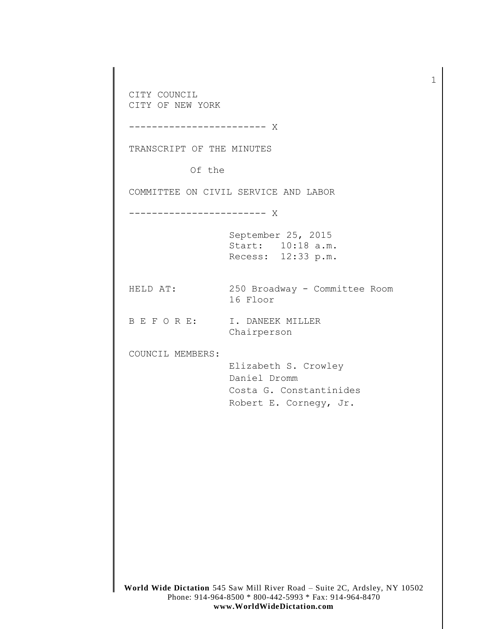**World Wide Dictation** 545 Saw Mill River Road – Suite 2C, Ardsley, NY 10502 CITY COUNCIL CITY OF NEW YORK ------------------------ X TRANSCRIPT OF THE MINUTES Of the COMMITTEE ON CIVIL SERVICE AND LABOR ------------------------ X September 25, 2015 Start: 10:18 a.m. Recess: 12:33 p.m. HELD AT: 250 Broadway - Committee Room 16 Floor B E F O R E: I. DANEEK MILLER Chairperson COUNCIL MEMBERS: Elizabeth S. Crowley Daniel Dromm Costa G. Constantinides Robert E. Cornegy, Jr.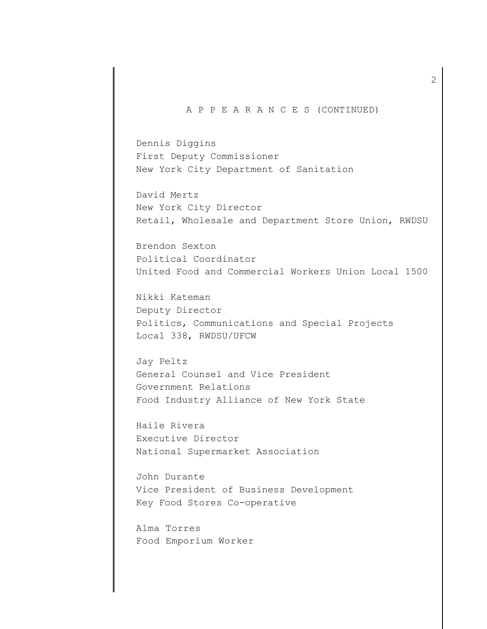## A P P E A R A N C E S (CONTINUED)

Dennis Diggins First Deputy Commissioner New York City Department of Sanitation

David Mertz New York City Director Retail, Wholesale and Department Store Union, RWDSU

Brendon Sexton Political Coordinator United Food and Commercial Workers Union Local 1500

Nikki Kateman Deputy Director Politics, Communications and Special Projects Local 338, RWDSU/UFCW

Jay Peltz General Counsel and Vice President Government Relations Food Industry Alliance of New York State

Haile Rivera Executive Director National Supermarket Association

John Durante Vice President of Business Development Key Food Stores Co-operative

Alma Torres Food Emporium Worker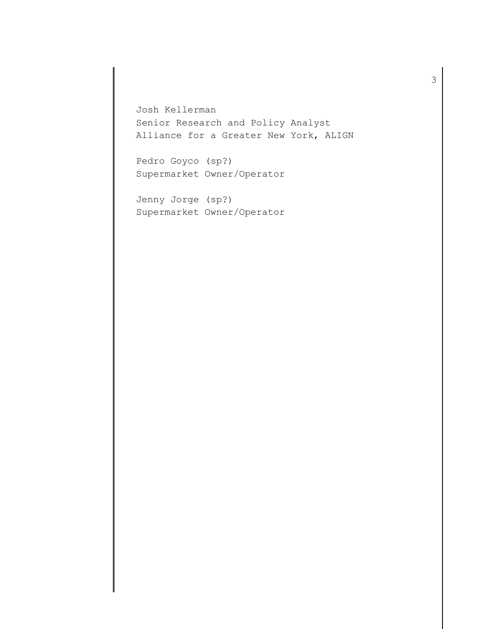Josh Kellerman Senior Research and Policy Analyst Alliance for a Greater New York, ALIGN

Pedro Goyco (sp?) Supermarket Owner/Operator

Jenny Jorge (sp?) Supermarket Owner/Operator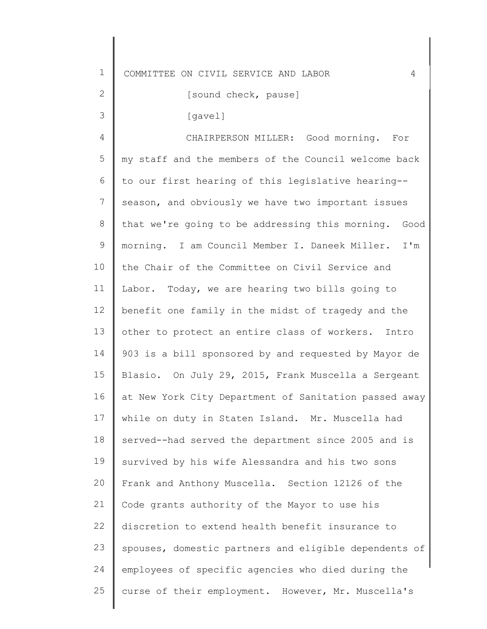| $\mathbf 1$     | COMMITTEE ON CIVIL SERVICE AND LABOR<br>4             |
|-----------------|-------------------------------------------------------|
| 2               | [sound check, pause]                                  |
| 3               | [gavel]                                               |
| 4               | CHAIRPERSON MILLER: Good morning. For                 |
| 5               | my staff and the members of the Council welcome back  |
| 6               | to our first hearing of this legislative hearing--    |
| $7\phantom{.0}$ | season, and obviously we have two important issues    |
| 8               | that we're going to be addressing this morning. Good  |
| 9               | morning. I am Council Member I. Daneek Miller. I'm    |
| 10              | the Chair of the Committee on Civil Service and       |
| 11              | Labor. Today, we are hearing two bills going to       |
| 12              | benefit one family in the midst of tragedy and the    |
| 13              | other to protect an entire class of workers. Intro    |
| 14              | 903 is a bill sponsored by and requested by Mayor de  |
| 15              | Blasio. On July 29, 2015, Frank Muscella a Sergeant   |
| 16              | at New York City Department of Sanitation passed away |
| 17              | while on duty in Staten Island. Mr. Muscella had      |
| 18              | served--had served the department since 2005 and is   |
| 19              | survived by his wife Alessandra and his two sons      |
| 20              | Frank and Anthony Muscella. Section 12126 of the      |
| 21              | Code grants authority of the Mayor to use his         |
| 22              | discretion to extend health benefit insurance to      |
| 23              | spouses, domestic partners and eligible dependents of |
| 24              | employees of specific agencies who died during the    |
| 25              | curse of their employment. However, Mr. Muscella's    |
|                 |                                                       |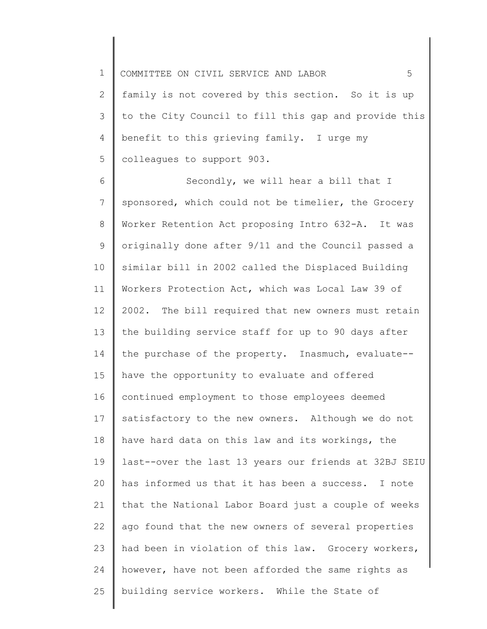1 2 3 4 5 COMMITTEE ON CIVIL SERVICE AND LABOR 5 family is not covered by this section. So it is up to the City Council to fill this gap and provide this benefit to this grieving family. I urge my colleagues to support 903.

6 7 8 9 10 11 12 13 14 15 16 17 18 19 20 21 22 23 24 25 Secondly, we will hear a bill that I sponsored, which could not be timelier, the Grocery Worker Retention Act proposing Intro 632-A. It was originally done after 9/11 and the Council passed a similar bill in 2002 called the Displaced Building Workers Protection Act, which was Local Law 39 of 2002. The bill required that new owners must retain the building service staff for up to 90 days after the purchase of the property. Inasmuch, evaluate- have the opportunity to evaluate and offered continued employment to those employees deemed satisfactory to the new owners. Although we do not have hard data on this law and its workings, the last--over the last 13 years our friends at 32BJ SEIU has informed us that it has been a success. I note that the National Labor Board just a couple of weeks ago found that the new owners of several properties had been in violation of this law. Grocery workers, however, have not been afforded the same rights as building service workers. While the State of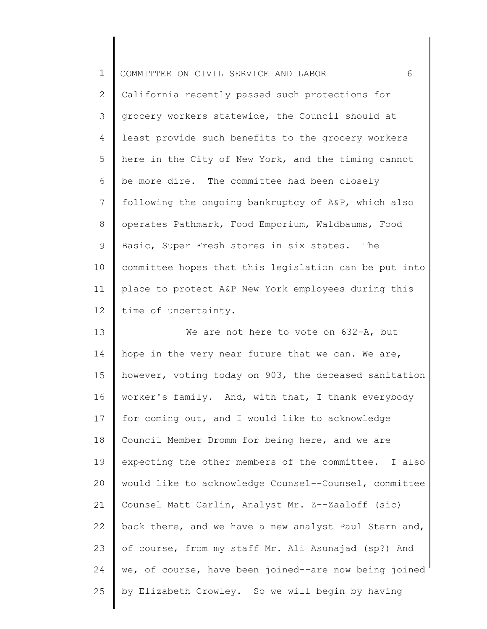| $\mathbf 1$    | 6<br>COMMITTEE ON CIVIL SERVICE AND LABOR             |
|----------------|-------------------------------------------------------|
| $\overline{2}$ | California recently passed such protections for       |
| 3              | grocery workers statewide, the Council should at      |
| 4              | least provide such benefits to the grocery workers    |
| 5              | here in the City of New York, and the timing cannot   |
| 6              | be more dire. The committee had been closely          |
| 7              | following the ongoing bankruptcy of A&P, which also   |
| 8              | operates Pathmark, Food Emporium, Waldbaums, Food     |
| 9              | Basic, Super Fresh stores in six states.<br>The       |
| 10             | committee hopes that this legislation can be put into |
| 11             | place to protect A&P New York employees during this   |
| 12             | time of uncertainty.                                  |
| 13             | We are not here to vote on 632-A, but                 |
| 14             | hope in the very near future that we can. We are,     |
| 15             | however, voting today on 903, the deceased sanitation |
| 16             | worker's family. And, with that, I thank everybody    |
| 17             | for coming out, and I would like to acknowledge       |
| 18             | Council Member Dromm for being here, and we are       |
| 19             | expecting the other members of the committee. I also  |
| 20             | would like to acknowledge Counsel--Counsel, committee |
| 21             | Counsel Matt Carlin, Analyst Mr. Z--Zaaloff (sic)     |
| 22             | back there, and we have a new analyst Paul Stern and, |
| 23             | of course, from my staff Mr. Ali Asunajad (sp?) And   |
| 24             | we, of course, have been joined--are now being joined |
| 25             | by Elizabeth Crowley. So we will begin by having      |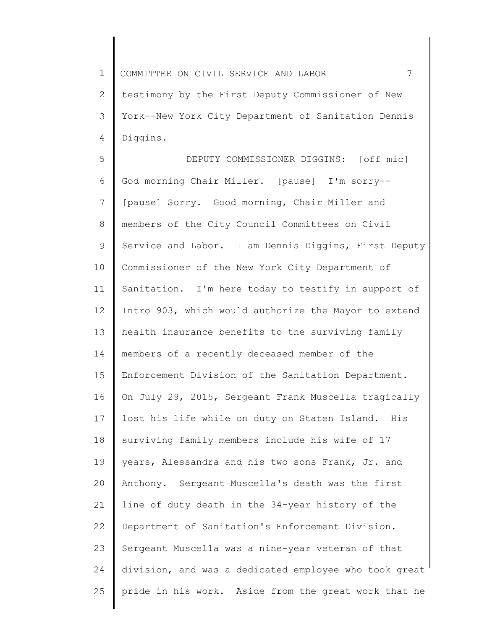1 COMMITTEE ON CIVIL SERVICE AND LABOR 7

2 3 4 testimony by the First Deputy Commissioner of New York--New York City Department of Sanitation Dennis Diggins.

5 6 7 8 9 10 11 12 13 14 15 16 17 18 19 20 21 22 23 24 25 DEPUTY COMMISSIONER DIGGINS: [off mic] God morning Chair Miller. [pause] I'm sorry-- [pause] Sorry. Good morning, Chair Miller and members of the City Council Committees on Civil Service and Labor. I am Dennis Diggins, First Deputy Commissioner of the New York City Department of Sanitation. I'm here today to testify in support of Intro 903, which would authorize the Mayor to extend health insurance benefits to the surviving family members of a recently deceased member of the Enforcement Division of the Sanitation Department. On July 29, 2015, Sergeant Frank Muscella tragically lost his life while on duty on Staten Island. His surviving family members include his wife of 17 years, Alessandra and his two sons Frank, Jr. and Anthony. Sergeant Muscella's death was the first line of duty death in the 34-year history of the Department of Sanitation's Enforcement Division. Sergeant Muscella was a nine-year veteran of that division, and was a dedicated employee who took great pride in his work. Aside from the great work that he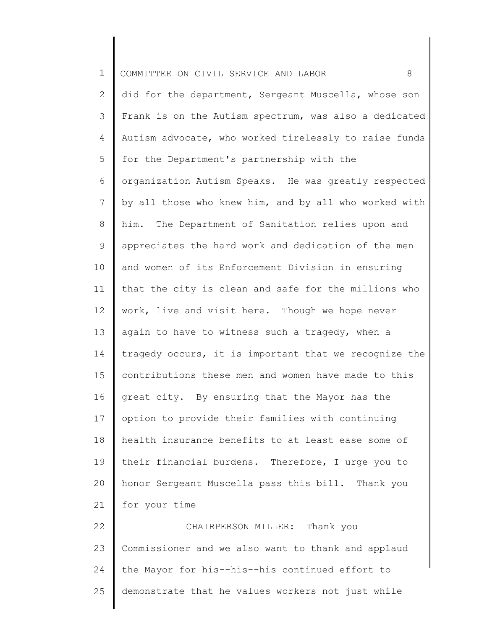| $\mathbf 1$     | 8<br>COMMITTEE ON CIVIL SERVICE AND LABOR             |
|-----------------|-------------------------------------------------------|
| 2               | did for the department, Sergeant Muscella, whose son  |
| 3               | Frank is on the Autism spectrum, was also a dedicated |
| 4               | Autism advocate, who worked tirelessly to raise funds |
| 5               | for the Department's partnership with the             |
| 6               | organization Autism Speaks. He was greatly respected  |
| $7\phantom{.0}$ | by all those who knew him, and by all who worked with |
| 8               | him. The Department of Sanitation relies upon and     |
| $\mathsf 9$     | appreciates the hard work and dedication of the men   |
| 10              | and women of its Enforcement Division in ensuring     |
| 11              | that the city is clean and safe for the millions who  |
| 12              | work, live and visit here. Though we hope never       |
| 13              | again to have to witness such a tragedy, when a       |
| 14              | tragedy occurs, it is important that we recognize the |
| 15              | contributions these men and women have made to this   |
| 16              | great city. By ensuring that the Mayor has the        |
| 17              | option to provide their families with continuing      |
| 18              | health insurance benefits to at least ease some of    |
| 19              | their financial burdens. Therefore, I urge you to     |
| 20              | honor Sergeant Muscella pass this bill. Thank you     |
| 21              | for your time                                         |
| 22              | CHAIRPERSON MILLER: Thank you                         |
| 23              | Commissioner and we also want to thank and applaud    |
| 24              | the Mayor for his--his--his continued effort to       |
| 25              | demonstrate that he values workers not just while     |
|                 |                                                       |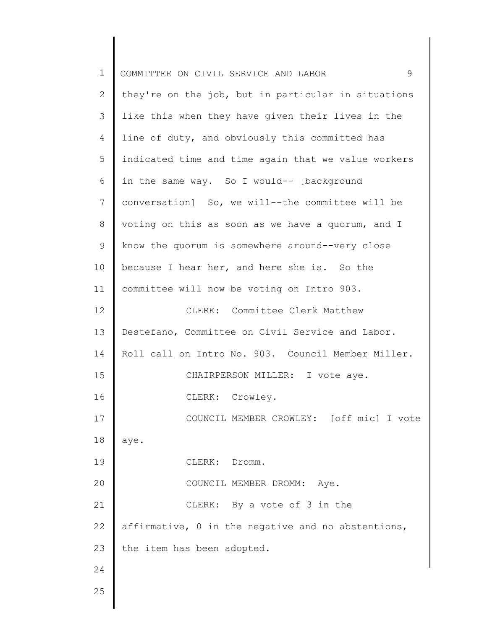| 1            | COMMITTEE ON CIVIL SERVICE AND LABOR<br>9           |
|--------------|-----------------------------------------------------|
| $\mathbf{2}$ | they're on the job, but in particular in situations |
| 3            | like this when they have given their lives in the   |
| 4            | line of duty, and obviously this committed has      |
| 5            | indicated time and time again that we value workers |
| 6            | in the same way. So I would-- [background           |
| 7            | conversation] So, we will--the committee will be    |
| 8            | voting on this as soon as we have a quorum, and I   |
| 9            | know the quorum is somewhere around--very close     |
| 10           | because I hear her, and here she is. So the         |
| 11           | committee will now be voting on Intro 903.          |
| 12           | CLERK: Committee Clerk Matthew                      |
| 13           | Destefano, Committee on Civil Service and Labor.    |
| 14           | Roll call on Intro No. 903. Council Member Miller.  |
| 15           | CHAIRPERSON MILLER: I vote aye.                     |
| 16           | CLERK: Crowley.                                     |
| 17           | COUNCIL MEMBER CROWLEY: [off mic] I vote            |
| $1\,8$       | aye.                                                |
| 19           | CLERK: Dromm.                                       |
| 20           | COUNCIL MEMBER DROMM: Aye.                          |
| 21           | CLERK: By a vote of 3 in the                        |
| 22           | affirmative, 0 in the negative and no abstentions,  |
| 23           | the item has been adopted.                          |
| 24           |                                                     |
| 25           |                                                     |
|              |                                                     |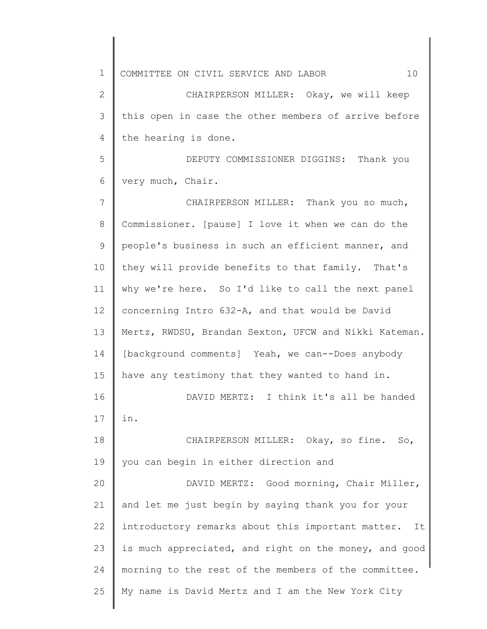1 COMMITTEE ON CIVIL SERVICE AND LABOR 10

2 3 4 CHAIRPERSON MILLER: Okay, we will keep this open in case the other members of arrive before the hearing is done.

5 6 DEPUTY COMMISSIONER DIGGINS: Thank you very much, Chair.

7 8 9 10 11 12 13 14 15 16 17 18 19 20 21 22 23 24 25 CHAIRPERSON MILLER: Thank you so much, Commissioner. [pause] I love it when we can do the people's business in such an efficient manner, and they will provide benefits to that family. That's why we're here. So I'd like to call the next panel concerning Intro 632-A, and that would be David Mertz, RWDSU, Brandan Sexton, UFCW and Nikki Kateman. [background comments] Yeah, we can--Does anybody have any testimony that they wanted to hand in. DAVID MERTZ: I think it's all be handed in. CHAIRPERSON MILLER: Okay, so fine. So, you can begin in either direction and DAVID MERTZ: Good morning, Chair Miller, and let me just begin by saying thank you for your introductory remarks about this important matter. It is much appreciated, and right on the money, and good morning to the rest of the members of the committee. My name is David Mertz and I am the New York City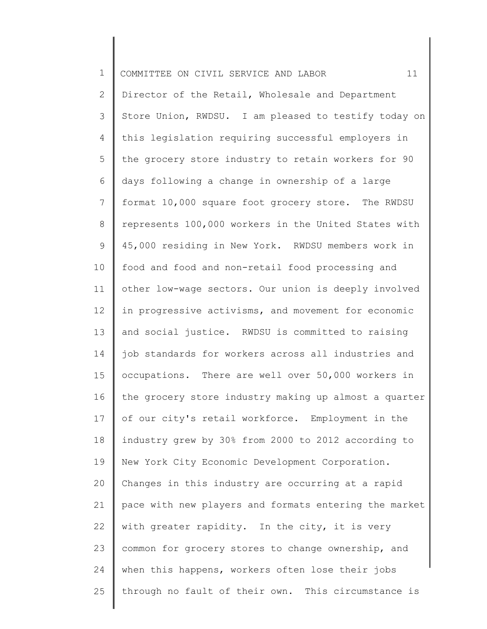| $\mathbf 1$ | 11<br>COMMITTEE ON CIVIL SERVICE AND LABOR            |
|-------------|-------------------------------------------------------|
| 2           | Director of the Retail, Wholesale and Department      |
| 3           | Store Union, RWDSU. I am pleased to testify today on  |
| 4           | this legislation requiring successful employers in    |
| 5           | the grocery store industry to retain workers for 90   |
| 6           | days following a change in ownership of a large       |
| 7           | format 10,000 square foot grocery store. The RWDSU    |
| 8           | represents 100,000 workers in the United States with  |
| 9           | 45,000 residing in New York. RWDSU members work in    |
| 10          | food and food and non-retail food processing and      |
| 11          | other low-wage sectors. Our union is deeply involved  |
| 12          | in progressive activisms, and movement for economic   |
| 13          | and social justice. RWDSU is committed to raising     |
| 14          | job standards for workers across all industries and   |
| 15          | occupations. There are well over 50,000 workers in    |
| 16          | the grocery store industry making up almost a quarter |
| 17          | of our city's retail workforce. Employment in the     |
| 18          | industry grew by 30% from 2000 to 2012 according to   |
| 19          | New York City Economic Development Corporation.       |
| 20          | Changes in this industry are occurring at a rapid     |
| 21          | pace with new players and formats entering the market |
| 22          | with greater rapidity. In the city, it is very        |
| 23          | common for grocery stores to change ownership, and    |
| 24          | when this happens, workers often lose their jobs      |
| 25          | through no fault of their own. This circumstance is   |
|             |                                                       |

║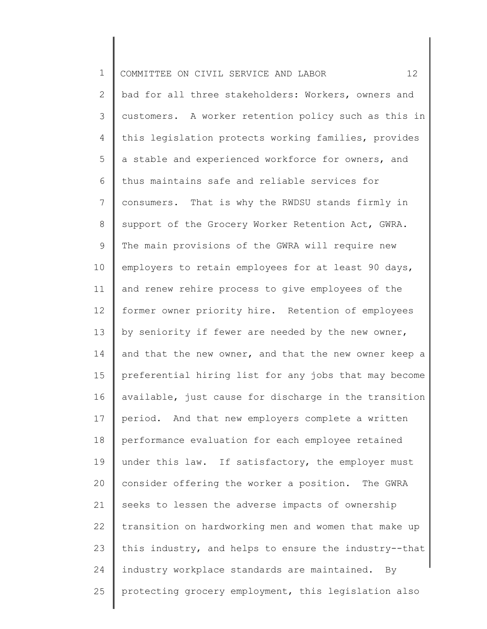1 2 3 4 5 6 7 8 9 10 11 12 13 14 15 16 17 18 19 20 21 22 23 24 25 COMMITTEE ON CIVIL SERVICE AND LABOR 12 bad for all three stakeholders: Workers, owners and customers. A worker retention policy such as this in this legislation protects working families, provides a stable and experienced workforce for owners, and thus maintains safe and reliable services for consumers. That is why the RWDSU stands firmly in support of the Grocery Worker Retention Act, GWRA. The main provisions of the GWRA will require new employers to retain employees for at least 90 days, and renew rehire process to give employees of the former owner priority hire. Retention of employees by seniority if fewer are needed by the new owner, and that the new owner, and that the new owner keep a preferential hiring list for any jobs that may become available, just cause for discharge in the transition period. And that new employers complete a written performance evaluation for each employee retained under this law. If satisfactory, the employer must consider offering the worker a position. The GWRA seeks to lessen the adverse impacts of ownership transition on hardworking men and women that make up this industry, and helps to ensure the industry--that industry workplace standards are maintained. By protecting grocery employment, this legislation also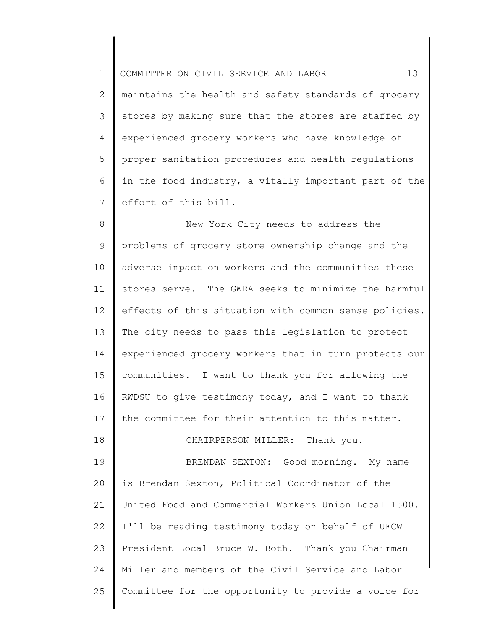1 2 3 4 5 6 7 COMMITTEE ON CIVIL SERVICE AND LABOR 13 maintains the health and safety standards of grocery stores by making sure that the stores are staffed by experienced grocery workers who have knowledge of proper sanitation procedures and health regulations in the food industry, a vitally important part of the effort of this bill.

8 9 10 11 12 13 14 15 16 17 New York City needs to address the problems of grocery store ownership change and the adverse impact on workers and the communities these stores serve. The GWRA seeks to minimize the harmful effects of this situation with common sense policies. The city needs to pass this legislation to protect experienced grocery workers that in turn protects our communities. I want to thank you for allowing the RWDSU to give testimony today, and I want to thank the committee for their attention to this matter.

CHAIRPERSON MILLER: Thank you.

19 20 21 22 23 24 25 BRENDAN SEXTON: Good morning. My name is Brendan Sexton, Political Coordinator of the United Food and Commercial Workers Union Local 1500. I'll be reading testimony today on behalf of UFCW President Local Bruce W. Both. Thank you Chairman Miller and members of the Civil Service and Labor Committee for the opportunity to provide a voice for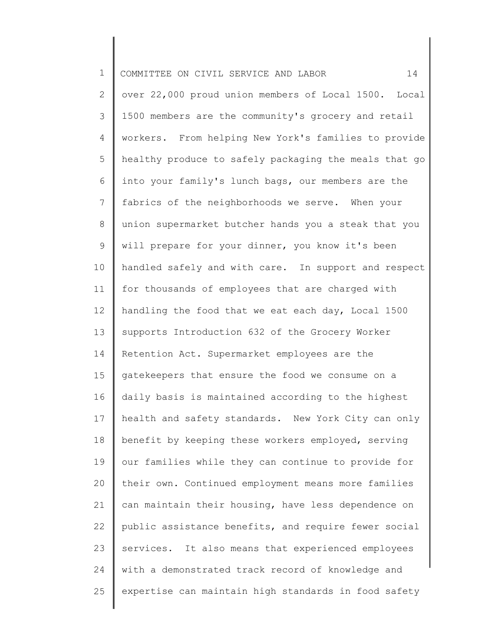| $\mathbf 1$  | 14<br>COMMITTEE ON CIVIL SERVICE AND LABOR            |
|--------------|-------------------------------------------------------|
| $\mathbf{2}$ | over 22,000 proud union members of Local 1500. Local  |
| 3            | 1500 members are the community's grocery and retail   |
| 4            | workers. From helping New York's families to provide  |
| 5            | healthy produce to safely packaging the meals that go |
| 6            | into your family's lunch bags, our members are the    |
| 7            | fabrics of the neighborhoods we serve. When your      |
| $8\,$        | union supermarket butcher hands you a steak that you  |
| $\mathsf 9$  | will prepare for your dinner, you know it's been      |
| 10           | handled safely and with care. In support and respect  |
| 11           | for thousands of employees that are charged with      |
| 12           | handling the food that we eat each day, Local 1500    |
| 13           | supports Introduction 632 of the Grocery Worker       |
| 14           | Retention Act. Supermarket employees are the          |
| 15           | gatekeepers that ensure the food we consume on a      |
| 16           | daily basis is maintained according to the highest    |
| 17           | health and safety standards. New York City can only   |
| 18           | benefit by keeping these workers employed, serving    |
| 19           | our families while they can continue to provide for   |
| 20           | their own. Continued employment means more families   |
| 21           | can maintain their housing, have less dependence on   |
| 22           | public assistance benefits, and require fewer social  |
| 23           | services. It also means that experienced employees    |
| 24           | with a demonstrated track record of knowledge and     |
| 25           | expertise can maintain high standards in food safety  |
|              |                                                       |

║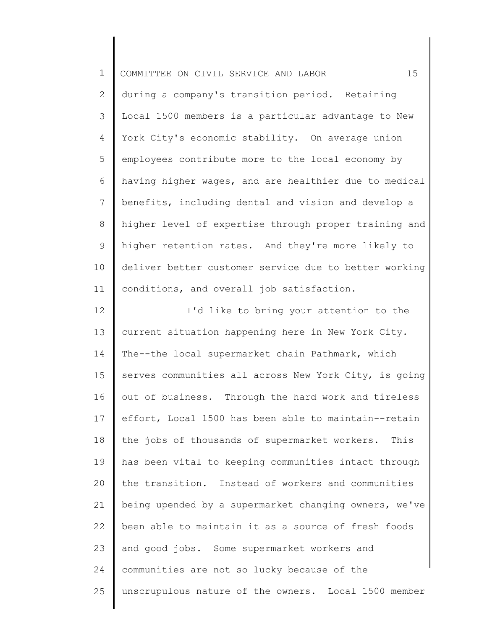| $\mathbf 1$  | 15<br>COMMITTEE ON CIVIL SERVICE AND LABOR            |
|--------------|-------------------------------------------------------|
| $\mathbf{2}$ | during a company's transition period. Retaining       |
| 3            | Local 1500 members is a particular advantage to New   |
| 4            | York City's economic stability. On average union      |
| 5            | employees contribute more to the local economy by     |
| 6            | having higher wages, and are healthier due to medical |
| 7            | benefits, including dental and vision and develop a   |
| 8            | higher level of expertise through proper training and |
| 9            | higher retention rates. And they're more likely to    |
| 10           | deliver better customer service due to better working |
| 11           | conditions, and overall job satisfaction.             |
| 12           | I'd like to bring your attention to the               |
| 13           | current situation happening here in New York City.    |
| 14           | The--the local supermarket chain Pathmark, which      |
| 15           | serves communities all across New York City, is going |
| 16           | out of business. Through the hard work and tireless   |
| 17           | effort, Local 1500 has been able to maintain--retain  |
| 18           | the jobs of thousands of supermarket workers. This    |
| 19           | has been vital to keeping communities intact through  |
| 20           | the transition. Instead of workers and communities    |
| 21           | being upended by a supermarket changing owners, we've |
| 22           | been able to maintain it as a source of fresh foods   |
| 23           | and good jobs. Some supermarket workers and           |
| 24           | communities are not so lucky because of the           |
| 25           | unscrupulous nature of the owners. Local 1500 member  |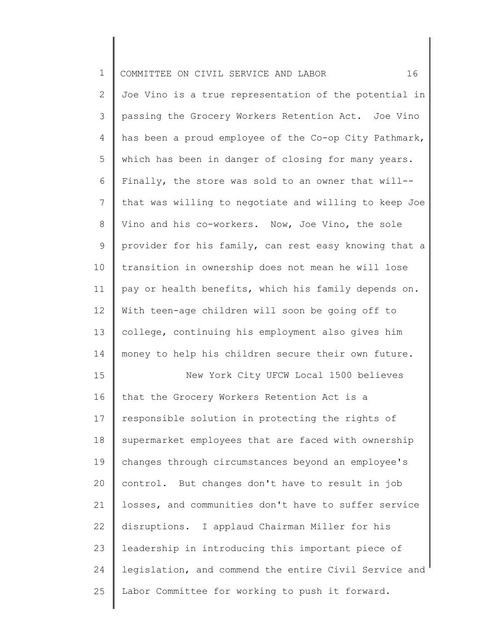| $\mathbf 1$    | 16<br>COMMITTEE ON CIVIL SERVICE AND LABOR            |
|----------------|-------------------------------------------------------|
| $\mathbf{2}$   | Joe Vino is a true representation of the potential in |
| 3              | passing the Grocery Workers Retention Act. Joe Vino   |
| 4              | has been a proud employee of the Co-op City Pathmark, |
| 5              | which has been in danger of closing for many years.   |
| 6              | Finally, the store was sold to an owner that will--   |
| $\overline{7}$ | that was willing to negotiate and willing to keep Joe |
| 8              | Vino and his co-workers. Now, Joe Vino, the sole      |
| 9              | provider for his family, can rest easy knowing that a |
| 10             | transition in ownership does not mean he will lose    |
| 11             | pay or health benefits, which his family depends on.  |
| 12             | With teen-age children will soon be going off to      |
| 13             | college, continuing his employment also gives him     |
| 14             | money to help his children secure their own future.   |
| 15             | New York City UFCW Local 1500 believes                |
| 16             | that the Grocery Workers Retention Act is a           |
| 17             | responsible solution in protecting the rights of      |
| 18             | supermarket employees that are faced with ownership   |
| 19             | changes through circumstances beyond an employee's    |
| 20             | control. But changes don't have to result in job      |
| 21             | losses, and communities don't have to suffer service  |
| 22             | disruptions. I applaud Chairman Miller for his        |
| 23             | leadership in introducing this important piece of     |
| 24             | legislation, and commend the entire Civil Service and |
| 25             | Labor Committee for working to push it forward.       |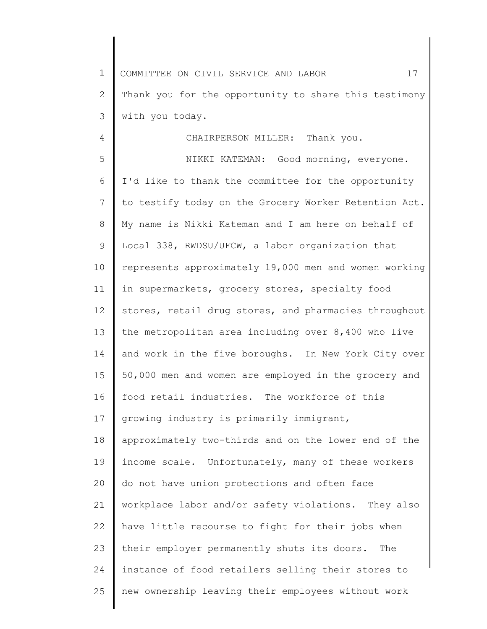1 2 3 COMMITTEE ON CIVIL SERVICE AND LABOR 17 Thank you for the opportunity to share this testimony with you today.

4

## CHAIRPERSON MILLER: Thank you.

5 6 7 8 9 10 11 12 13 14 15 16 17 18 19 20 21 22 23 24 25 NIKKI KATEMAN: Good morning, everyone. I'd like to thank the committee for the opportunity to testify today on the Grocery Worker Retention Act. My name is Nikki Kateman and I am here on behalf of Local 338, RWDSU/UFCW, a labor organization that represents approximately 19,000 men and women working in supermarkets, grocery stores, specialty food stores, retail drug stores, and pharmacies throughout the metropolitan area including over 8,400 who live and work in the five boroughs. In New York City over 50,000 men and women are employed in the grocery and food retail industries. The workforce of this growing industry is primarily immigrant, approximately two-thirds and on the lower end of the income scale. Unfortunately, many of these workers do not have union protections and often face workplace labor and/or safety violations. They also have little recourse to fight for their jobs when their employer permanently shuts its doors. The instance of food retailers selling their stores to new ownership leaving their employees without work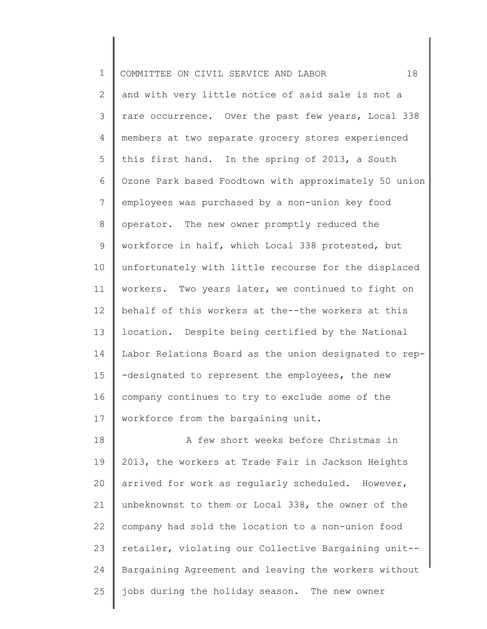| $\mathbf 1$    | 18<br>COMMITTEE ON CIVIL SERVICE AND LABOR            |
|----------------|-------------------------------------------------------|
| 2              | and with very little notice of said sale is not a     |
| 3              | rare occurrence. Over the past few years, Local 338   |
| 4              | members at two separate grocery stores experienced    |
| 5              | this first hand. In the spring of 2013, a South       |
| 6              | Ozone Park based Foodtown with approximately 50 union |
| $\overline{7}$ | employees was purchased by a non-union key food       |
| 8              | operator. The new owner promptly reduced the          |
| 9              | workforce in half, which Local 338 protested, but     |
| 10             | unfortunately with little recourse for the displaced  |
| 11             | workers. Two years later, we continued to fight on    |
| 12             | behalf of this workers at the--the workers at this    |
| 13             | location. Despite being certified by the National     |
| 14             | Labor Relations Board as the union designated to rep- |
| 15             | -designated to represent the employees, the new       |
| 16             | company continues to try to exclude some of the       |
| 17             | workforce from the bargaining unit.                   |
| 18             | A few short weeks before Christmas in                 |
| 19             | 2013, the workers at Trade Fair in Jackson Heights    |
| 20             | arrived for work as regularly scheduled. However,     |
| 21             | unbeknownst to them or Local 338, the owner of the    |
| 22             | company had sold the location to a non-union food     |
| 23             | retailer, violating our Collective Bargaining unit--  |
| 24             | Bargaining Agreement and leaving the workers without  |
| 25             | jobs during the holiday season. The new owner         |
|                |                                                       |

∥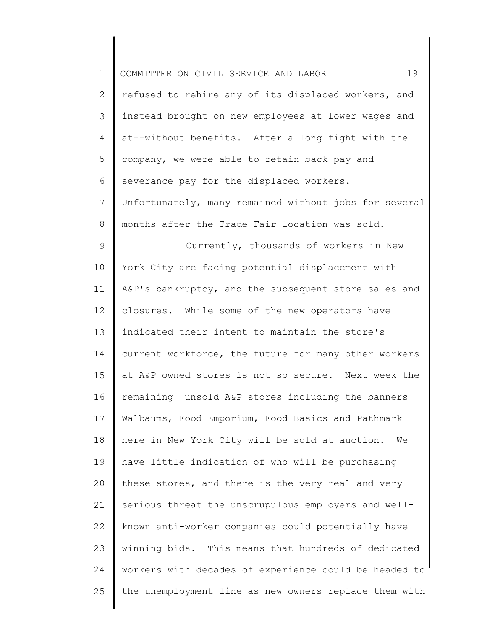| $\mathbf 1$    | 19<br>COMMITTEE ON CIVIL SERVICE AND LABOR            |
|----------------|-------------------------------------------------------|
| $\mathbf{2}$   | refused to rehire any of its displaced workers, and   |
| 3              | instead brought on new employees at lower wages and   |
| 4              | at--without benefits. After a long fight with the     |
| 5              | company, we were able to retain back pay and          |
| 6              | severance pay for the displaced workers.              |
| $\overline{7}$ | Unfortunately, many remained without jobs for several |
| 8              | months after the Trade Fair location was sold.        |
| 9              | Currently, thousands of workers in New                |
| 10             | York City are facing potential displacement with      |
| 11             | A&P's bankruptcy, and the subsequent store sales and  |
| 12             | closures. While some of the new operators have        |
| 13             | indicated their intent to maintain the store's        |
| 14             | current workforce, the future for many other workers  |
| 15             | at A&P owned stores is not so secure. Next week the   |
| 16             | remaining unsold A&P stores including the banners     |
| 17             | Walbaums, Food Emporium, Food Basics and Pathmark     |
| 18             | here in New York City will be sold at auction.<br>We  |
| 19             | have little indication of who will be purchasing      |
| 20             | these stores, and there is the very real and very     |
| 21             | serious threat the unscrupulous employers and well-   |
| 22             | known anti-worker companies could potentially have    |
| 23             | winning bids. This means that hundreds of dedicated   |
| 24             | workers with decades of experience could be headed to |
| 25             | the unemployment line as new owners replace them with |
|                |                                                       |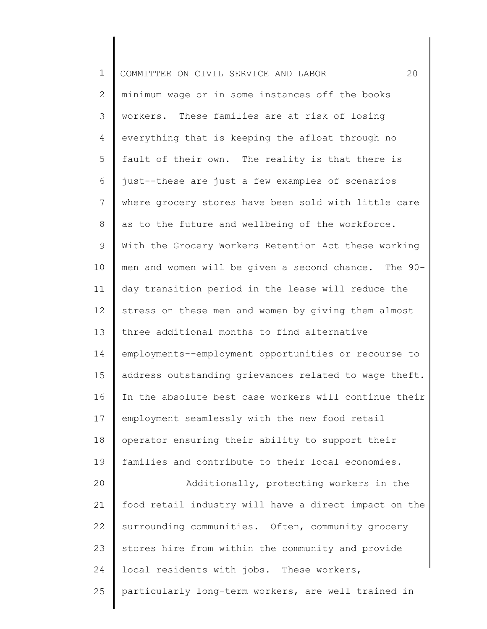| $\mathbf 1$     | 20<br>COMMITTEE ON CIVIL SERVICE AND LABOR            |
|-----------------|-------------------------------------------------------|
| $\mathbf{2}$    | minimum wage or in some instances off the books       |
| $\mathcal{S}$   | workers. These families are at risk of losing         |
| 4               | everything that is keeping the afloat through no      |
| 5               | fault of their own. The reality is that there is      |
| 6               | just--these are just a few examples of scenarios      |
| $7\phantom{.0}$ | where grocery stores have been sold with little care  |
| 8               | as to the future and wellbeing of the workforce.      |
| 9               | With the Grocery Workers Retention Act these working  |
| 10              | men and women will be given a second chance. The 90-  |
| 11              | day transition period in the lease will reduce the    |
| 12              | stress on these men and women by giving them almost   |
| 13              | three additional months to find alternative           |
| 14              | employments--employment opportunities or recourse to  |
| 15              | address outstanding grievances related to wage theft. |
| 16              | In the absolute best case workers will continue their |
| 17              | employment seamlessly with the new food retail        |
| 18              | operator ensuring their ability to support their      |
| 19              | families and contribute to their local economies.     |
| 20              | Additionally, protecting workers in the               |
| 21              | food retail industry will have a direct impact on the |
| 22              | surrounding communities. Often, community grocery     |
| 23              | stores hire from within the community and provide     |
| 24              | local residents with jobs. These workers,             |
| 25              | particularly long-term workers, are well trained in   |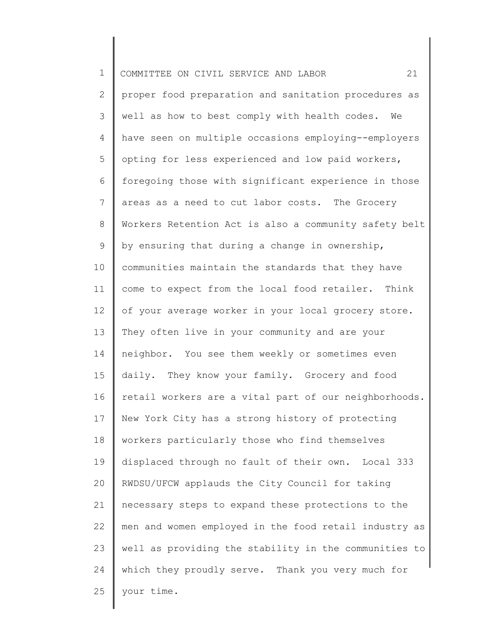| $\mathbf 1$    | 21<br>COMMITTEE ON CIVIL SERVICE AND LABOR            |
|----------------|-------------------------------------------------------|
| $\mathbf{2}$   | proper food preparation and sanitation procedures as  |
| 3              | well as how to best comply with health codes.<br>We   |
| 4              | have seen on multiple occasions employing--employers  |
| 5              | opting for less experienced and low paid workers,     |
| 6              | foregoing those with significant experience in those  |
| $\overline{7}$ | areas as a need to cut labor costs. The Grocery       |
| 8              | Workers Retention Act is also a community safety belt |
| 9              | by ensuring that during a change in ownership,        |
| 10             | communities maintain the standards that they have     |
| 11             | come to expect from the local food retailer. Think    |
| 12             | of your average worker in your local grocery store.   |
| 13             | They often live in your community and are your        |
| 14             | neighbor. You see them weekly or sometimes even       |
| 15             | daily. They know your family. Grocery and food        |
| 16             | retail workers are a vital part of our neighborhoods. |
| 17             | New York City has a strong history of protecting      |
| 18             | workers particularly those who find themselves        |
| 19             | displaced through no fault of their own. Local 333    |
| 20             | RWDSU/UFCW applauds the City Council for taking       |
| 21             | necessary steps to expand these protections to the    |
| 22             | men and women employed in the food retail industry as |
| 23             | well as providing the stability in the communities to |
| 24             | which they proudly serve. Thank you very much for     |
| 25             | your time.                                            |
|                |                                                       |

 $\begin{array}{c} \hline \end{array}$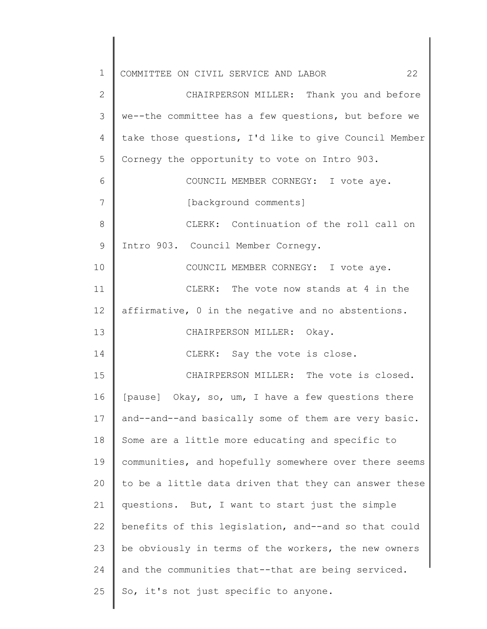| $\mathbf{1}$  | COMMITTEE ON CIVIL SERVICE AND LABOR<br>22            |
|---------------|-------------------------------------------------------|
| 2             | CHAIRPERSON MILLER: Thank you and before              |
| 3             | we--the committee has a few questions, but before we  |
| 4             | take those questions, I'd like to give Council Member |
| 5             | Cornegy the opportunity to vote on Intro 903.         |
| 6             | COUNCIL MEMBER CORNEGY: I vote aye.                   |
| 7             | [background comments]                                 |
| 8             | CLERK: Continuation of the roll call on               |
| $\mathcal{G}$ | Intro 903. Council Member Cornegy.                    |
| 10            | COUNCIL MEMBER CORNEGY: I vote aye.                   |
| 11            | CLERK: The vote now stands at 4 in the                |
| 12            | affirmative, 0 in the negative and no abstentions.    |
| 13            | CHAIRPERSON MILLER: Okay.                             |
| 14            | CLERK: Say the vote is close.                         |
| 15            | CHAIRPERSON MILLER: The vote is closed.               |
| 16            | [pause] Okay, so, um, I have a few questions there    |
| 17            | and--and--and basically some of them are very basic.  |
| 18            | Some are a little more educating and specific to      |
| 19            | communities, and hopefully somewhere over there seems |
| 20            | to be a little data driven that they can answer these |
| 21            | questions. But, I want to start just the simple       |
| 22            | benefits of this legislation, and--and so that could  |
| 23            | be obviously in terms of the workers, the new owners  |
| 24            | and the communities that--that are being serviced.    |
| 25            | So, it's not just specific to anyone.                 |
|               |                                                       |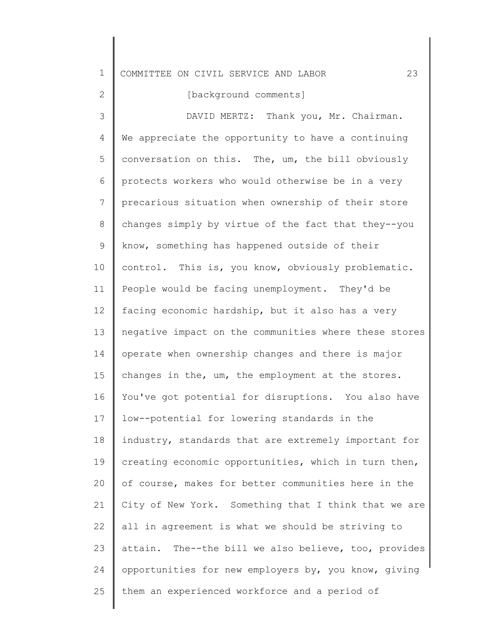1 COMMITTEE ON CIVIL SERVICE AND LABOR 23

2

[background comments]

3 4 5 6 7 8 9 10 11 12 13 14 15 16 17 18 19 20 21 22 23 24 25 DAVID MERTZ: Thank you, Mr. Chairman. We appreciate the opportunity to have a continuing conversation on this. The, um, the bill obviously protects workers who would otherwise be in a very precarious situation when ownership of their store changes simply by virtue of the fact that they--you know, something has happened outside of their control. This is, you know, obviously problematic. People would be facing unemployment. They'd be facing economic hardship, but it also has a very negative impact on the communities where these stores operate when ownership changes and there is major changes in the, um, the employment at the stores. You've got potential for disruptions. You also have low--potential for lowering standards in the industry, standards that are extremely important for creating economic opportunities, which in turn then, of course, makes for better communities here in the City of New York. Something that I think that we are all in agreement is what we should be striving to attain. The--the bill we also believe, too, provides opportunities for new employers by, you know, giving them an experienced workforce and a period of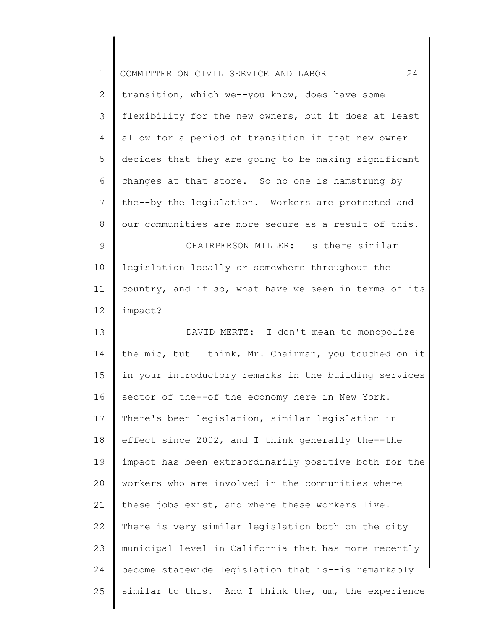| $\mathbf 1$ | 24<br>COMMITTEE ON CIVIL SERVICE AND LABOR            |
|-------------|-------------------------------------------------------|
| 2           | transition, which we--you know, does have some        |
| 3           | flexibility for the new owners, but it does at least  |
| 4           | allow for a period of transition if that new owner    |
| 5           | decides that they are going to be making significant  |
| 6           | changes at that store. So no one is hamstrung by      |
| 7           | the--by the legislation. Workers are protected and    |
| 8           | our communities are more secure as a result of this.  |
| 9           | CHAIRPERSON MILLER: Is there similar                  |
| 10          | legislation locally or somewhere throughout the       |
| 11          | country, and if so, what have we seen in terms of its |
| 12          | impact?                                               |
| 13          | DAVID MERTZ: I don't mean to monopolize               |
| 14          | the mic, but I think, Mr. Chairman, you touched on it |
| 15          | in your introductory remarks in the building services |
| 16          | sector of the--of the economy here in New York.       |
| 17          | There's been legislation, similar legislation in      |
| 18          | effect since 2002, and I think generally the--the     |
| 19          | impact has been extraordinarily positive both for the |
| 20          | workers who are involved in the communities where     |
| 21          | these jobs exist, and where these workers live.       |
| 22          | There is very similar legislation both on the city    |
| 23          | municipal level in California that has more recently  |
| 24          | become statewide legislation that is--is remarkably   |
| 25          | similar to this. And I think the, um, the experience  |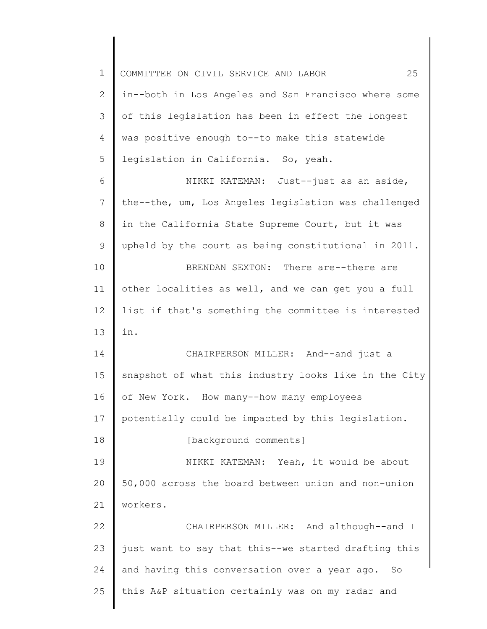| $\mathbf 1$    | 25<br>COMMITTEE ON CIVIL SERVICE AND LABOR            |
|----------------|-------------------------------------------------------|
| $\overline{2}$ | in--both in Los Angeles and San Francisco where some  |
| 3              | of this legislation has been in effect the longest    |
| 4              | was positive enough to--to make this statewide        |
| 5              | legislation in California. So, yeah.                  |
| 6              | NIKKI KATEMAN: Just--just as an aside,                |
| 7              | the--the, um, Los Angeles legislation was challenged  |
| 8              | in the California State Supreme Court, but it was     |
| 9              | upheld by the court as being constitutional in 2011.  |
| 10             | BRENDAN SEXTON: There are--there are                  |
| 11             | other localities as well, and we can get you a full   |
| 12             | list if that's something the committee is interested  |
| 13             | in.                                                   |
| 14             | CHAIRPERSON MILLER: And--and just a                   |
| 15             | snapshot of what this industry looks like in the City |
| 16             | of New York. How many--how many employees             |
| 17             | potentially could be impacted by this legislation.    |
| 18             | [background comments]                                 |
| 19             | NIKKI KATEMAN: Yeah, it would be about                |
| 20             | 50,000 across the board between union and non-union   |
| 21             | workers.                                              |
| 22             | CHAIRPERSON MILLER: And although--and I               |
| 23             | just want to say that this--we started drafting this  |
| 24             | and having this conversation over a year ago. So      |
| 25             | this A&P situation certainly was on my radar and      |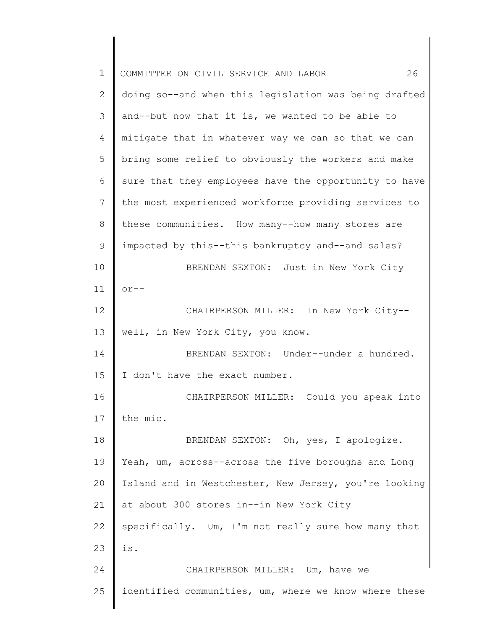| 1  | 26<br>COMMITTEE ON CIVIL SERVICE AND LABOR            |
|----|-------------------------------------------------------|
| 2  | doing so--and when this legislation was being drafted |
| 3  | and--but now that it is, we wanted to be able to      |
| 4  | mitigate that in whatever way we can so that we can   |
| 5  | bring some relief to obviously the workers and make   |
| 6  | sure that they employees have the opportunity to have |
| 7  | the most experienced workforce providing services to  |
| 8  | these communities. How many--how many stores are      |
| 9  | impacted by this--this bankruptcy and--and sales?     |
| 10 | BRENDAN SEXTON: Just in New York City                 |
| 11 | $or --$                                               |
| 12 | CHAIRPERSON MILLER: In New York City--                |
| 13 | well, in New York City, you know.                     |
| 14 | BRENDAN SEXTON: Under--under a hundred.               |
| 15 | I don't have the exact number.                        |
| 16 | CHAIRPERSON MILLER: Could you speak into              |
| 17 | the mic.                                              |
| 18 | BRENDAN SEXTON: Oh, yes, I apologize.                 |
| 19 | Yeah, um, across--across the five boroughs and Long   |
| 20 | Island and in Westchester, New Jersey, you're looking |
| 21 | at about 300 stores in--in New York City              |
| 22 | specifically. Um, I'm not really sure how many that   |
| 23 | is.                                                   |
| 24 | CHAIRPERSON MILLER: Um, have we                       |
| 25 | identified communities, um, where we know where these |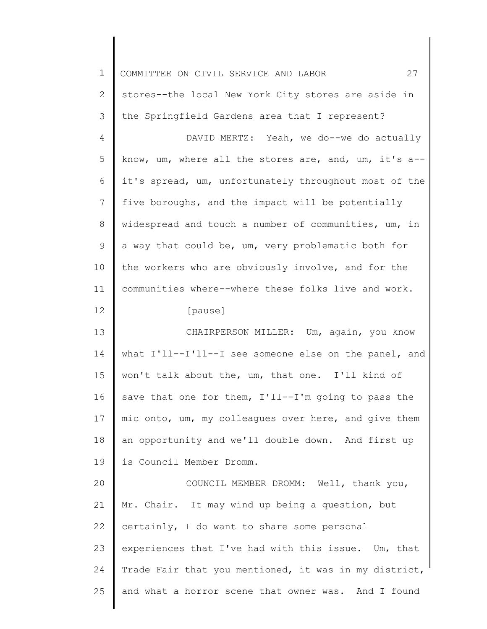1 2 3 4 5 6 7 8 9 10 11 12 13 14 15 16 17 18 19 20 21 22 23 24 25 COMMITTEE ON CIVIL SERVICE AND LABOR 27 stores--the local New York City stores are aside in the Springfield Gardens area that I represent? DAVID MERTZ: Yeah, we do--we do actually know, um, where all the stores are, and, um, it's a- it's spread, um, unfortunately throughout most of the five boroughs, and the impact will be potentially widespread and touch a number of communities, um, in a way that could be, um, very problematic both for the workers who are obviously involve, and for the communities where--where these folks live and work. [pause] CHAIRPERSON MILLER: Um, again, you know what I'll--I'll--I see someone else on the panel, and won't talk about the, um, that one. I'll kind of save that one for them, I'll--I'm going to pass the mic onto, um, my colleagues over here, and give them an opportunity and we'll double down. And first up is Council Member Dromm. COUNCIL MEMBER DROMM: Well, thank you, Mr. Chair. It may wind up being a question, but certainly, I do want to share some personal experiences that I've had with this issue. Um, that Trade Fair that you mentioned, it was in my district, and what a horror scene that owner was. And I found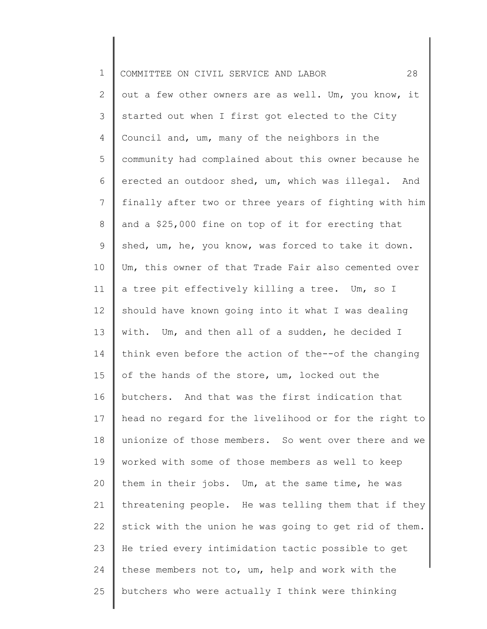| $\mathbf 1$     | 28<br>COMMITTEE ON CIVIL SERVICE AND LABOR            |
|-----------------|-------------------------------------------------------|
| 2               | out a few other owners are as well. Um, you know, it  |
| 3               | started out when I first got elected to the City      |
| 4               | Council and, um, many of the neighbors in the         |
| 5               | community had complained about this owner because he  |
| 6               | erected an outdoor shed, um, which was illegal. And   |
| 7               | finally after two or three years of fighting with him |
| 8               | and a \$25,000 fine on top of it for erecting that    |
| 9               | shed, um, he, you know, was forced to take it down.   |
| 10              | Um, this owner of that Trade Fair also cemented over  |
| 11              | a tree pit effectively killing a tree. Um, so I       |
| 12 <sup>2</sup> | should have known going into it what I was dealing    |
| 13              | with. Um, and then all of a sudden, he decided I      |
| 14              | think even before the action of the--of the changing  |
| 15              | of the hands of the store, um, locked out the         |
| 16              | butchers. And that was the first indication that      |
| 17              | head no regard for the livelihood or for the right to |
| 18              | unionize of those members. So went over there and we  |
| 19              | worked with some of those members as well to keep     |
| 20              | them in their jobs. Um, at the same time, he was      |
| 21              | threatening people. He was telling them that if they  |
| 22              | stick with the union he was going to get rid of them. |
| 23              | He tried every intimidation tactic possible to get    |
| 24              | these members not to, um, help and work with the      |
| 25              | butchers who were actually I think were thinking      |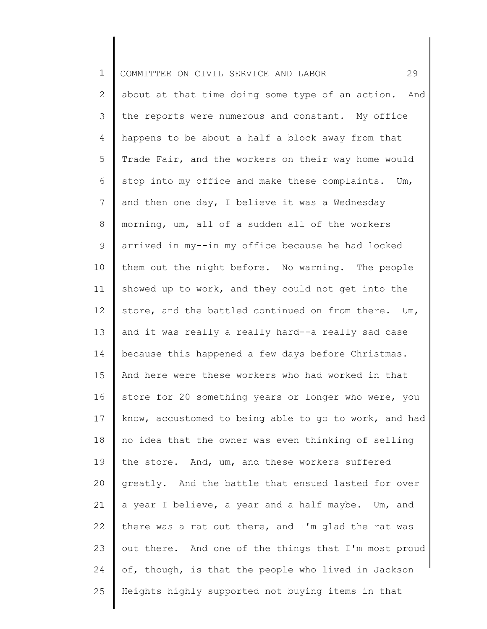| $\mathbf 1$    | 29<br>COMMITTEE ON CIVIL SERVICE AND LABOR            |
|----------------|-------------------------------------------------------|
| $\overline{2}$ | about at that time doing some type of an action. And  |
| 3              | the reports were numerous and constant. My office     |
| 4              | happens to be about a half a block away from that     |
| 5              | Trade Fair, and the workers on their way home would   |
| 6              | stop into my office and make these complaints. Um,    |
| $7\phantom{.}$ | and then one day, I believe it was a Wednesday        |
| 8              | morning, um, all of a sudden all of the workers       |
| 9              | arrived in my--in my office because he had locked     |
| 10             | them out the night before. No warning. The people     |
| 11             | showed up to work, and they could not get into the    |
| 12             | store, and the battled continued on from there. Um,   |
| 13             | and it was really a really hard--a really sad case    |
| 14             | because this happened a few days before Christmas.    |
| 15             | And here were these workers who had worked in that    |
| 16             | store for 20 something years or longer who were, you  |
| 17             | know, accustomed to being able to go to work, and had |
| 18             | no idea that the owner was even thinking of selling   |
| 19             | the store. And, um, and these workers suffered        |
| 20             | greatly. And the battle that ensued lasted for over   |
| 21             | a year I believe, a year and a half maybe. Um, and    |
| 22             | there was a rat out there, and I'm glad the rat was   |
| 23             | out there. And one of the things that I'm most proud  |
| 24             | of, though, is that the people who lived in Jackson   |
| 25             | Heights highly supported not buying items in that     |
|                |                                                       |

║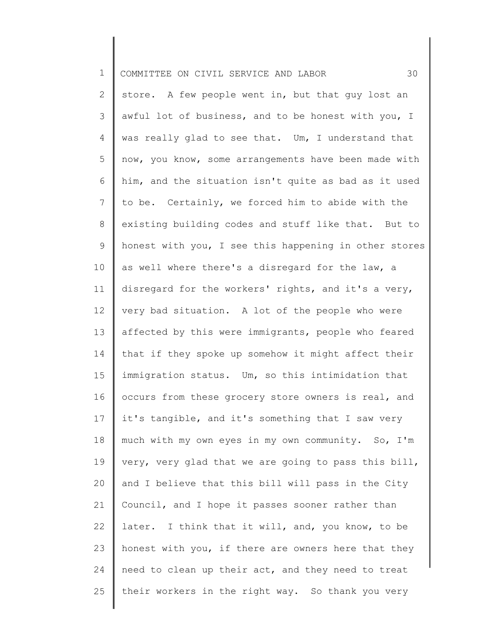1 COMMITTEE ON CIVIL SERVICE AND LABOR 30

2 3 4 5 6 7 8 9 10 11 12 13 14 15 16 17 18 19 20 21 22 23 24 25 store. A few people went in, but that guy lost an awful lot of business, and to be honest with you, I was really glad to see that. Um, I understand that now, you know, some arrangements have been made with him, and the situation isn't quite as bad as it used to be. Certainly, we forced him to abide with the existing building codes and stuff like that. But to honest with you, I see this happening in other stores as well where there's a disregard for the law, a disregard for the workers' rights, and it's a very, very bad situation. A lot of the people who were affected by this were immigrants, people who feared that if they spoke up somehow it might affect their immigration status. Um, so this intimidation that occurs from these grocery store owners is real, and it's tangible, and it's something that I saw very much with my own eyes in my own community. So, I'm very, very glad that we are going to pass this bill, and I believe that this bill will pass in the City Council, and I hope it passes sooner rather than later. I think that it will, and, you know, to be honest with you, if there are owners here that they need to clean up their act, and they need to treat their workers in the right way. So thank you very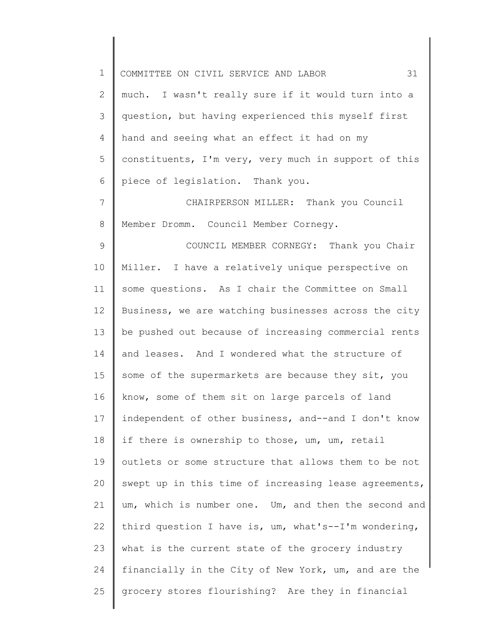1 2 3 4 5 6 7 8 9 10 11 12 13 14 15 16 17 18 19 20 21 22 23 24 25 COMMITTEE ON CIVIL SERVICE AND LABOR 31 much. I wasn't really sure if it would turn into a question, but having experienced this myself first hand and seeing what an effect it had on my constituents, I'm very, very much in support of this piece of legislation. Thank you. CHAIRPERSON MILLER: Thank you Council Member Dromm. Council Member Cornegy. COUNCIL MEMBER CORNEGY: Thank you Chair Miller. I have a relatively unique perspective on some questions. As I chair the Committee on Small Business, we are watching businesses across the city be pushed out because of increasing commercial rents and leases. And I wondered what the structure of some of the supermarkets are because they sit, you know, some of them sit on large parcels of land independent of other business, and--and I don't know if there is ownership to those, um, um, retail outlets or some structure that allows them to be not swept up in this time of increasing lease agreements, um, which is number one. Um, and then the second and third question I have is, um, what's--I'm wondering, what is the current state of the grocery industry financially in the City of New York, um, and are the grocery stores flourishing? Are they in financial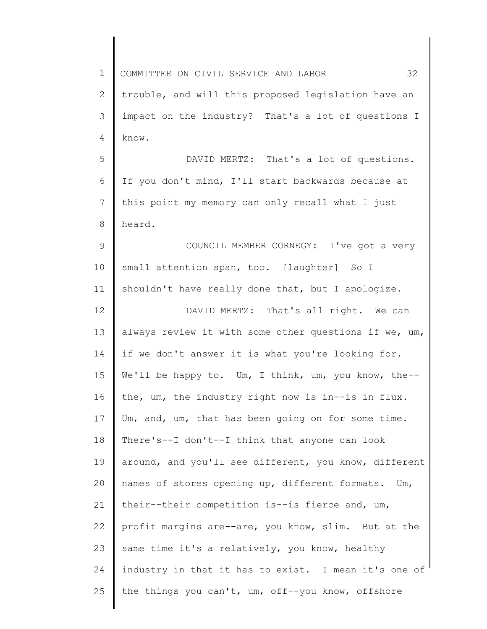1 2 3 4 5 6 7 8 9 10 11 12 13 14 15 16 17 18 19 20 21 22 23 24 25 COMMITTEE ON CIVIL SERVICE AND LABOR 32 trouble, and will this proposed legislation have an impact on the industry? That's a lot of questions I know. DAVID MERTZ: That's a lot of questions. If you don't mind, I'll start backwards because at this point my memory can only recall what I just heard. COUNCIL MEMBER CORNEGY: I've got a very small attention span, too. [laughter] So I shouldn't have really done that, but I apologize. DAVID MERTZ: That's all right. We can always review it with some other questions if we, um, if we don't answer it is what you're looking for. We'll be happy to. Um, I think, um, you know, the- the, um, the industry right now is in--is in flux. Um, and, um, that has been going on for some time. There's--I don't--I think that anyone can look around, and you'll see different, you know, different names of stores opening up, different formats. Um, their--their competition is--is fierce and, um, profit margins are--are, you know, slim. But at the same time it's a relatively, you know, healthy industry in that it has to exist. I mean it's one of the things you can't, um, off--you know, offshore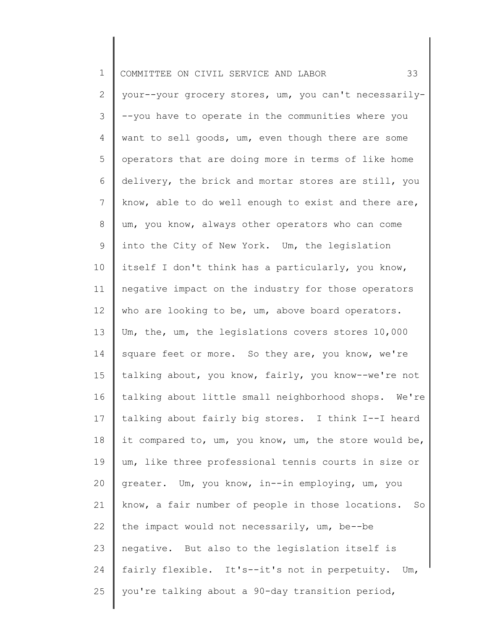1 2 3 4 5 6 7 8 9 10 11 12 13 14 15 16 17 18 19 20 21 22 23 24 25 COMMITTEE ON CIVIL SERVICE AND LABOR 33 your--your grocery stores, um, you can't necessarily- --you have to operate in the communities where you want to sell goods, um, even though there are some operators that are doing more in terms of like home delivery, the brick and mortar stores are still, you know, able to do well enough to exist and there are, um, you know, always other operators who can come into the City of New York. Um, the legislation itself I don't think has a particularly, you know, negative impact on the industry for those operators who are looking to be, um, above board operators. Um, the, um, the legislations covers stores 10,000 square feet or more. So they are, you know, we're talking about, you know, fairly, you know--we're not talking about little small neighborhood shops. We're talking about fairly big stores. I think I--I heard it compared to, um, you know, um, the store would be, um, like three professional tennis courts in size or greater. Um, you know, in--in employing, um, you know, a fair number of people in those locations. So the impact would not necessarily, um, be--be negative. But also to the legislation itself is fairly flexible. It's--it's not in perpetuity. Um, you're talking about a 90-day transition period,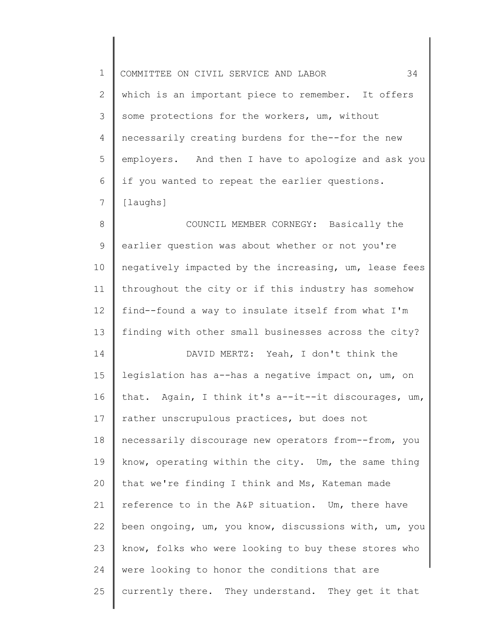| 1  | 34<br>COMMITTEE ON CIVIL SERVICE AND LABOR            |
|----|-------------------------------------------------------|
| 2  | which is an important piece to remember. It offers    |
| 3  | some protections for the workers, um, without         |
| 4  | necessarily creating burdens for the--for the new     |
| 5  | employers. And then I have to apologize and ask you   |
| 6  | if you wanted to repeat the earlier questions.        |
| 7  | [laughs]                                              |
| 8  | COUNCIL MEMBER CORNEGY: Basically the                 |
| 9  | earlier question was about whether or not you're      |
| 10 | negatively impacted by the increasing, um, lease fees |
| 11 | throughout the city or if this industry has somehow   |
| 12 | find--found a way to insulate itself from what I'm    |
| 13 | finding with other small businesses across the city?  |
| 14 | DAVID MERTZ: Yeah, I don't think the                  |
| 15 | legislation has a--has a negative impact on, um, on   |
| 16 | that. Again, I think it's a--it--it discourages, um,  |
| 17 | rather unscrupulous practices, but does not           |
| 18 | necessarily discourage new operators from--from, you  |
| 19 | know, operating within the city. Um, the same thing   |
| 20 | that we're finding I think and Ms, Kateman made       |
| 21 | reference to in the A&P situation. Um, there have     |
| 22 | been ongoing, um, you know, discussions with, um, you |
| 23 | know, folks who were looking to buy these stores who  |
| 24 | were looking to honor the conditions that are         |
| 25 | currently there. They understand. They get it that    |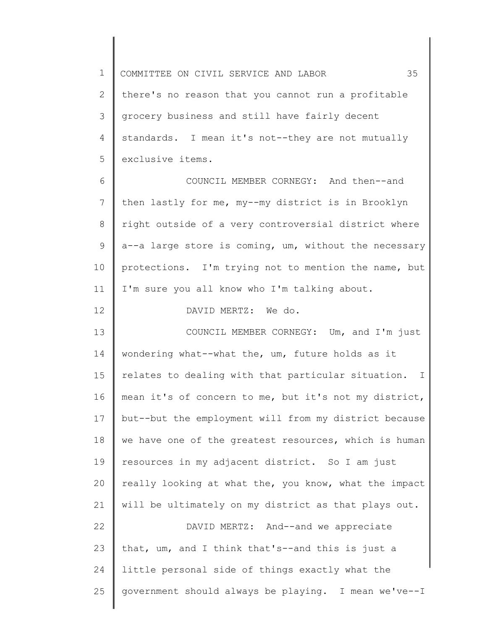1 2 3 4 5 6 COMMITTEE ON CIVIL SERVICE AND LABOR 35 there's no reason that you cannot run a profitable grocery business and still have fairly decent standards. I mean it's not--they are not mutually exclusive items. COUNCIL MEMBER CORNEGY: And then--and

7 8 9 10 11 then lastly for me, my--my district is in Brooklyn right outside of a very controversial district where a--a large store is coming, um, without the necessary protections. I'm trying not to mention the name, but I'm sure you all know who I'm talking about.

DAVID MERTZ: We do.

12

25

13 14 15 16 17 18 19 20 21 22 23 24 COUNCIL MEMBER CORNEGY: Um, and I'm just wondering what--what the, um, future holds as it relates to dealing with that particular situation. I mean it's of concern to me, but it's not my district, but--but the employment will from my district because we have one of the greatest resources, which is human resources in my adjacent district. So I am just really looking at what the, you know, what the impact will be ultimately on my district as that plays out. DAVID MERTZ: And--and we appreciate that, um, and I think that's--and this is just a little personal side of things exactly what the

government should always be playing. I mean we've--I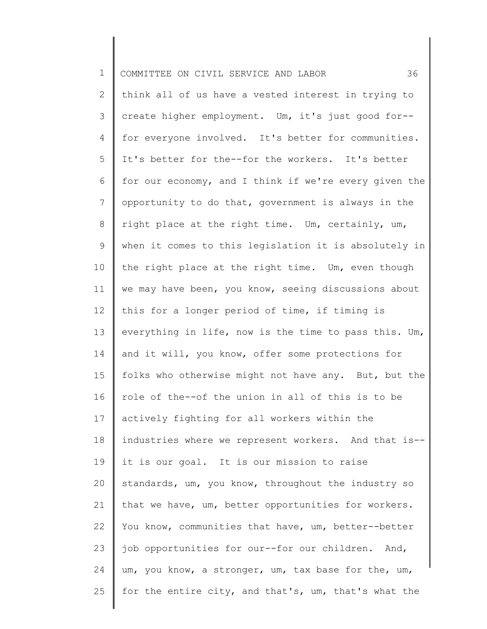| $\mathbf 1$    | 36<br>COMMITTEE ON CIVIL SERVICE AND LABOR            |
|----------------|-------------------------------------------------------|
| $\mathbf{2}$   | think all of us have a vested interest in trying to   |
| 3              | create higher employment. Um, it's just good for--    |
| 4              | for everyone involved. It's better for communities.   |
| 5              | It's better for the--for the workers. It's better     |
| 6              | for our economy, and I think if we're every given the |
| $\overline{7}$ | opportunity to do that, government is always in the   |
| $8\,$          | right place at the right time. Um, certainly, um,     |
| 9              | when it comes to this legislation it is absolutely in |
| 10             | the right place at the right time. Um, even though    |
| 11             | we may have been, you know, seeing discussions about  |
| 12             | this for a longer period of time, if timing is        |
| 13             | everything in life, now is the time to pass this. Um, |
| 14             | and it will, you know, offer some protections for     |
| 15             | folks who otherwise might not have any. But, but the  |
| 16             | role of the--of the union in all of this is to be     |
| 17             | actively fighting for all workers within the          |
| 18             | industries where we represent workers. And that is--  |
| 19             | it is our goal. It is our mission to raise            |
| 20             | standards, um, you know, throughout the industry so   |
| 21             | that we have, um, better opportunities for workers.   |
| 22             | You know, communities that have, um, better--better   |
| 23             | job opportunities for our--for our children. And,     |
| 24             | um, you know, a stronger, um, tax base for the, um,   |
| 25             | for the entire city, and that's, um, that's what the  |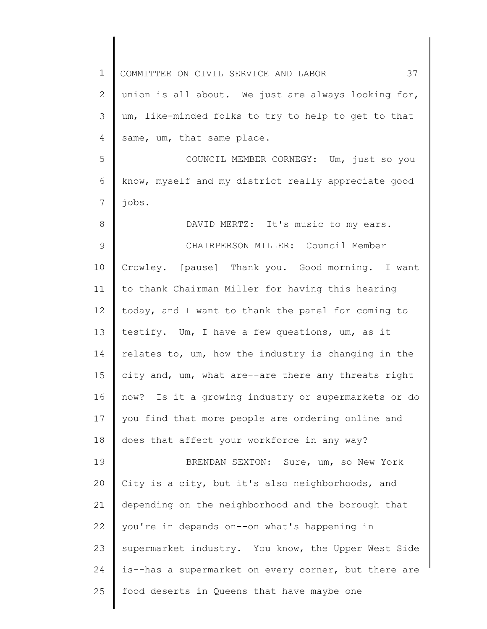| $\mathbf 1$   | 37<br>COMMITTEE ON CIVIL SERVICE AND LABOR           |
|---------------|------------------------------------------------------|
| 2             | union is all about. We just are always looking for,  |
| 3             | um, like-minded folks to try to help to get to that  |
| 4             | same, um, that same place.                           |
| 5             | COUNCIL MEMBER CORNEGY: Um, just so you              |
| 6             | know, myself and my district really appreciate good  |
| 7             | jobs.                                                |
| 8             | DAVID MERTZ: It's music to my ears.                  |
| $\mathcal{G}$ | CHAIRPERSON MILLER: Council Member                   |
| 10            | Crowley. [pause] Thank you. Good morning. I want     |
| 11            | to thank Chairman Miller for having this hearing     |
| 12            | today, and I want to thank the panel for coming to   |
| 13            | testify. Um, I have a few questions, um, as it       |
| 14            | relates to, um, how the industry is changing in the  |
| 15            | city and, um, what are--are there any threats right  |
| 16            | now? Is it a growing industry or supermarkets or do  |
| 17            | you find that more people are ordering online and    |
| 18            | does that affect your workforce in any way?          |
| 19            | BRENDAN SEXTON: Sure, um, so New York                |
| 20            | City is a city, but it's also neighborhoods, and     |
| 21            | depending on the neighborhood and the borough that   |
| 22            | you're in depends on--on what's happening in         |
| 23            | supermarket industry. You know, the Upper West Side  |
| 24            | is--has a supermarket on every corner, but there are |
| 25            | food deserts in Queens that have maybe one           |
|               |                                                      |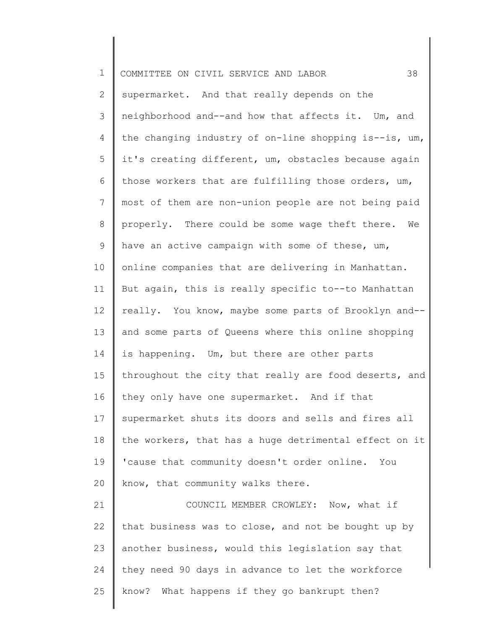| $1\,$           | 38<br>COMMITTEE ON CIVIL SERVICE AND LABOR            |
|-----------------|-------------------------------------------------------|
| $\mathbf{2}$    | supermarket. And that really depends on the           |
| 3               | neighborhood and--and how that affects it. Um, and    |
| 4               | the changing industry of on-line shopping is--is, um, |
| 5               | it's creating different, um, obstacles because again  |
| 6               | those workers that are fulfilling those orders, um,   |
| $7\overline{ }$ | most of them are non-union people are not being paid  |
| 8               | properly. There could be some wage theft there.<br>We |
| 9               | have an active campaign with some of these, um,       |
| 10              | online companies that are delivering in Manhattan.    |
| 11              | But again, this is really specific to--to Manhattan   |
| 12              | really. You know, maybe some parts of Brooklyn and--  |
| 13              | and some parts of Queens where this online shopping   |
| 14              | is happening. Um, but there are other parts           |
| 15              | throughout the city that really are food deserts, and |
| 16              | they only have one supermarket. And if that           |
| 17              | supermarket shuts its doors and sells and fires all   |
| 18              | the workers, that has a huge detrimental effect on it |
| 19              | 'cause that community doesn't order online.<br>You    |
| 20              | know, that community walks there.                     |
| 21              | COUNCIL MEMBER CROWLEY: Now, what if                  |
| 22              | that business was to close, and not be bought up by   |
| 23              | another business, would this legislation say that     |
| 24              | they need 90 days in advance to let the workforce     |
| 25              | know? What happens if they go bankrupt then?          |

║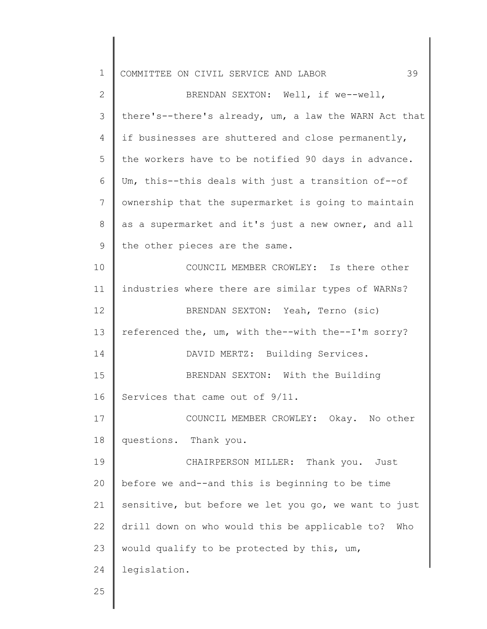| $\mathbf 1$    | 39<br>COMMITTEE ON CIVIL SERVICE AND LABOR            |
|----------------|-------------------------------------------------------|
| $\mathbf{2}$   | BRENDAN SEXTON: Well, if we--well,                    |
| $\mathfrak{Z}$ | there's--there's already, um, a law the WARN Act that |
| 4              | if businesses are shuttered and close permanently,    |
| 5              | the workers have to be notified 90 days in advance.   |
| 6              | Um, this--this deals with just a transition of--of    |
| 7              | ownership that the supermarket is going to maintain   |
| 8              | as a supermarket and it's just a new owner, and all   |
| 9              | the other pieces are the same.                        |
| 10             | COUNCIL MEMBER CROWLEY: Is there other                |
| 11             | industries where there are similar types of WARNs?    |
| 12             | BRENDAN SEXTON: Yeah, Terno (sic)                     |
| 13             | referenced the, um, with the--with the--I'm sorry?    |
| 14             | DAVID MERTZ: Building Services.                       |
| 15             | BRENDAN SEXTON: With the Building                     |
| 16             | Services that came out of 9/11.                       |
| 17             | COUNCIL MEMBER CROWLEY: Okay. No other                |
| 18             | questions. Thank you.                                 |
| 19             | CHAIRPERSON MILLER: Thank you. Just                   |
| 20             | before we and--and this is beginning to be time       |
| 21             | sensitive, but before we let you go, we want to just  |
| 22             | drill down on who would this be applicable to? Who    |
| 23             | would qualify to be protected by this, um,            |
| 24             | legislation.                                          |
| 25             |                                                       |
|                |                                                       |

║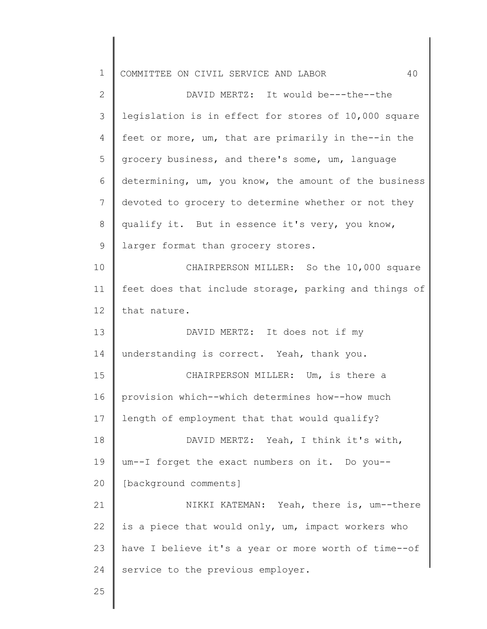1 2 3 COMMITTEE ON CIVIL SERVICE AND LABOR 40 DAVID MERTZ: It would be---the--the legislation is in effect for stores of 10,000 square

4 5 6 7 8 9 10 11 feet or more, um, that are primarily in the--in the grocery business, and there's some, um, language determining, um, you know, the amount of the business devoted to grocery to determine whether or not they qualify it. But in essence it's very, you know, larger format than grocery stores. CHAIRPERSON MILLER: So the 10,000 square feet does that include storage, parking and things of

12 13 14 that nature. DAVID MERTZ: It does not if my understanding is correct. Yeah, thank you.

15 16 17 CHAIRPERSON MILLER: Um, is there a provision which--which determines how--how much length of employment that that would qualify?

18 19 20 DAVID MERTZ: Yeah, I think it's with, um--I forget the exact numbers on it. Do you-- [background comments]

21 22 23 24 NIKKI KATEMAN: Yeah, there is, um--there is a piece that would only, um, impact workers who have I believe it's a year or more worth of time--of service to the previous employer.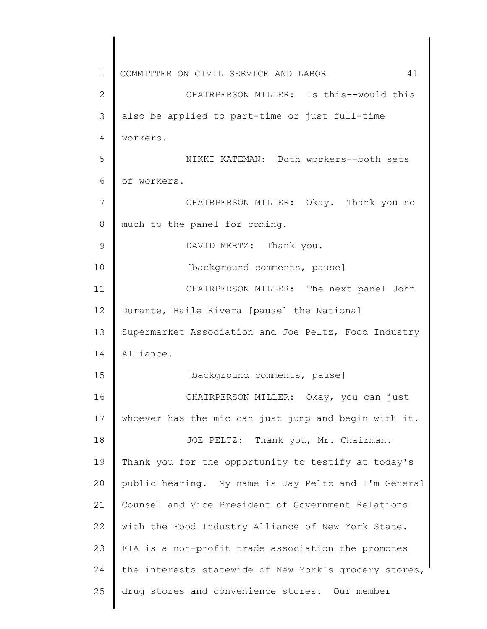| $\mathbf{1}$ | COMMITTEE ON CIVIL SERVICE AND LABOR<br>41            |
|--------------|-------------------------------------------------------|
| $\mathbf{2}$ | CHAIRPERSON MILLER: Is this--would this               |
| 3            | also be applied to part-time or just full-time        |
| 4            | workers.                                              |
| 5            | NIKKI KATEMAN: Both workers--both sets                |
| 6            | of workers.                                           |
| 7            | CHAIRPERSON MILLER: Okay. Thank you so                |
| 8            | much to the panel for coming.                         |
| 9            | DAVID MERTZ: Thank you.                               |
| 10           | [background comments, pause]                          |
| 11           | CHAIRPERSON MILLER: The next panel John               |
| 12           | Durante, Haile Rivera [pause] the National            |
| 13           | Supermarket Association and Joe Peltz, Food Industry  |
| 14           | Alliance.                                             |
| 15           | [background comments, pause]                          |
| 16           | CHAIRPERSON MILLER: Okay, you can just                |
| 17           | whoever has the mic can just jump and begin with it.  |
| 18           | JOE PELTZ: Thank you, Mr. Chairman.                   |
| 19           | Thank you for the opportunity to testify at today's   |
| 20           | public hearing. My name is Jay Peltz and I'm General  |
| 21           | Counsel and Vice President of Government Relations    |
| 22           | with the Food Industry Alliance of New York State.    |
| 23           | FIA is a non-profit trade association the promotes    |
| 24           | the interests statewide of New York's grocery stores, |
| 25           | drug stores and convenience stores. Our member        |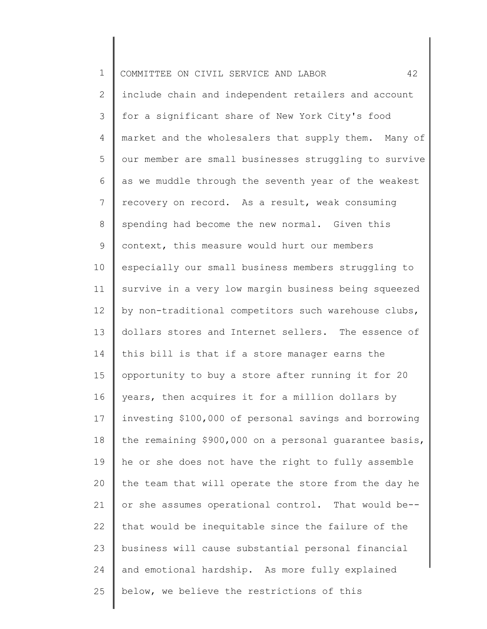| $\mathbf 1$    | 42<br>COMMITTEE ON CIVIL SERVICE AND LABOR             |
|----------------|--------------------------------------------------------|
| 2              | include chain and independent retailers and account    |
| 3              | for a significant share of New York City's food        |
| 4              | market and the wholesalers that supply them. Many of   |
| 5              | our member are small businesses struggling to survive  |
| 6              | as we muddle through the seventh year of the weakest   |
| $\overline{7}$ | recovery on record. As a result, weak consuming        |
| 8              | spending had become the new normal. Given this         |
| $\mathsf 9$    | context, this measure would hurt our members           |
| 10             | especially our small business members struggling to    |
| 11             | survive in a very low margin business being squeezed   |
| 12             | by non-traditional competitors such warehouse clubs,   |
| 13             | dollars stores and Internet sellers. The essence of    |
| 14             | this bill is that if a store manager earns the         |
| 15             | opportunity to buy a store after running it for 20     |
| 16             | years, then acquires it for a million dollars by       |
| 17             | investing \$100,000 of personal savings and borrowing  |
| 18             | the remaining \$900,000 on a personal guarantee basis, |
| 19             | he or she does not have the right to fully assemble    |
| 20             | the team that will operate the store from the day he   |
| 21             | or she assumes operational control. That would be--    |
| 22             | that would be inequitable since the failure of the     |
| 23             | business will cause substantial personal financial     |
| 24             | and emotional hardship. As more fully explained        |
| 25             | below, we believe the restrictions of this             |
|                |                                                        |

 $\begin{array}{c} \hline \end{array}$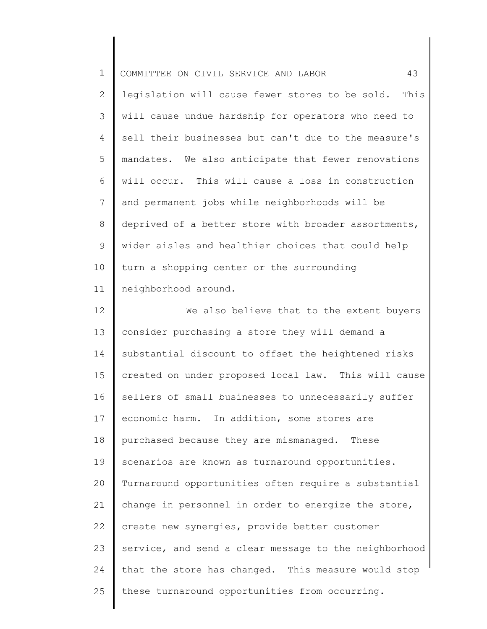| $\mathbf 1$    | 43<br>COMMITTEE ON CIVIL SERVICE AND LABOR            |
|----------------|-------------------------------------------------------|
| $\overline{2}$ | legislation will cause fewer stores to be sold. This  |
| 3              | will cause undue hardship for operators who need to   |
| 4              | sell their businesses but can't due to the measure's  |
| 5              | mandates. We also anticipate that fewer renovations   |
| 6              | will occur. This will cause a loss in construction    |
| $7\phantom{.}$ | and permanent jobs while neighborhoods will be        |
| $\,8\,$        | deprived of a better store with broader assortments,  |
| $\mathsf 9$    | wider aisles and healthier choices that could help    |
| 10             | turn a shopping center or the surrounding             |
| 11             | neighborhood around.                                  |
| 12             | We also believe that to the extent buyers             |
| 13             | consider purchasing a store they will demand a        |
| 14             | substantial discount to offset the heightened risks   |
| 15             | created on under proposed local law. This will cause  |
| 16             | sellers of small businesses to unnecessarily suffer   |
| 17             | economic harm. In addition, some stores are           |
| 18             | purchased because they are mismanaged. These          |
| 19             | scenarios are known as turnaround opportunities.      |
| 20             | Turnaround opportunities often require a substantial  |
| 21             | change in personnel in order to energize the store,   |
| 22             | create new synergies, provide better customer         |
| 23             | service, and send a clear message to the neighborhood |
| 24             | that the store has changed. This measure would stop   |
| 25             | these turnaround opportunities from occurring.        |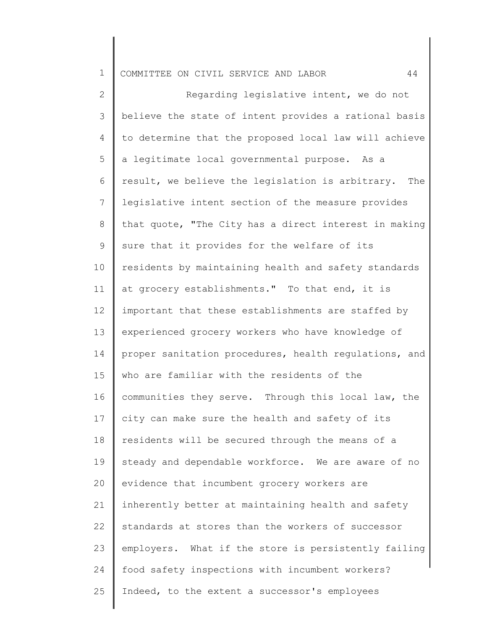## 1 COMMITTEE ON CIVIL SERVICE AND LABOR 44

2 3 4 5 6 7 8 9 10 11 12 13 14 15 16 17 18 19 20 21 22 23 24 25 Regarding legislative intent, we do not believe the state of intent provides a rational basis to determine that the proposed local law will achieve a legitimate local governmental purpose. As a result, we believe the legislation is arbitrary. The legislative intent section of the measure provides that quote, "The City has a direct interest in making sure that it provides for the welfare of its residents by maintaining health and safety standards at grocery establishments." To that end, it is important that these establishments are staffed by experienced grocery workers who have knowledge of proper sanitation procedures, health regulations, and who are familiar with the residents of the communities they serve. Through this local law, the city can make sure the health and safety of its residents will be secured through the means of a steady and dependable workforce. We are aware of no evidence that incumbent grocery workers are inherently better at maintaining health and safety standards at stores than the workers of successor employers. What if the store is persistently failing food safety inspections with incumbent workers? Indeed, to the extent a successor's employees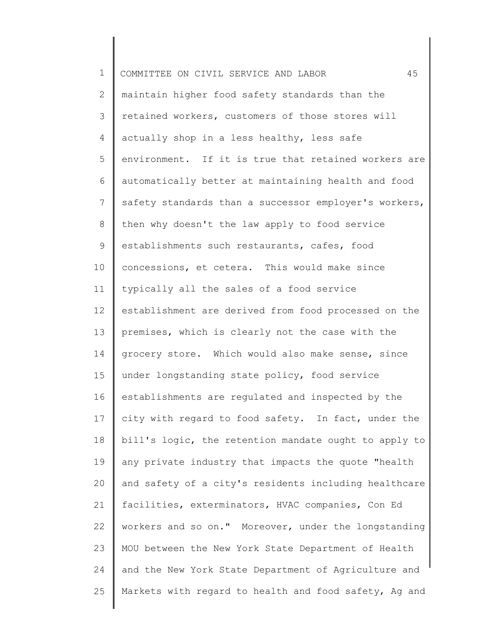| 45<br>COMMITTEE ON CIVIL SERVICE AND LABOR            |
|-------------------------------------------------------|
| maintain higher food safety standards than the        |
| retained workers, customers of those stores will      |
| actually shop in a less healthy, less safe            |
| environment. If it is true that retained workers are  |
| automatically better at maintaining health and food   |
| safety standards than a successor employer's workers, |
| then why doesn't the law apply to food service        |
| establishments such restaurants, cafes, food          |
| concessions, et cetera. This would make since         |
| typically all the sales of a food service             |
| establishment are derived from food processed on the  |
| premises, which is clearly not the case with the      |
| grocery store. Which would also make sense, since     |
| under longstanding state policy, food service         |
| establishments are regulated and inspected by the     |
| city with regard to food safety. In fact, under the   |
| bill's logic, the retention mandate ought to apply to |
| any private industry that impacts the quote "health   |
| and safety of a city's residents including healthcare |
| facilities, exterminators, HVAC companies, Con Ed     |
| workers and so on." Moreover, under the longstanding  |
| MOU between the New York State Department of Health   |
| and the New York State Department of Agriculture and  |
| Markets with regard to health and food safety, Ag and |
|                                                       |

║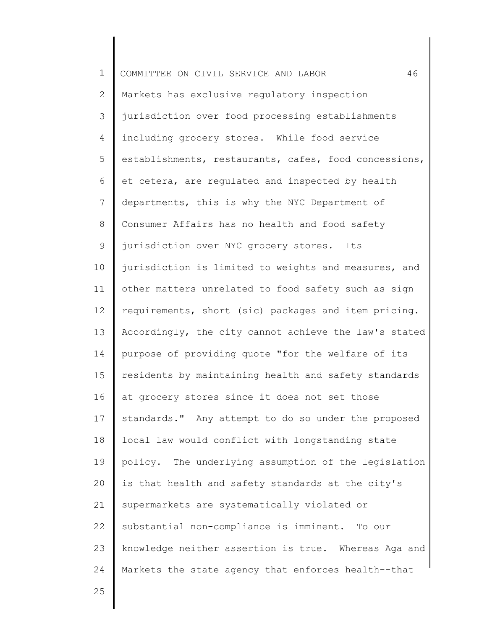| $\mathbf 1$    | 46<br>COMMITTEE ON CIVIL SERVICE AND LABOR            |
|----------------|-------------------------------------------------------|
| $\mathbf{2}$   | Markets has exclusive regulatory inspection           |
| 3              | jurisdiction over food processing establishments      |
| 4              | including grocery stores. While food service          |
| 5              | establishments, restaurants, cafes, food concessions, |
| 6              | et cetera, are regulated and inspected by health      |
| $\overline{7}$ | departments, this is why the NYC Department of        |
| $8\,$          | Consumer Affairs has no health and food safety        |
| 9              | jurisdiction over NYC grocery stores.<br>Its          |
| 10             | jurisdiction is limited to weights and measures, and  |
| 11             | other matters unrelated to food safety such as sign   |
| 12             | requirements, short (sic) packages and item pricing.  |
| 13             | Accordingly, the city cannot achieve the law's stated |
| 14             | purpose of providing quote "for the welfare of its    |
| 15             | residents by maintaining health and safety standards  |
| 16             | at grocery stores since it does not set those         |
| 17             | standards." Any attempt to do so under the proposed   |
| 18             | local law would conflict with longstanding state      |
| 19             | policy. The underlying assumption of the legislation  |
| 20             | is that health and safety standards at the city's     |
| 21             | supermarkets are systematically violated or           |
| 22             | substantial non-compliance is imminent. To our        |
| 23             | knowledge neither assertion is true. Whereas Aga and  |
| 24             | Markets the state agency that enforces health--that   |
| 25             |                                                       |
|                |                                                       |

 $\mathsf{l}$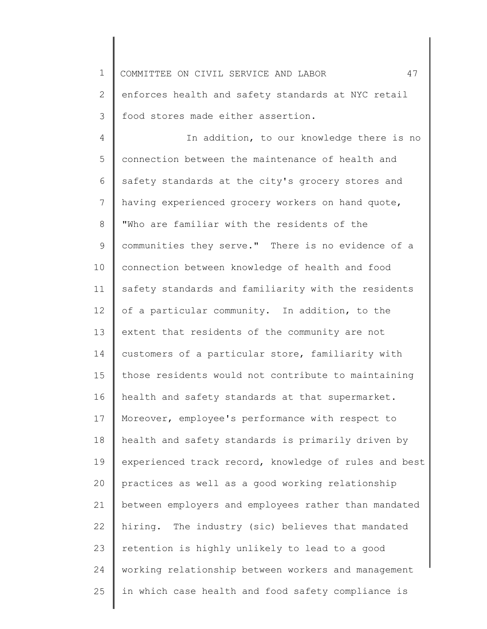1 2 3 COMMITTEE ON CIVIL SERVICE AND LABOR 47 enforces health and safety standards at NYC retail food stores made either assertion.

4 5 6 7 8 9 10 11 12 13 14 15 16 17 18 19 20 21 22 23 24 25 In addition, to our knowledge there is no connection between the maintenance of health and safety standards at the city's grocery stores and having experienced grocery workers on hand quote, "Who are familiar with the residents of the communities they serve." There is no evidence of a connection between knowledge of health and food safety standards and familiarity with the residents of a particular community. In addition, to the extent that residents of the community are not customers of a particular store, familiarity with those residents would not contribute to maintaining health and safety standards at that supermarket. Moreover, employee's performance with respect to health and safety standards is primarily driven by experienced track record, knowledge of rules and best practices as well as a good working relationship between employers and employees rather than mandated hiring. The industry (sic) believes that mandated retention is highly unlikely to lead to a good working relationship between workers and management in which case health and food safety compliance is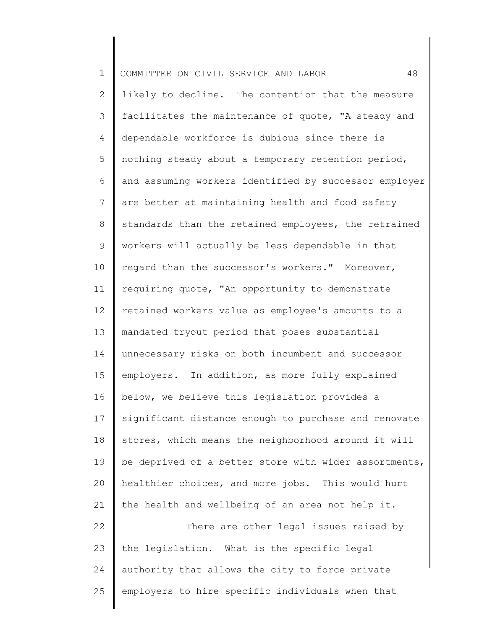| $\mathbf 1$    | 48<br>COMMITTEE ON CIVIL SERVICE AND LABOR            |
|----------------|-------------------------------------------------------|
| $\mathbf{2}$   | likely to decline. The contention that the measure    |
| 3              | facilitates the maintenance of quote, "A steady and   |
| 4              | dependable workforce is dubious since there is        |
| 5              | nothing steady about a temporary retention period,    |
| 6              | and assuming workers identified by successor employer |
| $\overline{7}$ | are better at maintaining health and food safety      |
| 8              | standards than the retained employees, the retrained  |
| $\mathsf 9$    | workers will actually be less dependable in that      |
| 10             | regard than the successor's workers." Moreover,       |
| 11             | requiring quote, "An opportunity to demonstrate       |
| 12             | retained workers value as employee's amounts to a     |
| 13             | mandated tryout period that poses substantial         |
| 14             | unnecessary risks on both incumbent and successor     |
| 15             | employers. In addition, as more fully explained       |
| 16             | below, we believe this legislation provides a         |
| 17             | significant distance enough to purchase and renovate  |
| 18             | stores, which means the neighborhood around it will   |
| 19             | be deprived of a better store with wider assortments, |
| 20             | healthier choices, and more jobs. This would hurt     |
| 21             | the health and wellbeing of an area not help it.      |
| 22             | There are other legal issues raised by                |
| 23             | the legislation. What is the specific legal           |
| 24             | authority that allows the city to force private       |
| 25             | employers to hire specific individuals when that      |
|                |                                                       |

║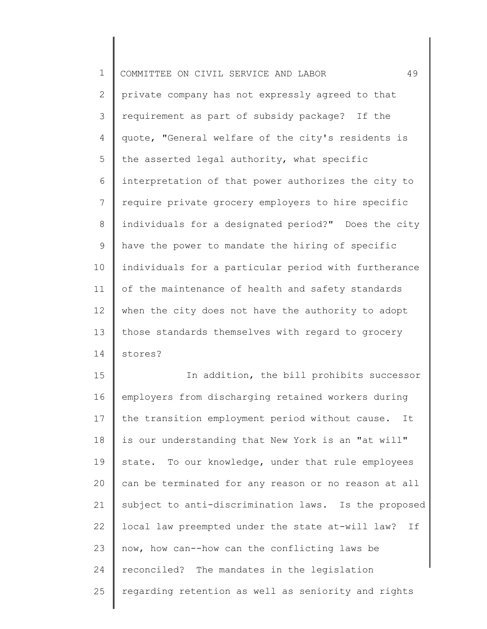| $\mathbf 1$    | 49<br>COMMITTEE ON CIVIL SERVICE AND LABOR             |
|----------------|--------------------------------------------------------|
| $\overline{2}$ | private company has not expressly agreed to that       |
| 3              | requirement as part of subsidy package? If the         |
| 4              | quote, "General welfare of the city's residents is     |
| 5              | the asserted legal authority, what specific            |
| 6              | interpretation of that power authorizes the city to    |
| $\overline{7}$ | require private grocery employers to hire specific     |
| 8              | individuals for a designated period?" Does the city    |
| 9              | have the power to mandate the hiring of specific       |
| 10             | individuals for a particular period with furtherance   |
| 11             | of the maintenance of health and safety standards      |
| 12             | when the city does not have the authority to adopt     |
| 13             | those standards themselves with regard to grocery      |
| 14             | stores?                                                |
| 15             | In addition, the bill prohibits successor              |
| 16             | employers from discharging retained workers during     |
| 17             | the transition employment period without cause. It     |
| 18             | is our understanding that New York is an "at will"     |
| 19             | state. To our knowledge, under that rule employees     |
| 20             | can be terminated for any reason or no reason at all   |
| 21             | subject to anti-discrimination laws. Is the proposed   |
| 22             | local law preempted under the state at-will law?<br>If |
| 23             | now, how can--how can the conflicting laws be          |
| 24             | reconciled? The mandates in the legislation            |
| 25             | regarding retention as well as seniority and rights    |
|                |                                                        |

∥ ∥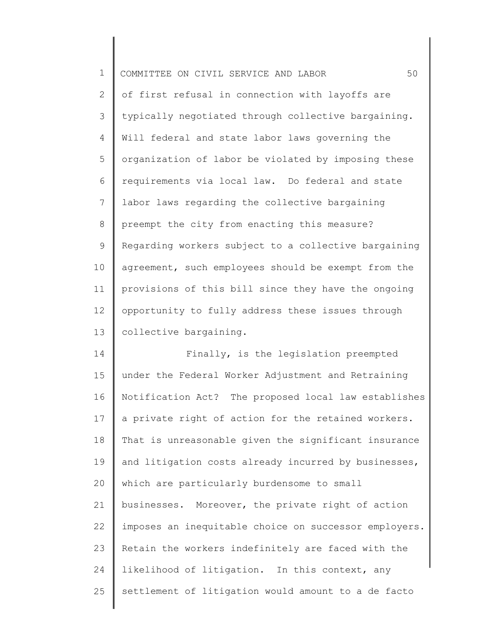| $\mathbf 1$  | 50<br>COMMITTEE ON CIVIL SERVICE AND LABOR            |
|--------------|-------------------------------------------------------|
| $\mathbf{2}$ | of first refusal in connection with layoffs are       |
| 3            | typically negotiated through collective bargaining.   |
| 4            | Will federal and state labor laws governing the       |
| 5            | organization of labor be violated by imposing these   |
| 6            | requirements via local law. Do federal and state      |
| 7            | labor laws regarding the collective bargaining        |
| 8            | preempt the city from enacting this measure?          |
| 9            | Regarding workers subject to a collective bargaining  |
| 10           | agreement, such employees should be exempt from the   |
| 11           | provisions of this bill since they have the ongoing   |
| 12           | opportunity to fully address these issues through     |
| 13           | collective bargaining.                                |
| 14           | Finally, is the legislation preempted                 |
| 15           | under the Federal Worker Adjustment and Retraining    |
| 16           | Notification Act? The proposed local law establishes  |
| 17           | a private right of action for the retained workers.   |
| 18           | That is unreasonable given the significant insurance  |
| 19           | and litigation costs already incurred by businesses,  |
| 20           | which are particularly burdensome to small            |
| 21           | businesses. Moreover, the private right of action     |
| 22           | imposes an inequitable choice on successor employers. |
| 23           | Retain the workers indefinitely are faced with the    |
| 24           | likelihood of litigation. In this context, any        |
| 25           | settlement of litigation would amount to a de facto   |
|              |                                                       |

∥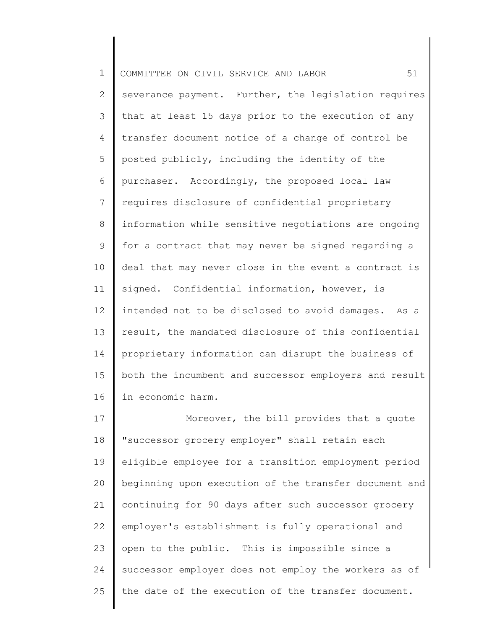1 2 3 4 5 6 7 8 9 10 11 12 13 14 15 16 17 18 19 20 21 22 23 24 25 COMMITTEE ON CIVIL SERVICE AND LABOR 51 severance payment. Further, the legislation requires that at least 15 days prior to the execution of any transfer document notice of a change of control be posted publicly, including the identity of the purchaser. Accordingly, the proposed local law requires disclosure of confidential proprietary information while sensitive negotiations are ongoing for a contract that may never be signed regarding a deal that may never close in the event a contract is signed. Confidential information, however, is intended not to be disclosed to avoid damages. As a result, the mandated disclosure of this confidential proprietary information can disrupt the business of both the incumbent and successor employers and result in economic harm. Moreover, the bill provides that a quote "successor grocery employer" shall retain each eligible employee for a transition employment period beginning upon execution of the transfer document and continuing for 90 days after such successor grocery employer's establishment is fully operational and open to the public. This is impossible since a successor employer does not employ the workers as of the date of the execution of the transfer document.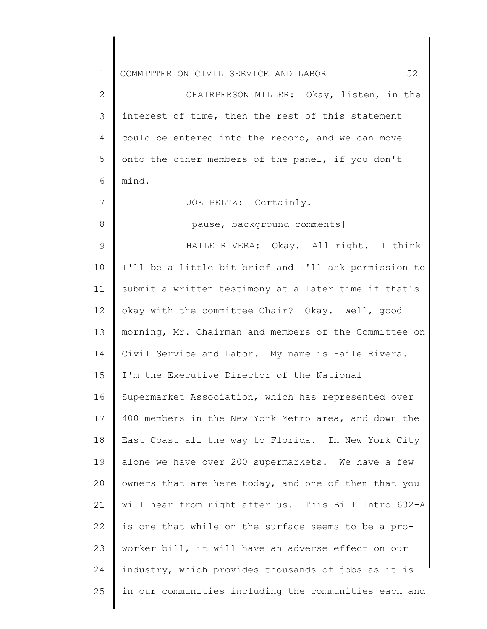1 2 3 4 5 6 7 8 9 10 11 12 13 14 15 16 17 18 19 20 21 22 23 24 25 COMMITTEE ON CIVIL SERVICE AND LABOR 52 CHAIRPERSON MILLER: Okay, listen, in the interest of time, then the rest of this statement could be entered into the record, and we can move onto the other members of the panel, if you don't mind. JOE PELTZ: Certainly. [pause, background comments] HAILE RIVERA: Okay. All right. I think I'll be a little bit brief and I'll ask permission to submit a written testimony at a later time if that's okay with the committee Chair? Okay. Well, good morning, Mr. Chairman and members of the Committee on Civil Service and Labor. My name is Haile Rivera. I'm the Executive Director of the National Supermarket Association, which has represented over 400 members in the New York Metro area, and down the East Coast all the way to Florida. In New York City alone we have over 200 supermarkets. We have a few owners that are here today, and one of them that you will hear from right after us. This Bill Intro 632-A is one that while on the surface seems to be a proworker bill, it will have an adverse effect on our industry, which provides thousands of jobs as it is in our communities including the communities each and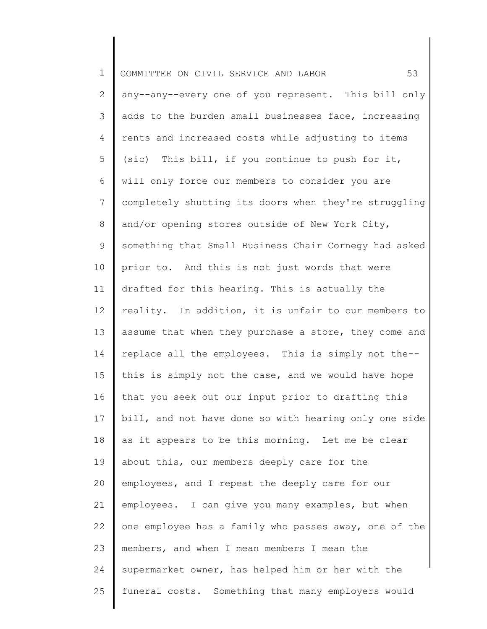| $\mathbf 1$    | 53<br>COMMITTEE ON CIVIL SERVICE AND LABOR            |
|----------------|-------------------------------------------------------|
| $\overline{2}$ | any--any--every one of you represent. This bill only  |
| 3              | adds to the burden small businesses face, increasing  |
| 4              | rents and increased costs while adjusting to items    |
| 5              | (sic) This bill, if you continue to push for it,      |
| 6              | will only force our members to consider you are       |
| $7\phantom{.}$ | completely shutting its doors when they're struggling |
| $8\,$          | and/or opening stores outside of New York City,       |
| 9              | something that Small Business Chair Cornegy had asked |
| 10             | prior to. And this is not just words that were        |
| 11             | drafted for this hearing. This is actually the        |
| 12             | reality. In addition, it is unfair to our members to  |
| 13             | assume that when they purchase a store, they come and |
| 14             | replace all the employees. This is simply not the--   |
| 15             | this is simply not the case, and we would have hope   |
| 16             | that you seek out our input prior to drafting this    |
| 17             | bill, and not have done so with hearing only one side |
| 18             | as it appears to be this morning. Let me be clear     |
| 19             | about this, our members deeply care for the           |
| 20             | employees, and I repeat the deeply care for our       |
| 21             | employees. I can give you many examples, but when     |
| 22             | one employee has a family who passes away, one of the |
| 23             | members, and when I mean members I mean the           |
| 24             | supermarket owner, has helped him or her with the     |
| 25             | funeral costs. Something that many employers would    |
|                |                                                       |

║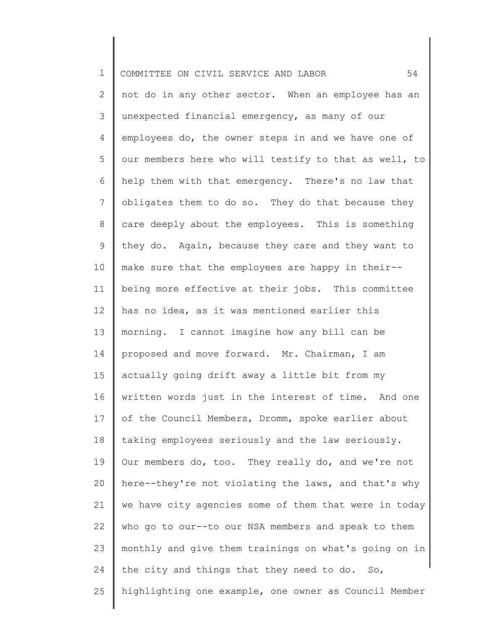| $\mathbf 1$    | 54<br>COMMITTEE ON CIVIL SERVICE AND LABOR            |
|----------------|-------------------------------------------------------|
| $\overline{2}$ | not do in any other sector. When an employee has an   |
| 3              | unexpected financial emergency, as many of our        |
| 4              | employees do, the owner steps in and we have one of   |
| 5              | our members here who will testify to that as well, to |
| 6              | help them with that emergency. There's no law that    |
| $7\phantom{.}$ | obligates them to do so. They do that because they    |
| 8              | care deeply about the employees. This is something    |
| 9              | they do. Again, because they care and they want to    |
| 10             | make sure that the employees are happy in their--     |
| 11             | being more effective at their jobs. This committee    |
| 12             | has no idea, as it was mentioned earlier this         |
| 13             | morning. I cannot imagine how any bill can be         |
| 14             | proposed and move forward. Mr. Chairman, I am         |
| 15             | actually going drift away a little bit from my        |
| 16             | written words just in the interest of time. And one   |
| 17             | of the Council Members, Dromm, spoke earlier about    |
| 18             | taking employees seriously and the law seriously.     |
| 19             | Our members do, too. They really do, and we're not    |
| 20             | here--they're not violating the laws, and that's why  |
| 21             | we have city agencies some of them that were in today |
| 22             | who go to our--to our NSA members and speak to them   |
| 23             | monthly and give them trainings on what's going on in |
| 24             | the city and things that they need to do. So,         |
| 25             | highlighting one example, one owner as Council Member |
|                |                                                       |

 $\begin{array}{c} \hline \end{array}$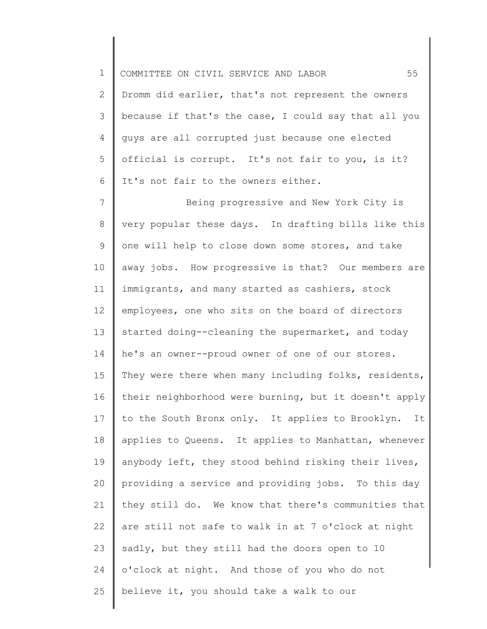1 2 3 4 5 6 COMMITTEE ON CIVIL SERVICE AND LABOR 55 Dromm did earlier, that's not represent the owners because if that's the case, I could say that all you guys are all corrupted just because one elected official is corrupt. It's not fair to you, is it? It's not fair to the owners either.

7 8 9 10 11 12 13 14 15 16 17 18 19 20 21 22 23 24 25 Being progressive and New York City is very popular these days. In drafting bills like this one will help to close down some stores, and take away jobs. How progressive is that? Our members are immigrants, and many started as cashiers, stock employees, one who sits on the board of directors started doing--cleaning the supermarket, and today he's an owner--proud owner of one of our stores. They were there when many including folks, residents, their neighborhood were burning, but it doesn't apply to the South Bronx only. It applies to Brooklyn. It applies to Queens. It applies to Manhattan, whenever anybody left, they stood behind risking their lives, providing a service and providing jobs. To this day they still do. We know that there's communities that are still not safe to walk in at 7 o'clock at night sadly, but they still had the doors open to 10 o'clock at night. And those of you who do not believe it, you should take a walk to our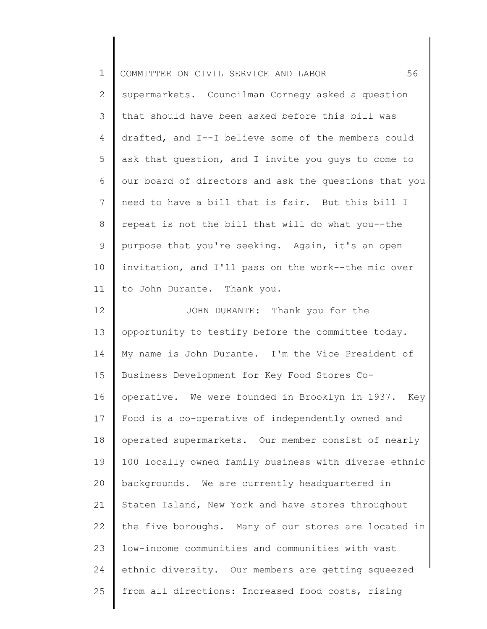| 56<br>COMMITTEE ON CIVIL SERVICE AND LABOR<br>supermarkets. Councilman Cornegy asked a question |
|-------------------------------------------------------------------------------------------------|
|                                                                                                 |
|                                                                                                 |
| that should have been asked before this bill was                                                |
| drafted, and I--I believe some of the members could                                             |
| ask that question, and I invite you guys to come to                                             |
| our board of directors and ask the questions that you                                           |
| need to have a bill that is fair. But this bill I                                               |
| repeat is not the bill that will do what you--the                                               |
| purpose that you're seeking. Again, it's an open                                                |
| invitation, and I'll pass on the work--the mic over                                             |
| to John Durante. Thank you.                                                                     |
| JOHN DURANTE: Thank you for the                                                                 |
| opportunity to testify before the committee today.                                              |
| My name is John Durante. I'm the Vice President of                                              |
| Business Development for Key Food Stores Co-                                                    |
| operative. We were founded in Brooklyn in 1937.<br>Key                                          |
| Food is a co-operative of independently owned and                                               |
| operated supermarkets. Our member consist of nearly                                             |
| 100 locally owned family business with diverse ethnic                                           |
| backgrounds. We are currently headquartered in                                                  |
| Staten Island, New York and have stores throughout                                              |
| the five boroughs. Many of our stores are located in                                            |
| low-income communities and communities with vast                                                |
| ethnic diversity. Our members are getting squeezed                                              |
| from all directions: Increased food costs, rising                                               |
|                                                                                                 |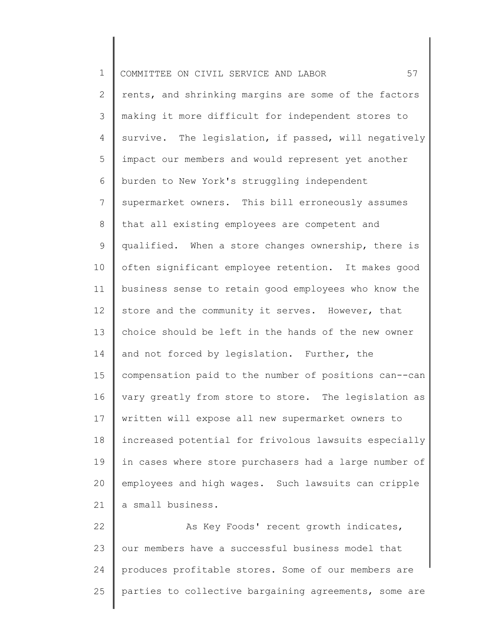1 2 3 4 5 6 7 8 9 10 11 12 13 14 15 16 17 18 19 20 21 22 23 24 25 COMMITTEE ON CIVIL SERVICE AND LABOR 57 rents, and shrinking margins are some of the factors making it more difficult for independent stores to survive. The legislation, if passed, will negatively impact our members and would represent yet another burden to New York's struggling independent supermarket owners. This bill erroneously assumes that all existing employees are competent and qualified. When a store changes ownership, there is often significant employee retention. It makes good business sense to retain good employees who know the store and the community it serves. However, that choice should be left in the hands of the new owner and not forced by legislation. Further, the compensation paid to the number of positions can--can vary greatly from store to store. The legislation as written will expose all new supermarket owners to increased potential for frivolous lawsuits especially in cases where store purchasers had a large number of employees and high wages. Such lawsuits can cripple a small business. As Key Foods' recent growth indicates, our members have a successful business model that produces profitable stores. Some of our members are parties to collective bargaining agreements, some are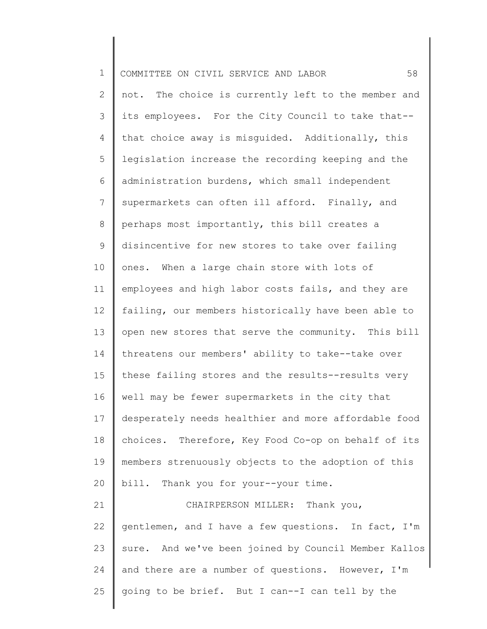| $\mathbf 1$ | 58<br>COMMITTEE ON CIVIL SERVICE AND LABOR           |
|-------------|------------------------------------------------------|
| 2           | not. The choice is currently left to the member and  |
| 3           | its employees. For the City Council to take that--   |
| 4           | that choice away is misguided. Additionally, this    |
| 5           | legislation increase the recording keeping and the   |
| 6           | administration burdens, which small independent      |
| 7           | supermarkets can often ill afford. Finally, and      |
| 8           | perhaps most importantly, this bill creates a        |
| 9           | disincentive for new stores to take over failing     |
| 10          | ones. When a large chain store with lots of          |
| 11          | employees and high labor costs fails, and they are   |
| 12          | failing, our members historically have been able to  |
| 13          | open new stores that serve the community. This bill  |
| 14          | threatens our members' ability to take--take over    |
| 15          | these failing stores and the results--results very   |
| 16          | well may be fewer supermarkets in the city that      |
| 17          | desperately needs healthier and more affordable food |
| 18          | choices. Therefore, Key Food Co-op on behalf of its  |
| 19          | members strenuously objects to the adoption of this  |
| 20          | bill. Thank you for your--your time.                 |
| 21          | CHAIRPERSON MILLER: Thank you,                       |
| 22          | gentlemen, and I have a few questions. In fact, I'm  |
| 23          | sure. And we've been joined by Council Member Kallos |
| 24          | and there are a number of questions. However, I'm    |
| 25          | going to be brief. But I can--I can tell by the      |
|             |                                                      |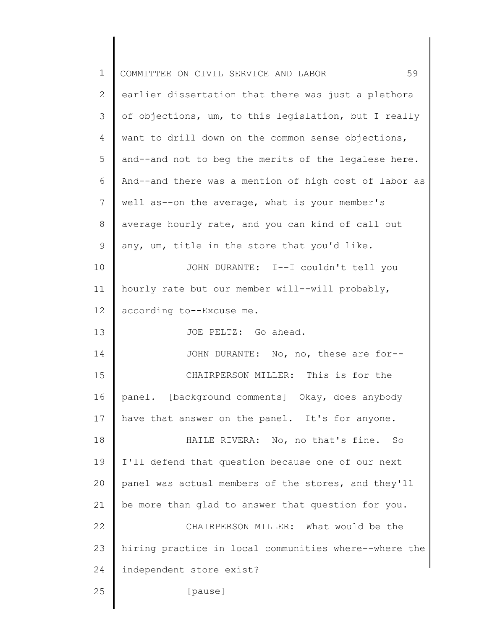| $\mathbf 1$ | 59<br>COMMITTEE ON CIVIL SERVICE AND LABOR            |
|-------------|-------------------------------------------------------|
| 2           | earlier dissertation that there was just a plethora   |
| 3           | of objections, um, to this legislation, but I really  |
| 4           | want to drill down on the common sense objections,    |
| 5           | and--and not to beg the merits of the legalese here.  |
| 6           | And--and there was a mention of high cost of labor as |
| 7           | well as--on the average, what is your member's        |
| $\,8\,$     | average hourly rate, and you can kind of call out     |
| 9           | any, um, title in the store that you'd like.          |
| 10          | JOHN DURANTE: I--I couldn't tell you                  |
| 11          | hourly rate but our member will--will probably,       |
| 12          | according to--Excuse me.                              |
| 13          | JOE PELTZ: Go ahead.                                  |
| 14          | JOHN DURANTE: No, no, these are for--                 |
| 15          | CHAIRPERSON MILLER: This is for the                   |
| 16          | panel. [background comments] Okay, does anybody       |
| 17          | have that answer on the panel. It's for anyone.       |
| 18          | HAILE RIVERA: No, no that's fine. So                  |
| 19          | I'll defend that question because one of our next     |
| 20          | panel was actual members of the stores, and they'll   |
| 21          | be more than glad to answer that question for you.    |
| 22          | CHAIRPERSON MILLER: What would be the                 |
| 23          | hiring practice in local communities where--where the |
| 24          | independent store exist?                              |
| 25          | [pause]                                               |
|             |                                                       |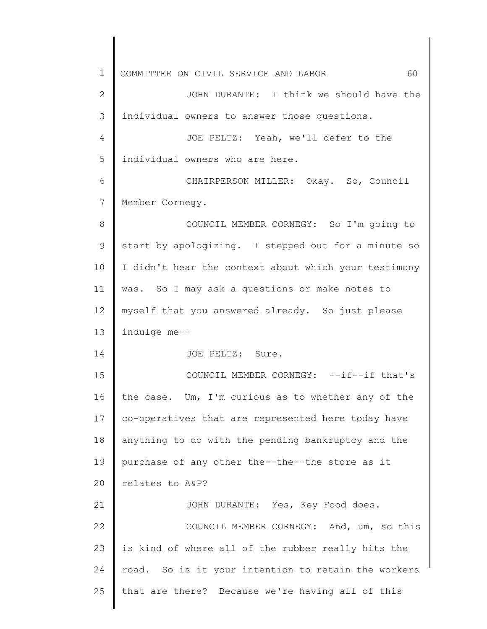1 2 3 4 5 6 7 8 9 10 11 12 13 14 15 16 17 18 19 20 21 22 23 24 25 COMMITTEE ON CIVIL SERVICE AND LABOR 60 JOHN DURANTE: I think we should have the individual owners to answer those questions. JOE PELTZ: Yeah, we'll defer to the individual owners who are here. CHAIRPERSON MILLER: Okay. So, Council Member Cornegy. COUNCIL MEMBER CORNEGY: So I'm going to start by apologizing. I stepped out for a minute so I didn't hear the context about which your testimony was. So I may ask a questions or make notes to myself that you answered already. So just please indulge me-- JOE PELTZ: Sure. COUNCIL MEMBER CORNEGY: --if--if that's the case. Um, I'm curious as to whether any of the co-operatives that are represented here today have anything to do with the pending bankruptcy and the purchase of any other the--the--the store as it relates to A&P? JOHN DURANTE: Yes, Key Food does. COUNCIL MEMBER CORNEGY: And, um, so this is kind of where all of the rubber really hits the road. So is it your intention to retain the workers that are there? Because we're having all of this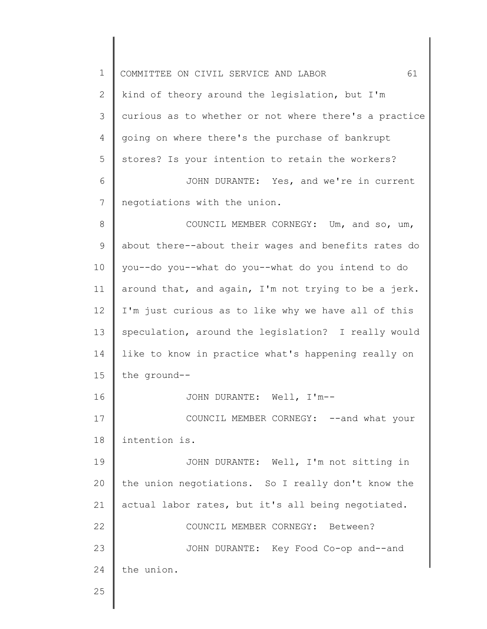| $\mathbf 1$    | 61<br>COMMITTEE ON CIVIL SERVICE AND LABOR            |
|----------------|-------------------------------------------------------|
| $\overline{2}$ | kind of theory around the legislation, but I'm        |
| 3              | curious as to whether or not where there's a practice |
| 4              | going on where there's the purchase of bankrupt       |
| 5              | stores? Is your intention to retain the workers?      |
| 6              | JOHN DURANTE: Yes, and we're in current               |
| 7              | negotiations with the union.                          |
| 8              | COUNCIL MEMBER CORNEGY: Um, and so, um,               |
| 9              | about there--about their wages and benefits rates do  |
| 10             | you--do you--what do you--what do you intend to do    |
| 11             | around that, and again, I'm not trying to be a jerk.  |
| 12             | I'm just curious as to like why we have all of this   |
| 13             | speculation, around the legislation? I really would   |
| 14             | like to know in practice what's happening really on   |
| 15             | the ground--                                          |
| 16             | JOHN DURANTE: Well, I'm--                             |
| 17             | COUNCIL MEMBER CORNEGY: -- and what your              |
| 18             | intention is.                                         |
| 19             | JOHN DURANTE: Well, I'm not sitting in                |
| 20             | the union negotiations. So I really don't know the    |
| 21             | actual labor rates, but it's all being negotiated.    |
| 22             | COUNCIL MEMBER CORNEGY: Between?                      |
| 23             | JOHN DURANTE: Key Food Co-op and--and                 |
| 24             | the union.                                            |
| 25             |                                                       |
|                |                                                       |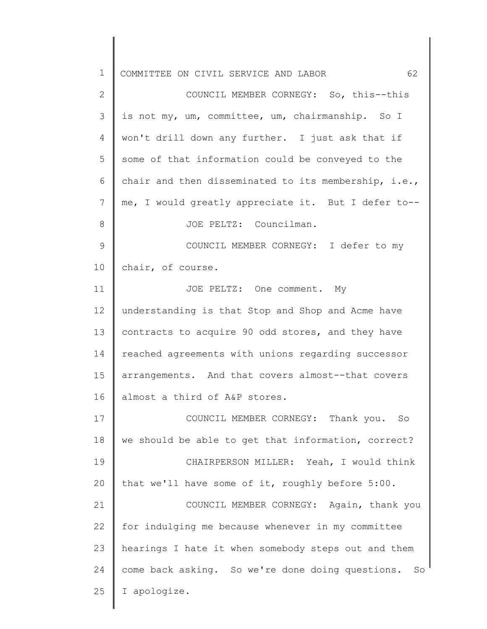1 2 3 4 5 6 7 8 9 10 11 12 13 14 15 16 17 18 19 20 21 22 23 24 25 COMMITTEE ON CIVIL SERVICE AND LABOR 62 COUNCIL MEMBER CORNEGY: So, this--this is not my, um, committee, um, chairmanship. So I won't drill down any further. I just ask that if some of that information could be conveyed to the chair and then disseminated to its membership, i.e., me, I would greatly appreciate it. But I defer to-- JOE PELTZ: Councilman. COUNCIL MEMBER CORNEGY: I defer to my chair, of course. JOE PELTZ: One comment. My understanding is that Stop and Shop and Acme have contracts to acquire 90 odd stores, and they have reached agreements with unions regarding successor arrangements. And that covers almost--that covers almost a third of A&P stores. COUNCIL MEMBER CORNEGY: Thank you. So we should be able to get that information, correct? CHAIRPERSON MILLER: Yeah, I would think that we'll have some of it, roughly before 5:00. COUNCIL MEMBER CORNEGY: Again, thank you for indulging me because whenever in my committee hearings I hate it when somebody steps out and them come back asking. So we're done doing questions. So I apologize.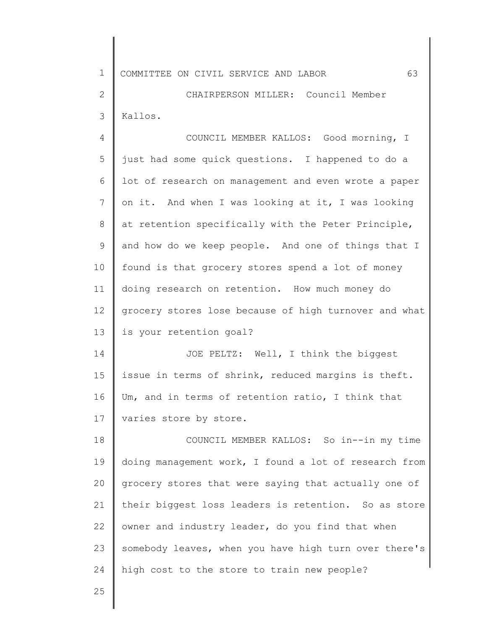| $\mathbf 1$    | 63<br>COMMITTEE ON CIVIL SERVICE AND LABOR            |
|----------------|-------------------------------------------------------|
| $\mathbf{2}$   | CHAIRPERSON MILLER: Council Member                    |
| 3              | Kallos.                                               |
| 4              | COUNCIL MEMBER KALLOS: Good morning, I                |
| 5              | just had some quick questions. I happened to do a     |
| 6              | lot of research on management and even wrote a paper  |
| $\overline{7}$ | on it. And when I was looking at it, I was looking    |
| $8\,$          | at retention specifically with the Peter Principle,   |
| 9              | and how do we keep people. And one of things that I   |
| 10             | found is that grocery stores spend a lot of money     |
| 11             | doing research on retention. How much money do        |
| 12             | grocery stores lose because of high turnover and what |
| 13             | is your retention goal?                               |
| 14             | JOE PELTZ: Well, I think the biggest                  |
| 15             | issue in terms of shrink, reduced margins is theft.   |
| 16             | Um, and in terms of retention ratio, I think that     |
| 17             | varies store by store.                                |
| 18             | COUNCIL MEMBER KALLOS: So in--in my time              |
| 19             | doing management work, I found a lot of research from |
| 20             | grocery stores that were saying that actually one of  |
| 21             | their biggest loss leaders is retention. So as store  |
| 22             | owner and industry leader, do you find that when      |
| 23             | somebody leaves, when you have high turn over there's |
| 24             | high cost to the store to train new people?           |
| 25             |                                                       |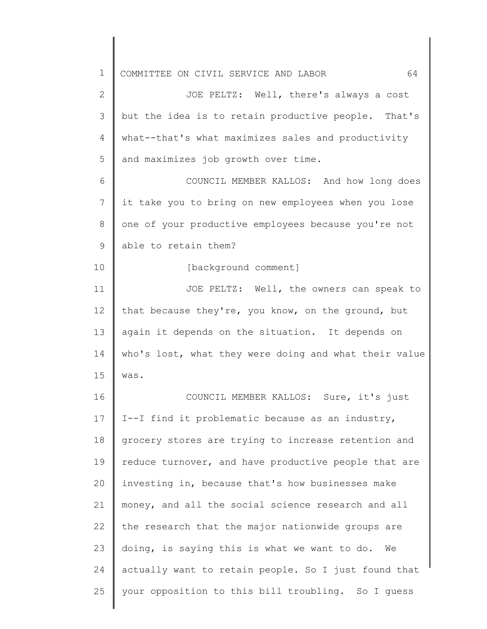1 2 3 4 5 6 7 8 9 10 11 12 13 14 15 16 17 18 19 20 21 22 23 24 COMMITTEE ON CIVIL SERVICE AND LABOR 64 JOE PELTZ: Well, there's always a cost but the idea is to retain productive people. That's what--that's what maximizes sales and productivity and maximizes job growth over time. COUNCIL MEMBER KALLOS: And how long does it take you to bring on new employees when you lose one of your productive employees because you're not able to retain them? [background comment] JOE PELTZ: Well, the owners can speak to that because they're, you know, on the ground, but again it depends on the situation. It depends on who's lost, what they were doing and what their value was. COUNCIL MEMBER KALLOS: Sure, it's just I--I find it problematic because as an industry, grocery stores are trying to increase retention and reduce turnover, and have productive people that are investing in, because that's how businesses make money, and all the social science research and all the research that the major nationwide groups are doing, is saying this is what we want to do. We actually want to retain people. So I just found that

your opposition to this bill troubling. So I guess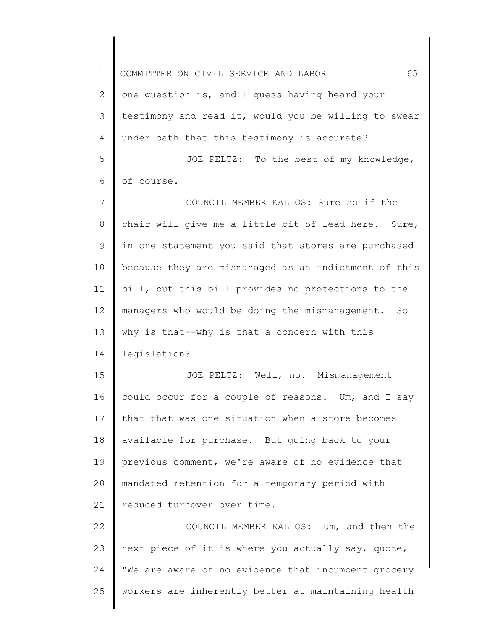1 2 3 4 5 6 7 8 9 10 11 12 13 14 15 16 17 18 19 20 21 22 23 24 25 COMMITTEE ON CIVIL SERVICE AND LABOR 65 one question is, and I guess having heard your testimony and read it, would you be willing to swear under oath that this testimony is accurate? JOE PELTZ: To the best of my knowledge, of course. COUNCIL MEMBER KALLOS: Sure so if the chair will give me a little bit of lead here. Sure, in one statement you said that stores are purchased because they are mismanaged as an indictment of this bill, but this bill provides no protections to the managers who would be doing the mismanagement. So why is that--why is that a concern with this legislation? JOE PELTZ: Well, no. Mismanagement could occur for a couple of reasons. Um, and I say that that was one situation when a store becomes available for purchase. But going back to your previous comment, we're aware of no evidence that mandated retention for a temporary period with reduced turnover over time. COUNCIL MEMBER KALLOS: Um, and then the next piece of it is where you actually say, quote, "We are aware of no evidence that incumbent grocery workers are inherently better at maintaining health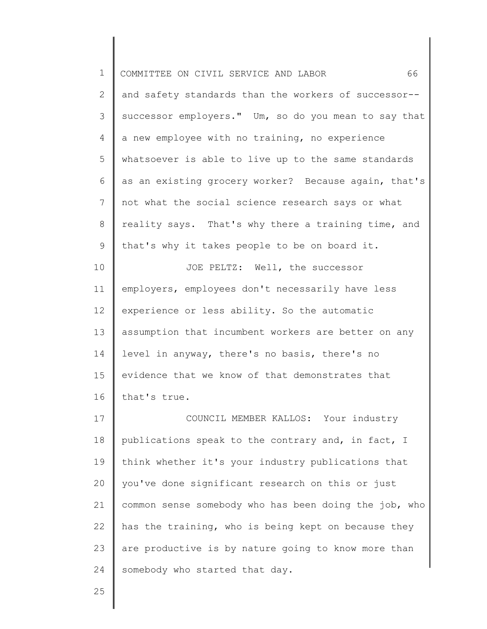| $\mathbf 1$  | COMMITTEE ON CIVIL SERVICE AND LABOR<br>66            |
|--------------|-------------------------------------------------------|
| $\mathbf{2}$ | and safety standards than the workers of successor--  |
| 3            | successor employers." Um, so do you mean to say that  |
| 4            | a new employee with no training, no experience        |
| 5            | whatsoever is able to live up to the same standards   |
| 6            | as an existing grocery worker? Because again, that's  |
| 7            | not what the social science research says or what     |
| 8            | reality says. That's why there a training time, and   |
| 9            | that's why it takes people to be on board it.         |
| 10           | JOE PELTZ: Well, the successor                        |
| 11           | employers, employees don't necessarily have less      |
| 12           | experience or less ability. So the automatic          |
| 13           | assumption that incumbent workers are better on any   |
| 14           | level in anyway, there's no basis, there's no         |
| 15           | evidence that we know of that demonstrates that       |
| 16           | that's true.                                          |
| 17           | COUNCIL MEMBER KALLOS: Your industry                  |
| 18           | publications speak to the contrary and, in fact, I    |
| 19           | think whether it's your industry publications that    |
| 20           | you've done significant research on this or just      |
| 21           | common sense somebody who has been doing the job, who |
| 22           | has the training, who is being kept on because they   |
| 23           | are productive is by nature going to know more than   |
| 24           | somebody who started that day.                        |
|              |                                                       |

25

║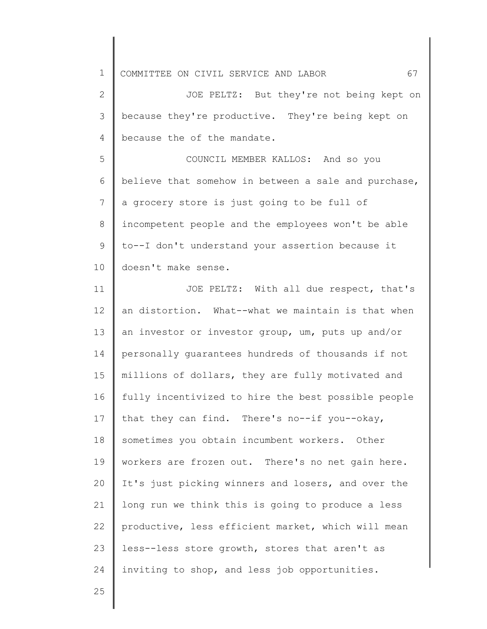1 COMMITTEE ON CIVIL SERVICE AND LABOR 67

2 3 4 JOE PELTZ: But they're not being kept on because they're productive. They're being kept on because the of the mandate.

5 6 7 8 9 10 COUNCIL MEMBER KALLOS: And so you believe that somehow in between a sale and purchase, a grocery store is just going to be full of incompetent people and the employees won't be able to--I don't understand your assertion because it doesn't make sense.

11 12 13 14 15 16 17 18 19 20 21 22 23 24 JOE PELTZ: With all due respect, that's an distortion. What--what we maintain is that when an investor or investor group, um, puts up and/or personally guarantees hundreds of thousands if not millions of dollars, they are fully motivated and fully incentivized to hire the best possible people that they can find. There's no--if you--okay, sometimes you obtain incumbent workers. Other workers are frozen out. There's no net gain here. It's just picking winners and losers, and over the long run we think this is going to produce a less productive, less efficient market, which will mean less--less store growth, stores that aren't as inviting to shop, and less job opportunities.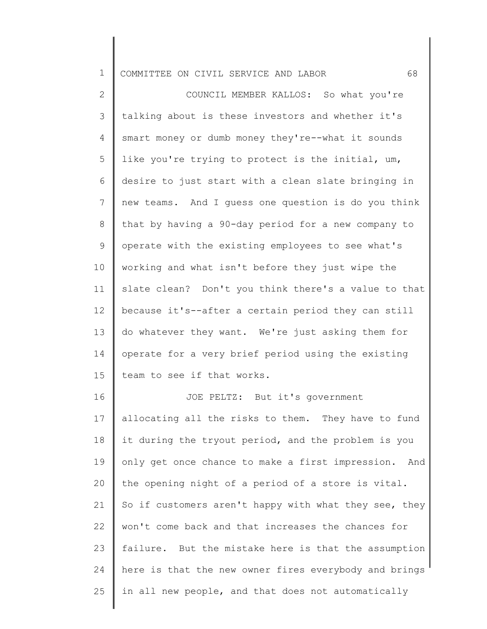1 COMMITTEE ON CIVIL SERVICE AND LABOR 68

2 3 4 5 6 7 8 9 10 11 12 13 14 15 16 17 18 19 20 21 22 23 24 COUNCIL MEMBER KALLOS: So what you're talking about is these investors and whether it's smart money or dumb money they're--what it sounds like you're trying to protect is the initial, um, desire to just start with a clean slate bringing in new teams. And I guess one question is do you think that by having a 90-day period for a new company to operate with the existing employees to see what's working and what isn't before they just wipe the slate clean? Don't you think there's a value to that because it's--after a certain period they can still do whatever they want. We're just asking them for operate for a very brief period using the existing team to see if that works. JOE PELTZ: But it's government allocating all the risks to them. They have to fund it during the tryout period, and the problem is you only get once chance to make a first impression. And the opening night of a period of a store is vital. So if customers aren't happy with what they see, they won't come back and that increases the chances for failure. But the mistake here is that the assumption here is that the new owner fires everybody and brings

in all new people, and that does not automatically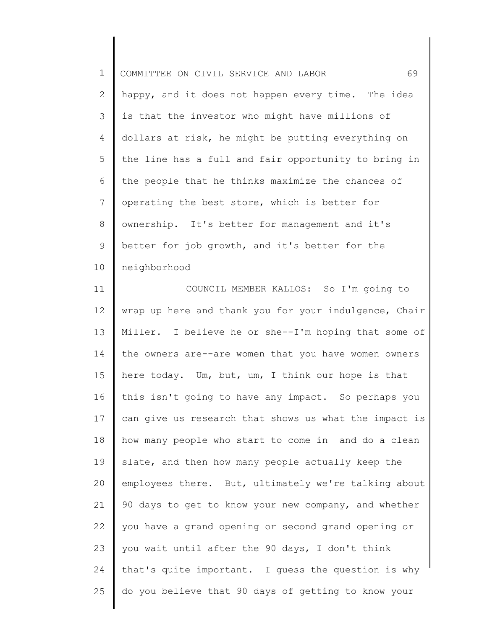1 2 3 4 5 6 7 8 9 10 11 COMMITTEE ON CIVIL SERVICE AND LABOR 69 happy, and it does not happen every time. The idea is that the investor who might have millions of dollars at risk, he might be putting everything on the line has a full and fair opportunity to bring in the people that he thinks maximize the chances of operating the best store, which is better for ownership. It's better for management and it's better for job growth, and it's better for the neighborhood COUNCIL MEMBER KALLOS: So I'm going to

12 13 14 15 16 17 18 19 20 21 22 23 24 25 wrap up here and thank you for your indulgence, Chair Miller. I believe he or she--I'm hoping that some of the owners are--are women that you have women owners here today. Um, but, um, I think our hope is that this isn't going to have any impact. So perhaps you can give us research that shows us what the impact is how many people who start to come in and do a clean slate, and then how many people actually keep the employees there. But, ultimately we're talking about 90 days to get to know your new company, and whether you have a grand opening or second grand opening or you wait until after the 90 days, I don't think that's quite important. I guess the question is why do you believe that 90 days of getting to know your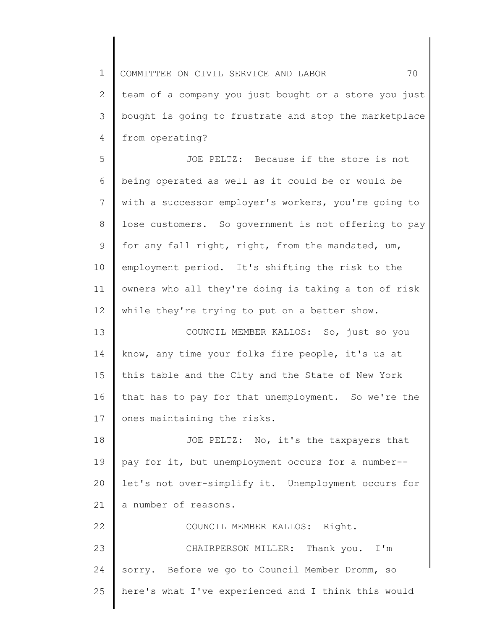1 2 3 4 5 6 7 8 9 10 11 12 13 14 15 16 17 18 19 20 21 22 23 24 25 COMMITTEE ON CIVIL SERVICE AND LABOR 70 team of a company you just bought or a store you just bought is going to frustrate and stop the marketplace from operating? JOE PELTZ: Because if the store is not being operated as well as it could be or would be with a successor employer's workers, you're going to lose customers. So government is not offering to pay for any fall right, right, from the mandated, um, employment period. It's shifting the risk to the owners who all they're doing is taking a ton of risk while they're trying to put on a better show. COUNCIL MEMBER KALLOS: So, just so you know, any time your folks fire people, it's us at this table and the City and the State of New York that has to pay for that unemployment. So we're the ones maintaining the risks. JOE PELTZ: No, it's the taxpayers that pay for it, but unemployment occurs for a number- let's not over-simplify it. Unemployment occurs for a number of reasons. COUNCIL MEMBER KALLOS: Right. CHAIRPERSON MILLER: Thank you. I'm sorry. Before we go to Council Member Dromm, so here's what I've experienced and I think this would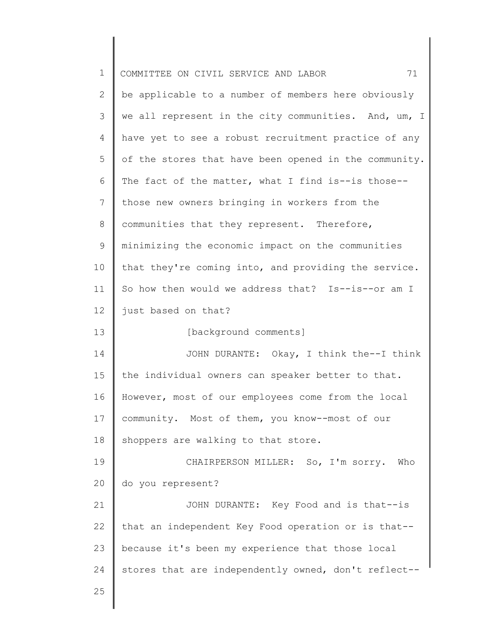| $\mathbf 1$ | 71<br>COMMITTEE ON CIVIL SERVICE AND LABOR            |
|-------------|-------------------------------------------------------|
| 2           | be applicable to a number of members here obviously   |
| 3           | we all represent in the city communities. And, um, I  |
| 4           | have yet to see a robust recruitment practice of any  |
| 5           | of the stores that have been opened in the community. |
| 6           | The fact of the matter, what I find is--is those--    |
| 7           | those new owners bringing in workers from the         |
| 8           | communities that they represent. Therefore,           |
| 9           | minimizing the economic impact on the communities     |
| 10          | that they're coming into, and providing the service.  |
| 11          | So how then would we address that? Is--is--or am I    |
| 12          | just based on that?                                   |
| 13          | [background comments]                                 |
| 14          | JOHN DURANTE: Okay, I think the--I think              |
| 15          | the individual owners can speaker better to that.     |
| 16          | However, most of our employees come from the local    |
| 17          | community. Most of them, you know--most of our        |
| 18          | shoppers are walking to that store.                   |
| 19          | CHAIRPERSON MILLER: So, I'm sorry.<br>Who             |
| 20          | do you represent?                                     |
| 21          | JOHN DURANTE: Key Food and is that--is                |
| 22          | that an independent Key Food operation or is that--   |
| 23          | because it's been my experience that those local      |
| 24          | stores that are independently owned, don't reflect--  |
| 25          |                                                       |
|             |                                                       |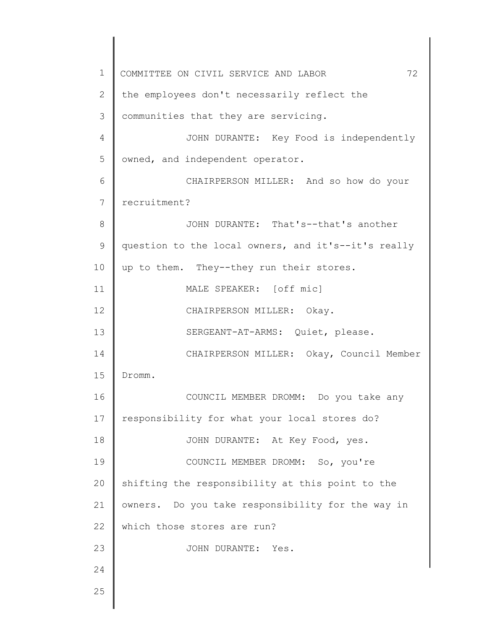1 2 3 4 5 6 7 8 9 10 11 12 13 14 15 16 17 18 19 20 21 22 23 24 25 COMMITTEE ON CIVIL SERVICE AND LABOR 72 the employees don't necessarily reflect the communities that they are servicing. JOHN DURANTE: Key Food is independently owned, and independent operator. CHAIRPERSON MILLER: And so how do your recruitment? JOHN DURANTE: That's--that's another question to the local owners, and it's--it's really up to them. They--they run their stores. MALE SPEAKER: [off mic] CHAIRPERSON MILLER: Okay. SERGEANT-AT-ARMS: Quiet, please. CHAIRPERSON MILLER: Okay, Council Member Dromm. COUNCIL MEMBER DROMM: Do you take any responsibility for what your local stores do? JOHN DURANTE: At Key Food, yes. COUNCIL MEMBER DROMM: So, you're shifting the responsibility at this point to the owners. Do you take responsibility for the way in which those stores are run? JOHN DURANTE: Yes.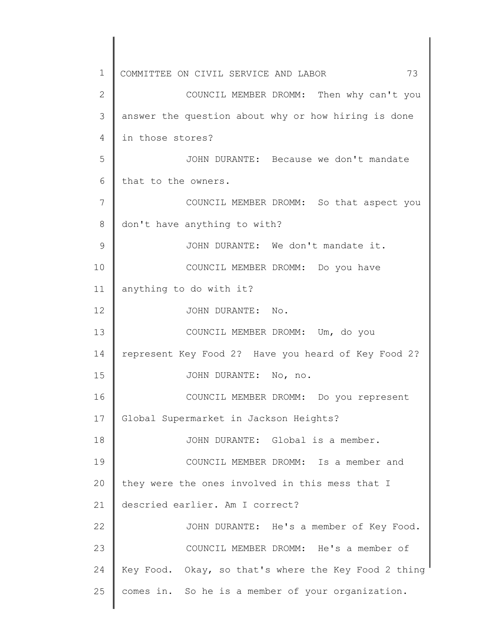1 2 3 4 5 6 7 8 9 10 11 12 13 14 15 16 17 18 19 20 21 22 23 24 25 COMMITTEE ON CIVIL SERVICE AND LABOR 73 COUNCIL MEMBER DROMM: Then why can't you answer the question about why or how hiring is done in those stores? JOHN DURANTE: Because we don't mandate that to the owners. COUNCIL MEMBER DROMM: So that aspect you don't have anything to with? JOHN DURANTE: We don't mandate it. COUNCIL MEMBER DROMM: Do you have anything to do with it? JOHN DURANTE: No. COUNCIL MEMBER DROMM: Um, do you represent Key Food 2? Have you heard of Key Food 2? JOHN DURANTE: No, no. COUNCIL MEMBER DROMM: Do you represent Global Supermarket in Jackson Heights? JOHN DURANTE: Global is a member. COUNCIL MEMBER DROMM: Is a member and they were the ones involved in this mess that I descried earlier. Am I correct? JOHN DURANTE: He's a member of Key Food. COUNCIL MEMBER DROMM: He's a member of Key Food. Okay, so that's where the Key Food 2 thing comes in. So he is a member of your organization.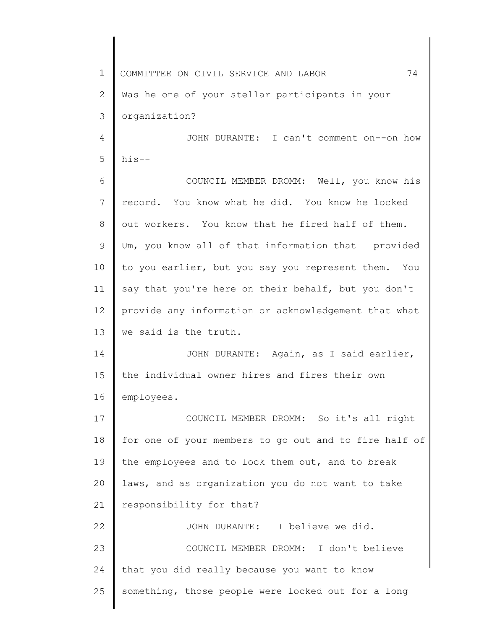1 2 3 4 5 6 7 8 9 10 11 12 13 14 15 16 17 18 19 20 21 22 23 24 25 COMMITTEE ON CIVIL SERVICE AND LABOR 74 Was he one of your stellar participants in your organization? JOHN DURANTE: I can't comment on--on how his-- COUNCIL MEMBER DROMM: Well, you know his record. You know what he did. You know he locked out workers. You know that he fired half of them. Um, you know all of that information that I provided to you earlier, but you say you represent them. You say that you're here on their behalf, but you don't provide any information or acknowledgement that what we said is the truth. JOHN DURANTE: Again, as I said earlier, the individual owner hires and fires their own employees. COUNCIL MEMBER DROMM: So it's all right for one of your members to go out and to fire half of the employees and to lock them out, and to break laws, and as organization you do not want to take responsibility for that? JOHN DURANTE: I believe we did. COUNCIL MEMBER DROMM: I don't believe that you did really because you want to know something, those people were locked out for a long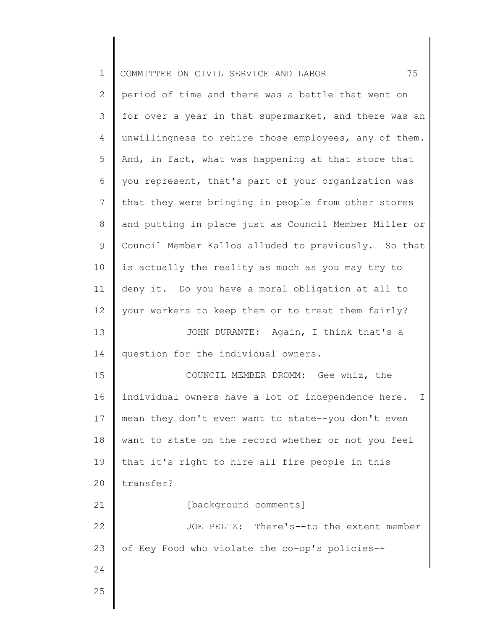| $\mathbf 1$     | 75<br>COMMITTEE ON CIVIL SERVICE AND LABOR              |
|-----------------|---------------------------------------------------------|
| $\mathbf{2}$    | period of time and there was a battle that went on      |
| 3               | for over a year in that supermarket, and there was an   |
| 4               | unwillingness to rehire those employees, any of them.   |
| 5               | And, in fact, what was happening at that store that     |
| 6               | you represent, that's part of your organization was     |
| $7\phantom{.0}$ | that they were bringing in people from other stores     |
| $\,8\,$         | and putting in place just as Council Member Miller or   |
| 9               | Council Member Kallos alluded to previously. So that    |
| 10              | is actually the reality as much as you may try to       |
| 11              | deny it. Do you have a moral obligation at all to       |
| 12              | your workers to keep them or to treat them fairly?      |
| 13              | JOHN DURANTE: Again, I think that's a                   |
| 14              | question for the individual owners.                     |
| 15              | COUNCIL MEMBER DROMM: Gee whiz, the                     |
| 16              | individual owners have a lot of independence here.<br>I |
| 17              | mean they don't even want to state--you don't even      |
| 18              | want to state on the record whether or not you feel     |
| 19              | that it's right to hire all fire people in this         |
| 20              | transfer?                                               |
| 21              | [background comments]                                   |
| 22              | There's--to the extent member<br>JOE PELTZ:             |
| 23              | of Key Food who violate the co-op's policies--          |
| 24              |                                                         |
| 25              |                                                         |
|                 |                                                         |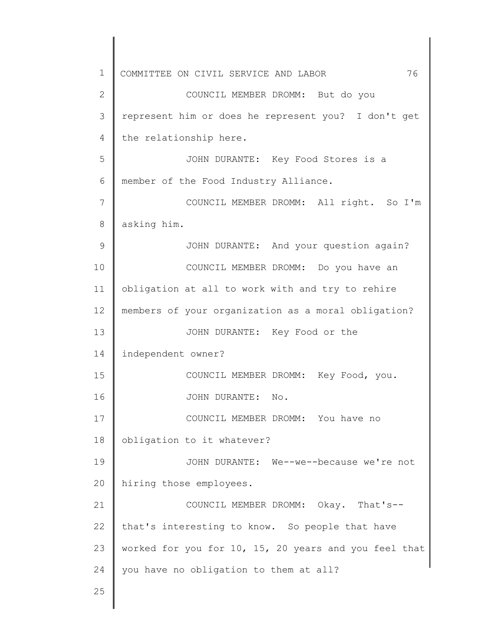1 2 3 4 5 6 7 8 9 10 11 12 13 14 15 16 17 18 19 20 21 22 23 24 25 COMMITTEE ON CIVIL SERVICE AND LABOR 76 COUNCIL MEMBER DROMM: But do you represent him or does he represent you? I don't get the relationship here. JOHN DURANTE: Key Food Stores is a member of the Food Industry Alliance. COUNCIL MEMBER DROMM: All right. So I'm asking him. JOHN DURANTE: And your question again? COUNCIL MEMBER DROMM: Do you have an obligation at all to work with and try to rehire members of your organization as a moral obligation? JOHN DURANTE: Key Food or the independent owner? COUNCIL MEMBER DROMM: Key Food, you. JOHN DURANTE: No. COUNCIL MEMBER DROMM: You have no obligation to it whatever? JOHN DURANTE: We--we--because we're not hiring those employees. COUNCIL MEMBER DROMM: Okay. That's- that's interesting to know. So people that have worked for you for 10, 15, 20 years and you feel that you have no obligation to them at all?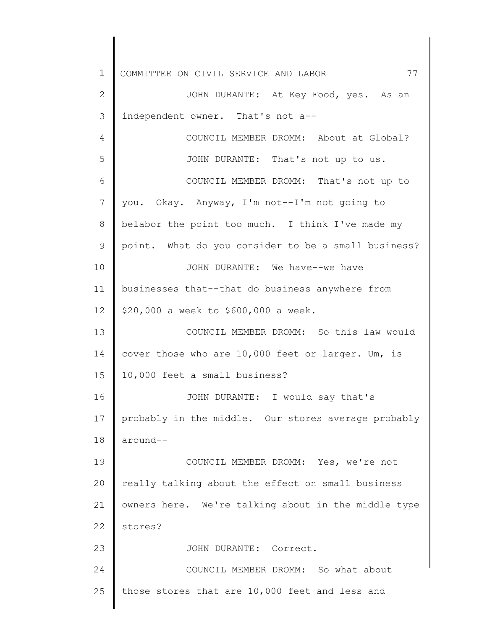1 2 3 4 5 6 7 8 9 10 11 12 13 14 15 16 17 18 19 20 21 22 23 24 25 COMMITTEE ON CIVIL SERVICE AND LABOR 77 JOHN DURANTE: At Key Food, yes. As an independent owner. That's not a-- COUNCIL MEMBER DROMM: About at Global? JOHN DURANTE: That's not up to us. COUNCIL MEMBER DROMM: That's not up to you. Okay. Anyway, I'm not--I'm not going to belabor the point too much. I think I've made my point. What do you consider to be a small business? JOHN DURANTE: We have--we have businesses that--that do business anywhere from \$20,000 a week to \$600,000 a week. COUNCIL MEMBER DROMM: So this law would cover those who are 10,000 feet or larger. Um, is 10,000 feet a small business? JOHN DURANTE: I would say that's probably in the middle. Our stores average probably around-- COUNCIL MEMBER DROMM: Yes, we're not really talking about the effect on small business owners here. We're talking about in the middle type stores? JOHN DURANTE: Correct. COUNCIL MEMBER DROMM: So what about those stores that are 10,000 feet and less and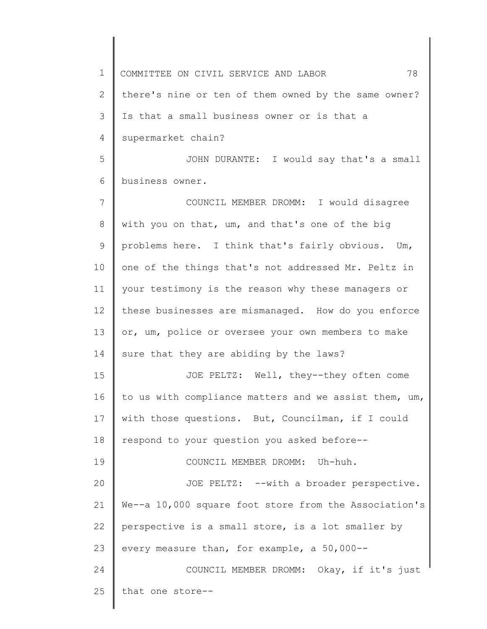1 2 3 4 5 6 7 8 9 10 11 12 13 14 15 16 17 18 19 20 21 22 23 24 25 COMMITTEE ON CIVIL SERVICE AND LABOR 78 there's nine or ten of them owned by the same owner? Is that a small business owner or is that a supermarket chain? JOHN DURANTE: I would say that's a small business owner. COUNCIL MEMBER DROMM: I would disagree with you on that, um, and that's one of the big problems here. I think that's fairly obvious. Um, one of the things that's not addressed Mr. Peltz in your testimony is the reason why these managers or these businesses are mismanaged. How do you enforce or, um, police or oversee your own members to make sure that they are abiding by the laws? JOE PELTZ: Well, they--they often come to us with compliance matters and we assist them, um, with those questions. But, Councilman, if I could respond to your question you asked before-- COUNCIL MEMBER DROMM: Uh-huh. JOE PELTZ: --with a broader perspective. We--a 10,000 square foot store from the Association's perspective is a small store, is a lot smaller by every measure than, for example, a 50,000-- COUNCIL MEMBER DROMM: Okay, if it's just that one store--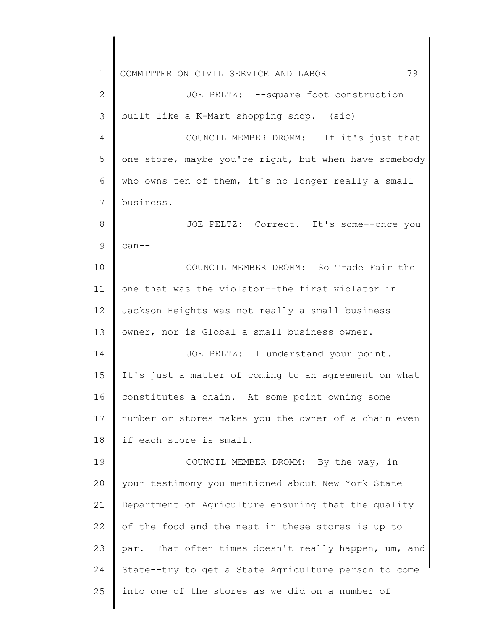1 2 3 4 5 6 7 8 9 10 11 12 13 14 15 16 17 18 19 20 21 22 23 24 25 COMMITTEE ON CIVIL SERVICE AND LABOR 79 JOE PELTZ: --square foot construction built like a K-Mart shopping shop. (sic) COUNCIL MEMBER DROMM: If it's just that one store, maybe you're right, but when have somebody who owns ten of them, it's no longer really a small business. JOE PELTZ: Correct. It's some--once you can-- COUNCIL MEMBER DROMM: So Trade Fair the one that was the violator--the first violator in Jackson Heights was not really a small business owner, nor is Global a small business owner. JOE PELTZ: I understand your point. It's just a matter of coming to an agreement on what constitutes a chain. At some point owning some number or stores makes you the owner of a chain even if each store is small. COUNCIL MEMBER DROMM: By the way, in your testimony you mentioned about New York State Department of Agriculture ensuring that the quality of the food and the meat in these stores is up to par. That often times doesn't really happen, um, and State--try to get a State Agriculture person to come into one of the stores as we did on a number of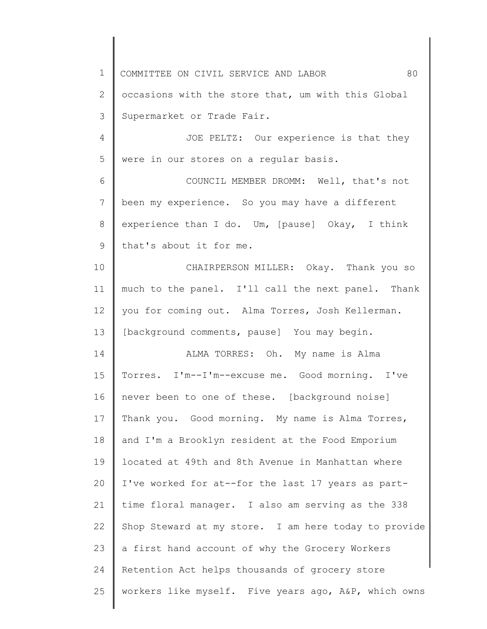1 2 3 4 5 6 7 8 9 10 11 12 13 14 15 16 17 18 19 20 21 22 23 24 25 COMMITTEE ON CIVIL SERVICE AND LABOR 60 occasions with the store that, um with this Global Supermarket or Trade Fair. JOE PELTZ: Our experience is that they were in our stores on a regular basis. COUNCIL MEMBER DROMM: Well, that's not been my experience. So you may have a different experience than I do. Um, [pause] Okay, I think that's about it for me. CHAIRPERSON MILLER: Okay. Thank you so much to the panel. I'll call the next panel. Thank you for coming out. Alma Torres, Josh Kellerman. [background comments, pause] You may begin. ALMA TORRES: Oh. My name is Alma Torres. I'm--I'm--excuse me. Good morning. I've never been to one of these. [background noise] Thank you. Good morning. My name is Alma Torres, and I'm a Brooklyn resident at the Food Emporium located at 49th and 8th Avenue in Manhattan where I've worked for at--for the last 17 years as parttime floral manager. I also am serving as the 338 Shop Steward at my store. I am here today to provide a first hand account of why the Grocery Workers Retention Act helps thousands of grocery store workers like myself. Five years ago, A&P, which owns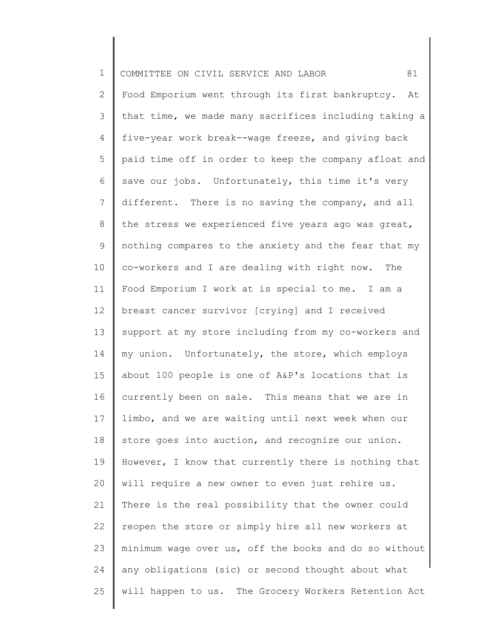| $\mathbf 1$  | 81<br>COMMITTEE ON CIVIL SERVICE AND LABOR             |
|--------------|--------------------------------------------------------|
| $\mathbf{2}$ | Food Emporium went through its first bankruptcy.<br>At |
| 3            | that time, we made many sacrifices including taking a  |
| 4            | five-year work break--wage freeze, and giving back     |
| 5            | paid time off in order to keep the company afloat and  |
| 6            | save our jobs. Unfortunately, this time it's very      |
| 7            | different. There is no saving the company, and all     |
| 8            | the stress we experienced five years ago was great,    |
| 9            | nothing compares to the anxiety and the fear that my   |
| 10           | co-workers and I are dealing with right now. The       |
| 11           | Food Emporium I work at is special to me. I am a       |
| 12           | breast cancer survivor [crying] and I received         |
| 13           | support at my store including from my co-workers and   |
| 14           | my union. Unfortunately, the store, which employs      |
| 15           | about 100 people is one of A&P's locations that is     |
| 16           | currently been on sale. This means that we are in      |
| 17           | limbo, and we are waiting until next week when our     |
| 18           | store goes into auction, and recognize our union.      |
| 19           | However, I know that currently there is nothing that   |
| 20           | will require a new owner to even just rehire us.       |
| 21           | There is the real possibility that the owner could     |
| 22           | reopen the store or simply hire all new workers at     |
| 23           | minimum wage over us, off the books and do so without  |
| 24           | any obligations (sic) or second thought about what     |
| 25           | will happen to us. The Grocery Workers Retention Act   |
|              |                                                        |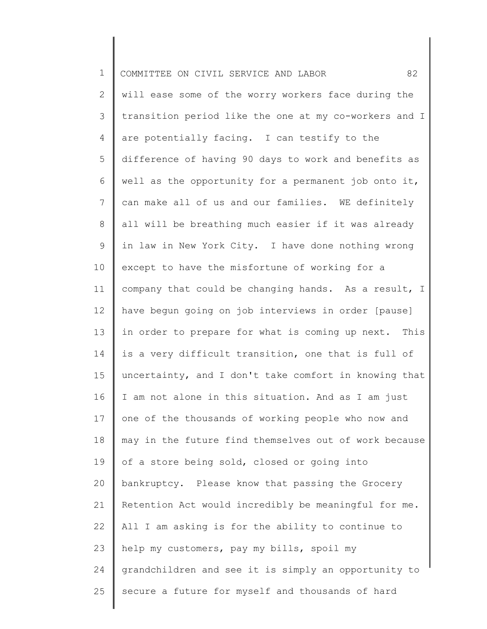| $\mathbf 1$    | 82<br>COMMITTEE ON CIVIL SERVICE AND LABOR            |
|----------------|-------------------------------------------------------|
| $\overline{2}$ | will ease some of the worry workers face during the   |
| 3              | transition period like the one at my co-workers and I |
| 4              | are potentially facing. I can testify to the          |
| 5              | difference of having 90 days to work and benefits as  |
| 6              | well as the opportunity for a permanent job onto it,  |
| $\overline{7}$ | can make all of us and our families. WE definitely    |
| $8\,$          | all will be breathing much easier if it was already   |
| $\mathsf 9$    | in law in New York City. I have done nothing wrong    |
| 10             | except to have the misfortune of working for a        |
| 11             | company that could be changing hands. As a result, I  |
| 12             | have begun going on job interviews in order [pause]   |
| 13             | in order to prepare for what is coming up next. This  |
| 14             | is a very difficult transition, one that is full of   |
| 15             | uncertainty, and I don't take comfort in knowing that |
| 16             | I am not alone in this situation. And as I am just    |
| 17             | one of the thousands of working people who now and    |
| 18             | may in the future find themselves out of work because |
| 19             | of a store being sold, closed or going into           |
| 20             | bankruptcy. Please know that passing the Grocery      |
| 21             | Retention Act would incredibly be meaningful for me.  |
| 22             | All I am asking is for the ability to continue to     |
| 23             | help my customers, pay my bills, spoil my             |
| 24             | grandchildren and see it is simply an opportunity to  |
| 25             | secure a future for myself and thousands of hard      |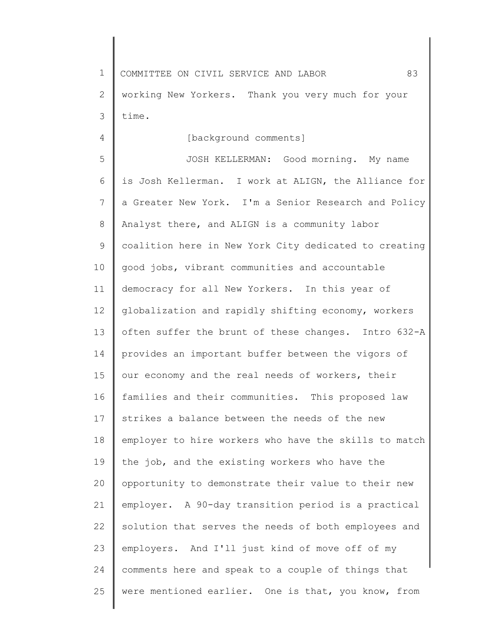1 2 3 COMMITTEE ON CIVIL SERVICE AND LABOR 83 working New Yorkers. Thank you very much for your time.

## [background comments]

4

5 6 7 8 9 10 11 12 13 14 15 16 17 18 19 20 21 22 23 24 25 JOSH KELLERMAN: Good morning. My name is Josh Kellerman. I work at ALIGN, the Alliance for a Greater New York. I'm a Senior Research and Policy Analyst there, and ALIGN is a community labor coalition here in New York City dedicated to creating good jobs, vibrant communities and accountable democracy for all New Yorkers. In this year of globalization and rapidly shifting economy, workers often suffer the brunt of these changes. Intro 632-A provides an important buffer between the vigors of our economy and the real needs of workers, their families and their communities. This proposed law strikes a balance between the needs of the new employer to hire workers who have the skills to match the job, and the existing workers who have the opportunity to demonstrate their value to their new employer. A 90-day transition period is a practical solution that serves the needs of both employees and employers. And I'll just kind of move off of my comments here and speak to a couple of things that were mentioned earlier. One is that, you know, from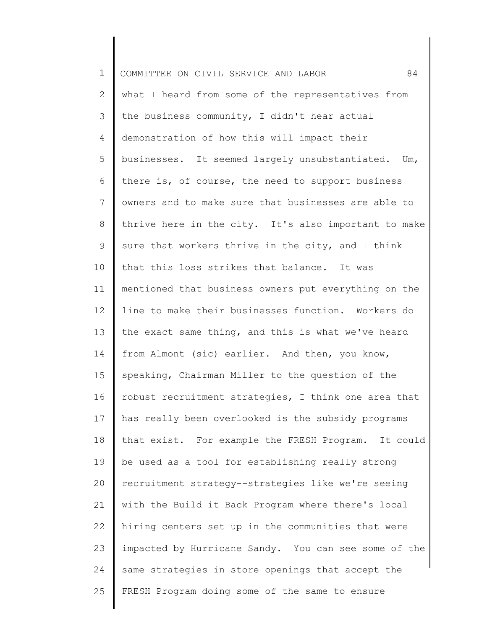| $\mathbf 1$     | 84<br>COMMITTEE ON CIVIL SERVICE AND LABOR           |
|-----------------|------------------------------------------------------|
| $\overline{2}$  | what I heard from some of the representatives from   |
| 3               | the business community, I didn't hear actual         |
| 4               | demonstration of how this will impact their          |
| 5               | businesses. It seemed largely unsubstantiated. Um,   |
| 6               | there is, of course, the need to support business    |
| $7\phantom{.0}$ | owners and to make sure that businesses are able to  |
| 8               | thrive here in the city. It's also important to make |
| 9               | sure that workers thrive in the city, and I think    |
| 10              | that this loss strikes that balance. It was          |
| 11              | mentioned that business owners put everything on the |
| 12              | line to make their businesses function. Workers do   |
| 13              | the exact same thing, and this is what we've heard   |
| 14              | from Almont (sic) earlier. And then, you know,       |
| 15              | speaking, Chairman Miller to the question of the     |
| 16              | robust recruitment strategies, I think one area that |
| 17              | has really been overlooked is the subsidy programs   |
| 18              | that exist. For example the FRESH Program. It could  |
| 19              | be used as a tool for establishing really strong     |
| 20              | recruitment strategy--strategies like we're seeing   |
| 21              | with the Build it Back Program where there's local   |
| 22              | hiring centers set up in the communities that were   |
| 23              | impacted by Hurricane Sandy. You can see some of the |
| 24              | same strategies in store openings that accept the    |
| 25              | FRESH Program doing some of the same to ensure       |
|                 |                                                      |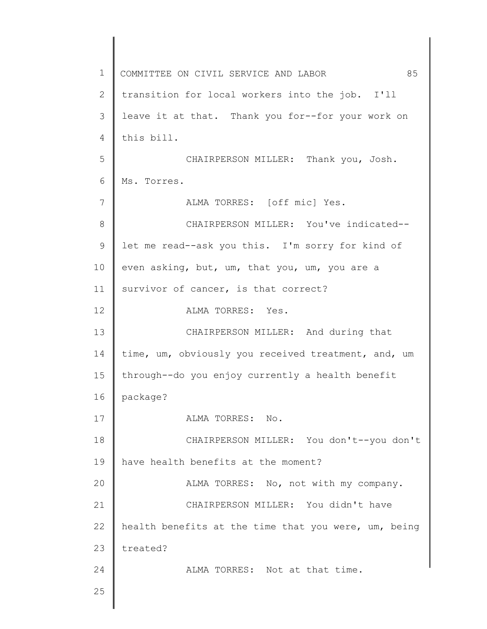1 2 3 4 5 6 7 8 9 10 11 12 13 14 15 16 17 18 19 20 21 22 23 24 25 COMMITTEE ON CIVIL SERVICE AND LABOR 85 transition for local workers into the job. I'll leave it at that. Thank you for--for your work on this bill. CHAIRPERSON MILLER: Thank you, Josh. Ms. Torres. ALMA TORRES: [off mic] Yes. CHAIRPERSON MILLER: You've indicated- let me read--ask you this. I'm sorry for kind of even asking, but, um, that you, um, you are a survivor of cancer, is that correct? ALMA TORRES: Yes. CHAIRPERSON MILLER: And during that time, um, obviously you received treatment, and, um through--do you enjoy currently a health benefit package? ALMA TORRES: No. CHAIRPERSON MILLER: You don't--you don't have health benefits at the moment? ALMA TORRES: No, not with my company. CHAIRPERSON MILLER: You didn't have health benefits at the time that you were, um, being treated? ALMA TORRES: Not at that time.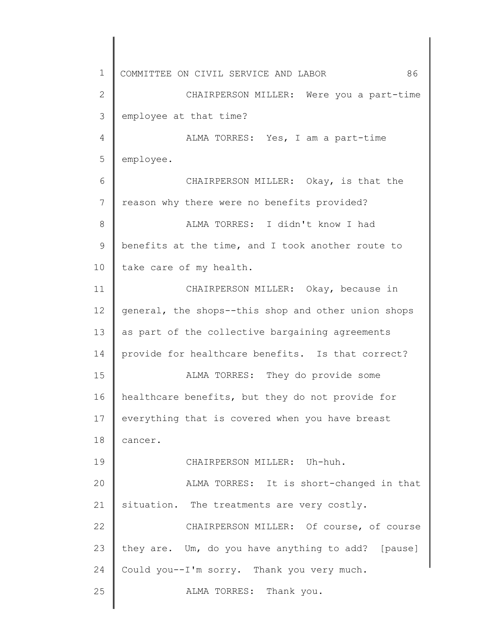1 2 3 4 5 6 7 8 9 10 11 12 13 14 15 16 17 18 19 20 21 22 23 24 25 COMMITTEE ON CIVIL SERVICE AND LABOR 86 CHAIRPERSON MILLER: Were you a part-time employee at that time? ALMA TORRES: Yes, I am a part-time employee. CHAIRPERSON MILLER: Okay, is that the reason why there were no benefits provided? ALMA TORRES: I didn't know I had benefits at the time, and I took another route to take care of my health. CHAIRPERSON MILLER: Okay, because in general, the shops--this shop and other union shops as part of the collective bargaining agreements provide for healthcare benefits. Is that correct? ALMA TORRES: They do provide some healthcare benefits, but they do not provide for everything that is covered when you have breast cancer. CHAIRPERSON MILLER: Uh-huh. ALMA TORRES: It is short-changed in that situation. The treatments are very costly. CHAIRPERSON MILLER: Of course, of course they are. Um, do you have anything to add? [pause] Could you--I'm sorry. Thank you very much. ALMA TORRES: Thank you.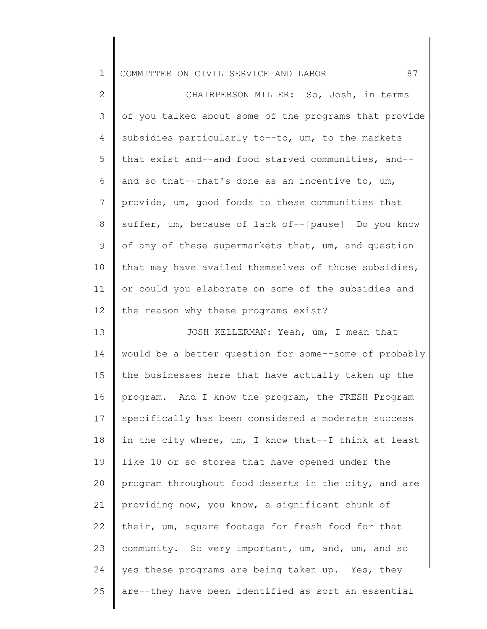1 COMMITTEE ON CIVIL SERVICE AND LABOR 87

2 3 4 5 6 7 8 9 10 11 12 13 14 15 16 17 18 19 20 21 CHAIRPERSON MILLER: So, Josh, in terms of you talked about some of the programs that provide subsidies particularly to--to, um, to the markets that exist and--and food starved communities, and- and so that--that's done as an incentive to, um, provide, um, good foods to these communities that suffer, um, because of lack of--[pause] Do you know of any of these supermarkets that, um, and question that may have availed themselves of those subsidies, or could you elaborate on some of the subsidies and the reason why these programs exist? JOSH KELLERMAN: Yeah, um, I mean that would be a better question for some--some of probably the businesses here that have actually taken up the program. And I know the program, the FRESH Program specifically has been considered a moderate success in the city where, um, I know that--I think at least like 10 or so stores that have opened under the program throughout food deserts in the city, and are providing now, you know, a significant chunk of

22 23 24 25 their, um, square footage for fresh food for that community. So very important, um, and, um, and so yes these programs are being taken up. Yes, they are--they have been identified as sort an essential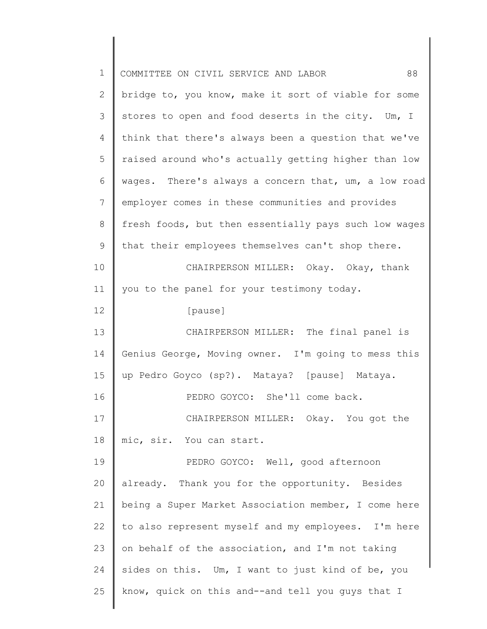| $\mathbf 1$    | COMMITTEE ON CIVIL SERVICE AND LABOR<br>88            |
|----------------|-------------------------------------------------------|
| $\mathbf{2}$   | bridge to, you know, make it sort of viable for some  |
| 3              | stores to open and food deserts in the city. Um, I    |
| $\overline{4}$ | think that there's always been a question that we've  |
| 5              | raised around who's actually getting higher than low  |
| 6              | wages. There's always a concern that, um, a low road  |
| 7              | employer comes in these communities and provides      |
| $\,8\,$        | fresh foods, but then essentially pays such low wages |
| 9              | that their employees themselves can't shop there.     |
| 10             | CHAIRPERSON MILLER: Okay. Okay, thank                 |
| 11             | you to the panel for your testimony today.            |
| 12             | [pause]                                               |
| 13             | CHAIRPERSON MILLER: The final panel is                |
| 14             | Genius George, Moving owner. I'm going to mess this   |
| 15             | up Pedro Goyco (sp?). Mataya? [pause] Mataya.         |
| 16             | PEDRO GOYCO: She'll come back.                        |
| 17             | CHAIRPERSON MILLER: Okay. You got the                 |
| 18             | mic, sir. You can start.                              |
| 19             | PEDRO GOYCO: Well, good afternoon                     |
| 20             | already. Thank you for the opportunity. Besides       |
| 21             | being a Super Market Association member, I come here  |
| 22             | to also represent myself and my employees. I'm here   |
| 23             | on behalf of the association, and I'm not taking      |
| 24             | sides on this. Um, I want to just kind of be, you     |
| 25             | know, quick on this and--and tell you guys that I     |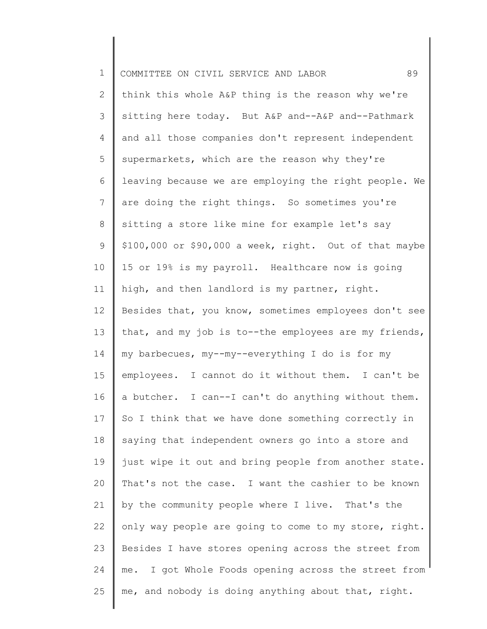| $\mathbf 1$    | 89<br>COMMITTEE ON CIVIL SERVICE AND LABOR             |
|----------------|--------------------------------------------------------|
| 2              | think this whole A&P thing is the reason why we're     |
| 3              | sitting here today. But A&P and--A&P and--Pathmark     |
| $\overline{4}$ | and all those companies don't represent independent    |
| 5              | supermarkets, which are the reason why they're         |
| 6              | leaving because we are employing the right people. We  |
| 7              | are doing the right things. So sometimes you're        |
| 8              | sitting a store like mine for example let's say        |
| 9              | \$100,000 or \$90,000 a week, right. Out of that maybe |
| 10             | 15 or 19% is my payroll. Healthcare now is going       |
| 11             | high, and then landlord is my partner, right.          |
| 12             | Besides that, you know, sometimes employees don't see  |
| 13             | that, and my job is to--the employees are my friends,  |
| 14             | my barbecues, my--my--everything I do is for my        |
| 15             | employees. I cannot do it without them. I can't be     |
| 16             | a butcher. I can--I can't do anything without them.    |
| 17             | So I think that we have done something correctly in    |
| 18             | saying that independent owners go into a store and     |
| 19             | just wipe it out and bring people from another state.  |
| 20             | That's not the case. I want the cashier to be known    |
| 21             | by the community people where I live. That's the       |
| 22             | only way people are going to come to my store, right.  |
| 23             | Besides I have stores opening across the street from   |
| 24             | me. I got Whole Foods opening across the street from   |
| 25             | me, and nobody is doing anything about that, right.    |
|                |                                                        |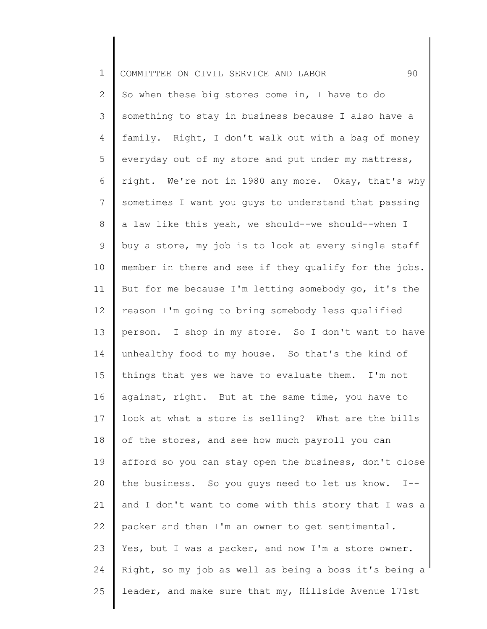1 2 3 4 5 6 7 8 9 10 11 12 13 14 15 16 17 18 19 20 21 22 23 24 25 COMMITTEE ON CIVIL SERVICE AND LABOR 90 So when these big stores come in, I have to do something to stay in business because I also have a family. Right, I don't walk out with a bag of money everyday out of my store and put under my mattress, right. We're not in 1980 any more. Okay, that's why sometimes I want you guys to understand that passing a law like this yeah, we should--we should--when I buy a store, my job is to look at every single staff member in there and see if they qualify for the jobs. But for me because I'm letting somebody go, it's the reason I'm going to bring somebody less qualified person. I shop in my store. So I don't want to have unhealthy food to my house. So that's the kind of things that yes we have to evaluate them. I'm not against, right. But at the same time, you have to look at what a store is selling? What are the bills of the stores, and see how much payroll you can afford so you can stay open the business, don't close the business. So you guys need to let us know. I- and I don't want to come with this story that I was a packer and then I'm an owner to get sentimental. Yes, but I was a packer, and now I'm a store owner. Right, so my job as well as being a boss it's being a leader, and make sure that my, Hillside Avenue 171st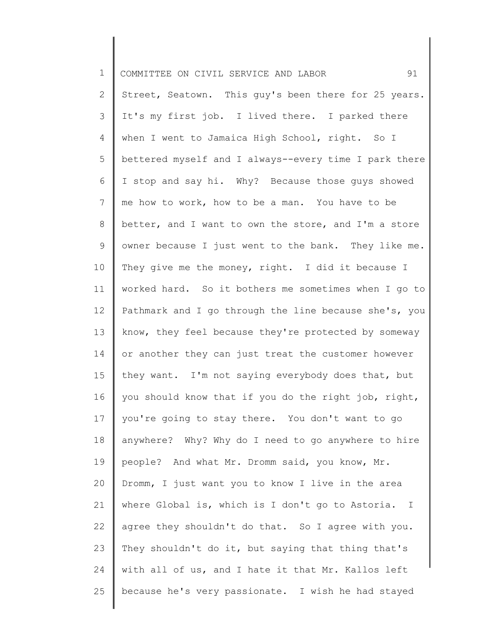| $\mathbf 1$    | 91<br>COMMITTEE ON CIVIL SERVICE AND LABOR            |
|----------------|-------------------------------------------------------|
| $\mathbf{2}$   | Street, Seatown. This guy's been there for 25 years.  |
| 3              | It's my first job. I lived there. I parked there      |
| 4              | when I went to Jamaica High School, right. So I       |
| 5              | bettered myself and I always--every time I park there |
| 6              | I stop and say hi. Why? Because those guys showed     |
| $\overline{7}$ | me how to work, how to be a man. You have to be       |
| 8              | better, and I want to own the store, and I'm a store  |
| 9              | owner because I just went to the bank. They like me.  |
| 10             | They give me the money, right. I did it because I     |
| 11             | worked hard. So it bothers me sometimes when I go to  |
| 12             | Pathmark and I go through the line because she's, you |
| 13             | know, they feel because they're protected by someway  |
| 14             | or another they can just treat the customer however   |
| 15             | they want. I'm not saying everybody does that, but    |
| 16             | you should know that if you do the right job, right,  |
| 17             | you're going to stay there. You don't want to go      |
| 18             | anywhere? Why? Why do I need to go anywhere to hire   |
| 19             | people? And what Mr. Dromm said, you know, Mr.        |
| 20             | Dromm, I just want you to know I live in the area     |
| 21             | where Global is, which is I don't go to Astoria. I    |
| 22             | agree they shouldn't do that. So I agree with you.    |
| 23             | They shouldn't do it, but saying that thing that's    |
| 24             | with all of us, and I hate it that Mr. Kallos left    |
| 25             | because he's very passionate. I wish he had stayed    |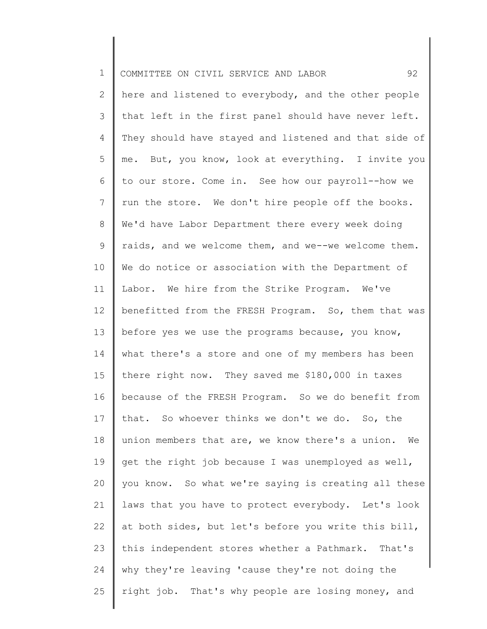| $\mathbf 1$  | 92<br>COMMITTEE ON CIVIL SERVICE AND LABOR             |
|--------------|--------------------------------------------------------|
| $\mathbf{2}$ | here and listened to everybody, and the other people   |
| 3            | that left in the first panel should have never left.   |
| 4            | They should have stayed and listened and that side of  |
| 5            | me. But, you know, look at everything. I invite you    |
| 6            | to our store. Come in. See how our payroll--how we     |
| 7            | run the store. We don't hire people off the books.     |
| 8            | We'd have Labor Department there every week doing      |
| 9            | raids, and we welcome them, and we--we welcome them.   |
| 10           | We do notice or association with the Department of     |
| 11           | Labor. We hire from the Strike Program. We've          |
| 12           | benefitted from the FRESH Program. So, them that was   |
| 13           | before yes we use the programs because, you know,      |
| 14           | what there's a store and one of my members has been    |
| 15           | there right now. They saved me \$180,000 in taxes      |
| 16           | because of the FRESH Program. So we do benefit from    |
| 17           | that. So whoever thinks we don't we do. So, the        |
| 18           | union members that are, we know there's a union.<br>We |
| 19           | get the right job because I was unemployed as well,    |
| 20           | you know. So what we're saying is creating all these   |
| 21           | laws that you have to protect everybody. Let's look    |
| 22           | at both sides, but let's before you write this bill,   |
| 23           | this independent stores whether a Pathmark. That's     |
| 24           | why they're leaving 'cause they're not doing the       |
| 25           | right job. That's why people are losing money, and     |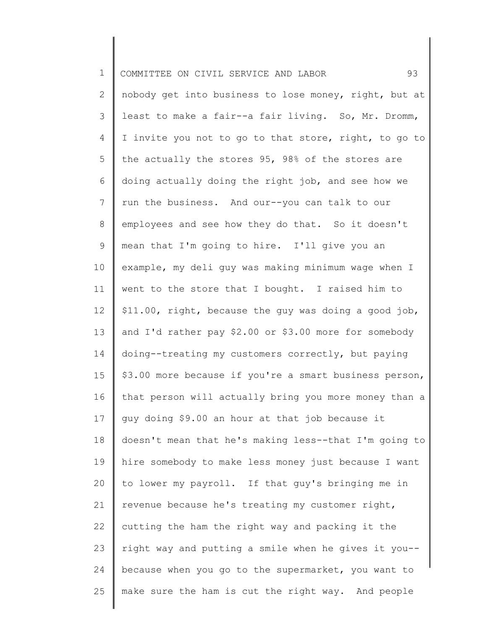| $\mathbf 1$    | 93<br>COMMITTEE ON CIVIL SERVICE AND LABOR             |
|----------------|--------------------------------------------------------|
| $\overline{2}$ | nobody get into business to lose money, right, but at  |
| 3              | least to make a fair--a fair living. So, Mr. Dromm,    |
| 4              | I invite you not to go to that store, right, to go to  |
| 5              | the actually the stores 95, 98% of the stores are      |
| 6              | doing actually doing the right job, and see how we     |
| $\overline{7}$ | run the business. And our--you can talk to our         |
| $8\,$          | employees and see how they do that. So it doesn't      |
| $\mathsf 9$    | mean that I'm going to hire. I'll give you an          |
| 10             | example, my deli guy was making minimum wage when I    |
| 11             | went to the store that I bought. I raised him to       |
| 12             | \$11.00, right, because the guy was doing a good job,  |
| 13             | and I'd rather pay \$2.00 or \$3.00 more for somebody  |
| 14             | doing--treating my customers correctly, but paying     |
| 15             | \$3.00 more because if you're a smart business person, |
| 16             | that person will actually bring you more money than a  |
| 17             | guy doing \$9.00 an hour at that job because it        |
| 18             | doesn't mean that he's making less--that I'm going to  |
| 19             | hire somebody to make less money just because I want   |
| 20             | to lower my payroll. If that guy's bringing me in      |
| 21             | revenue because he's treating my customer right,       |
| 22             | cutting the ham the right way and packing it the       |
| 23             | right way and putting a smile when he gives it you--   |
| 24             | because when you go to the supermarket, you want to    |
| 25             | make sure the ham is cut the right way. And people     |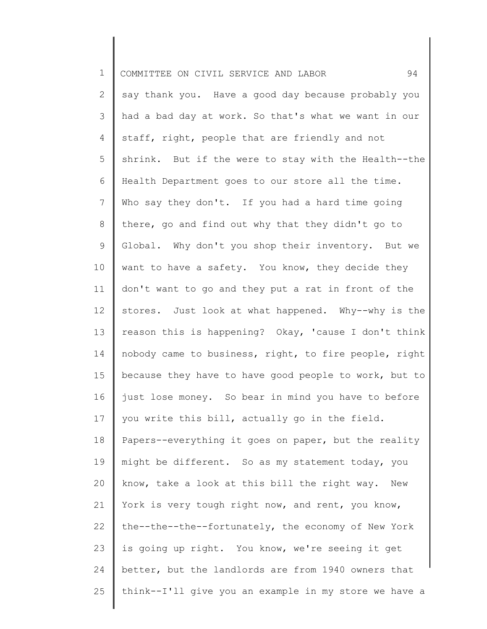| $\mathbf 1$       | 94<br>COMMITTEE ON CIVIL SERVICE AND LABOR            |
|-------------------|-------------------------------------------------------|
| $\overline{2}$    | say thank you. Have a good day because probably you   |
| 3                 | had a bad day at work. So that's what we want in our  |
| 4                 | staff, right, people that are friendly and not        |
| 5                 | shrink. But if the were to stay with the Health--the  |
| 6                 | Health Department goes to our store all the time.     |
| $\overline{7}$    | Who say they don't. If you had a hard time going      |
| $8\,$             | there, go and find out why that they didn't go to     |
| $\mathsf 9$       | Global. Why don't you shop their inventory. But we    |
| 10                | want to have a safety. You know, they decide they     |
| 11                | don't want to go and they put a rat in front of the   |
| $12 \overline{ }$ | stores. Just look at what happened. Why--why is the   |
| 13                | reason this is happening? Okay, 'cause I don't think  |
| 14                | nobody came to business, right, to fire people, right |
| 15                | because they have to have good people to work, but to |
| 16                | just lose money. So bear in mind you have to before   |
| 17                | you write this bill, actually go in the field.        |
| 18                | Papers--everything it goes on paper, but the reality  |
| 19                | might be different. So as my statement today, you     |
| 20                | know, take a look at this bill the right way.<br>New  |
| 21                | York is very tough right now, and rent, you know,     |
| 22                | the--the--the--fortunately, the economy of New York   |
| 23                | is going up right. You know, we're seeing it get      |
| 24                | better, but the landlords are from 1940 owners that   |
| 25                | think--I'll give you an example in my store we have a |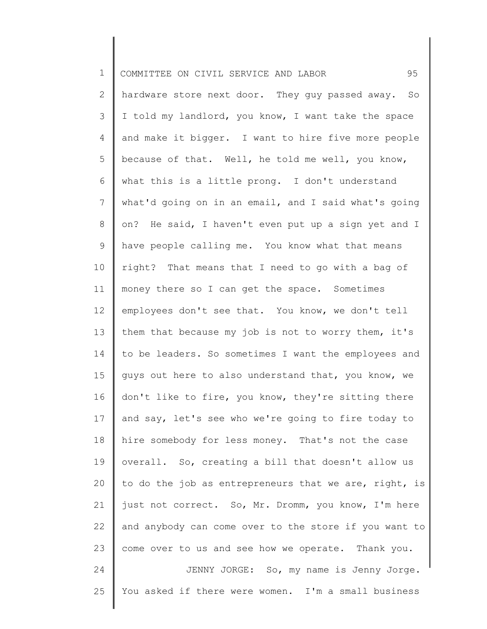| $\mathbf 1$    | 95<br>COMMITTEE ON CIVIL SERVICE AND LABOR            |
|----------------|-------------------------------------------------------|
| $\overline{2}$ | hardware store next door. They guy passed away. So    |
| 3              | I told my landlord, you know, I want take the space   |
| 4              | and make it bigger. I want to hire five more people   |
| 5              | because of that. Well, he told me well, you know,     |
| 6              | what this is a little prong. I don't understand       |
| 7              | what'd going on in an email, and I said what's going  |
| 8              | on? He said, I haven't even put up a sign yet and I   |
| 9              | have people calling me. You know what that means      |
| 10             | right? That means that I need to go with a bag of     |
| 11             | money there so I can get the space. Sometimes         |
| 12             | employees don't see that. You know, we don't tell     |
| 13             | them that because my job is not to worry them, it's   |
| 14             | to be leaders. So sometimes I want the employees and  |
| 15             | guys out here to also understand that, you know, we   |
| 16             | don't like to fire, you know, they're sitting there   |
| 17             | and say, let's see who we're going to fire today to   |
| 18             | hire somebody for less money. That's not the case     |
| 19             | overall. So, creating a bill that doesn't allow us    |
| 20             | to do the job as entrepreneurs that we are, right, is |
| 21             | just not correct. So, Mr. Dromm, you know, I'm here   |
| 22             | and anybody can come over to the store if you want to |
| 23             | come over to us and see how we operate. Thank you.    |
| 24             | JENNY JORGE: So, my name is Jenny Jorge.              |
| 25             | You asked if there were women. I'm a small business   |
|                |                                                       |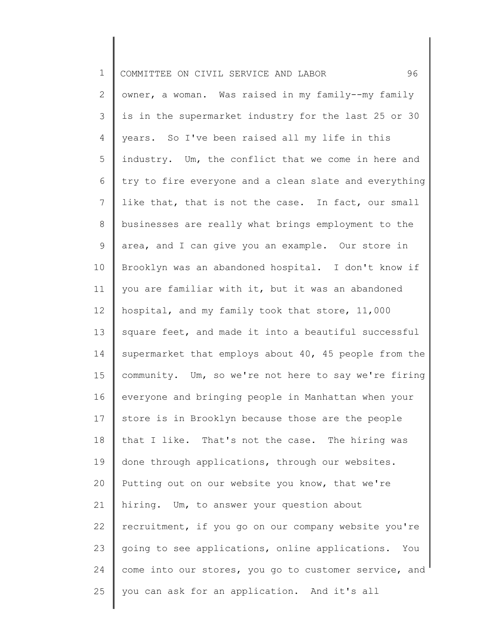| $\mathbf 1$     | 96<br>COMMITTEE ON CIVIL SERVICE AND LABOR            |
|-----------------|-------------------------------------------------------|
| $\mathbf{2}$    | owner, a woman. Was raised in my family--my family    |
| 3               | is in the supermarket industry for the last 25 or 30  |
| 4               | years. So I've been raised all my life in this        |
| 5               | industry. Um, the conflict that we come in here and   |
| 6               | try to fire everyone and a clean slate and everything |
| $7\phantom{.}$  | like that, that is not the case. In fact, our small   |
| 8               | businesses are really what brings employment to the   |
| 9               | area, and I can give you an example. Our store in     |
| 10              | Brooklyn was an abandoned hospital. I don't know if   |
| 11              | you are familiar with it, but it was an abandoned     |
| 12 <sup>°</sup> | hospital, and my family took that store, 11,000       |
| 13              | square feet, and made it into a beautiful successful  |
| 14              | supermarket that employs about 40, 45 people from the |
| 15              | community. Um, so we're not here to say we're firing  |
| 16              | everyone and bringing people in Manhattan when your   |
| 17              | store is in Brooklyn because those are the people     |
| 18              | that I like. That's not the case. The hiring was      |
| 19              | done through applications, through our websites.      |
| 20              | Putting out on our website you know, that we're       |
| 21              | hiring. Um, to answer your question about             |
| 22              | recruitment, if you go on our company website you're  |
| 23              | going to see applications, online applications. You   |
| 24              | come into our stores, you go to customer service, and |
| 25              | you can ask for an application. And it's all          |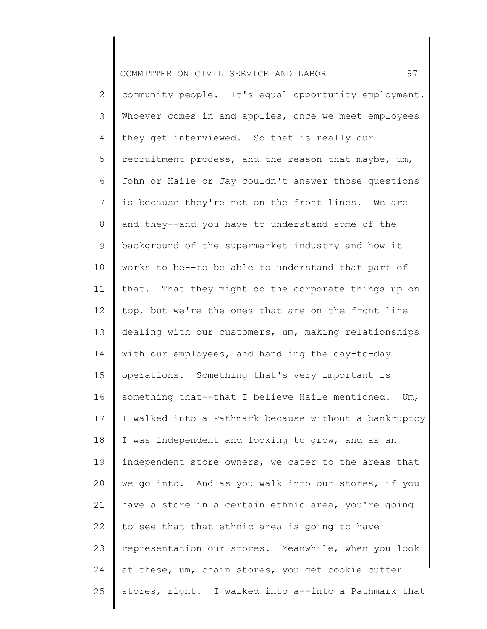| 97<br>COMMITTEE ON CIVIL SERVICE AND LABOR             |
|--------------------------------------------------------|
| community people. It's equal opportunity employment.   |
| Whoever comes in and applies, once we meet employees   |
| they get interviewed. So that is really our            |
| recruitment process, and the reason that maybe, um,    |
| John or Haile or Jay couldn't answer those questions   |
| is because they're not on the front lines. We are      |
| and they--and you have to understand some of the       |
| background of the supermarket industry and how it      |
| works to be--to be able to understand that part of     |
| that. That they might do the corporate things up on    |
| top, but we're the ones that are on the front line     |
| dealing with our customers, um, making relationships   |
| with our employees, and handling the day-to-day        |
| operations. Something that's very important is         |
| something that--that I believe Haile mentioned.<br>Um, |
| I walked into a Pathmark because without a bankruptcy  |
| I was independent and looking to grow, and as an       |
| independent store owners, we cater to the areas that   |
| we go into. And as you walk into our stores, if you    |
| have a store in a certain ethnic area, you're going    |
| to see that that ethnic area is going to have          |
|                                                        |
| representation our stores. Meanwhile, when you look    |
| at these, um, chain stores, you get cookie cutter      |
|                                                        |

∥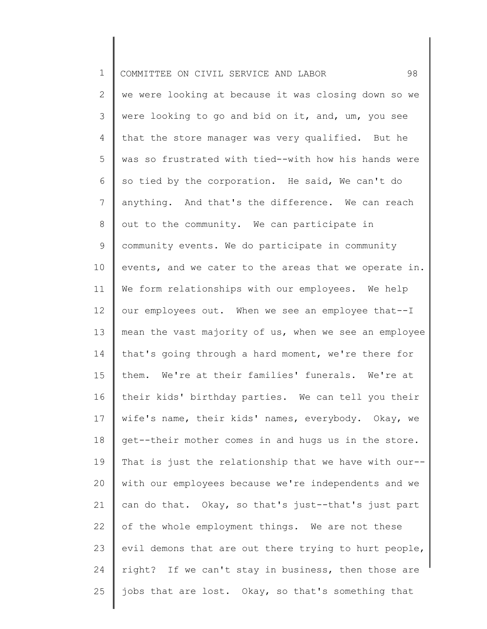| $\mathbf 1$     | 98<br>COMMITTEE ON CIVIL SERVICE AND LABOR            |
|-----------------|-------------------------------------------------------|
| $\mathbf{2}$    | we were looking at because it was closing down so we  |
| 3               | were looking to go and bid on it, and, um, you see    |
| 4               | that the store manager was very qualified. But he     |
| 5               | was so frustrated with tied--with how his hands were  |
| 6               | so tied by the corporation. He said, We can't do      |
| $7\phantom{.0}$ | anything. And that's the difference. We can reach     |
| $8\,$           | out to the community. We can participate in           |
| 9               | community events. We do participate in community      |
| 10              | events, and we cater to the areas that we operate in. |
| 11              | We form relationships with our employees. We help     |
| 12              | our employees out. When we see an employee that--I    |
| 13              | mean the vast majority of us, when we see an employee |
| 14              | that's going through a hard moment, we're there for   |
| 15              | them. We're at their families' funerals. We're at     |
| 16              | their kids' birthday parties. We can tell you their   |
| 17              | wife's name, their kids' names, everybody. Okay, we   |
| 18              | get--their mother comes in and hugs us in the store.  |
| 19              | That is just the relationship that we have with our-- |
| 20              | with our employees because we're independents and we  |
| 21              | can do that. Okay, so that's just--that's just part   |
| 22              | of the whole employment things. We are not these      |
| 23              | evil demons that are out there trying to hurt people, |
| 24              | right? If we can't stay in business, then those are   |
| 25              | jobs that are lost. Okay, so that's something that    |
|                 |                                                       |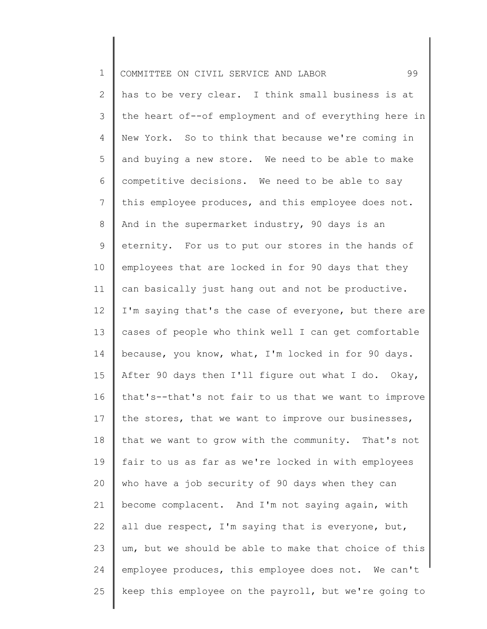| $\mathbf 1$     | 99<br>COMMITTEE ON CIVIL SERVICE AND LABOR            |
|-----------------|-------------------------------------------------------|
| 2               | has to be very clear. I think small business is at    |
| 3               | the heart of--of employment and of everything here in |
| 4               | New York. So to think that because we're coming in    |
| 5               | and buying a new store. We need to be able to make    |
| 6               | competitive decisions. We need to be able to say      |
| $7\phantom{.0}$ | this employee produces, and this employee does not.   |
| 8               | And in the supermarket industry, 90 days is an        |
| 9               | eternity. For us to put our stores in the hands of    |
| 10              | employees that are locked in for 90 days that they    |
| 11              | can basically just hang out and not be productive.    |
| 12              | I'm saying that's the case of everyone, but there are |
| 13              | cases of people who think well I can get comfortable  |
| 14              | because, you know, what, I'm locked in for 90 days.   |
| 15              | After 90 days then I'll figure out what I do. Okay,   |
| 16              | that's--that's not fair to us that we want to improve |
| 17              | the stores, that we want to improve our businesses,   |
| 18              | that we want to grow with the community. That's not   |
| 19              | fair to us as far as we're locked in with employees   |
| 20              | who have a job security of 90 days when they can      |
| 21              | become complacent. And I'm not saying again, with     |
| 22              | all due respect, I'm saying that is everyone, but,    |
| 23              | um, but we should be able to make that choice of this |
| 24              | employee produces, this employee does not. We can't   |
| 25              | keep this employee on the payroll, but we're going to |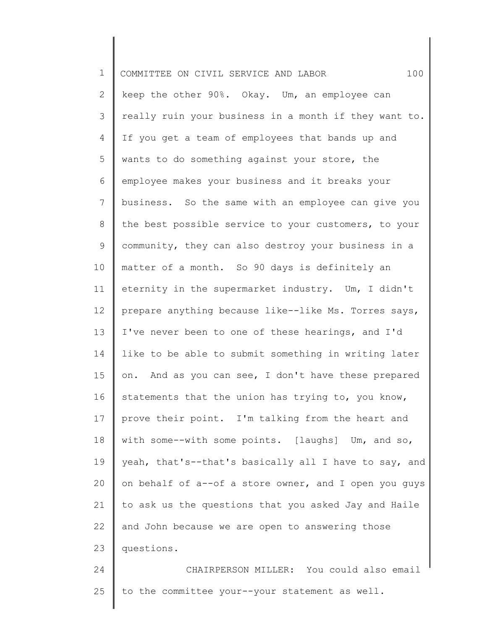| $\mathbf 1$    | 100<br>COMMITTEE ON CIVIL SERVICE AND LABOR           |
|----------------|-------------------------------------------------------|
| $\mathbf{2}$   | keep the other 90%. Okay. Um, an employee can         |
| 3              | really ruin your business in a month if they want to. |
| $\overline{4}$ | If you get a team of employees that bands up and      |
| 5              | wants to do something against your store, the         |
| 6              | employee makes your business and it breaks your       |
| $7\phantom{.}$ | business. So the same with an employee can give you   |
| 8              | the best possible service to your customers, to your  |
| $\mathsf 9$    | community, they can also destroy your business in a   |
| 10             | matter of a month. So 90 days is definitely an        |
| 11             | eternity in the supermarket industry. Um, I didn't    |
| 12             | prepare anything because like--like Ms. Torres says,  |
| 13             | I've never been to one of these hearings, and I'd     |
| 14             | like to be able to submit something in writing later  |
| 15             | on. And as you can see, I don't have these prepared   |
| 16             | statements that the union has trying to, you know,    |
| 17             | prove their point. I'm talking from the heart and     |
| 18             | with some--with some points. [laughs] Um, and so,     |
| 19             | yeah, that's--that's basically all I have to say, and |
| 20             | on behalf of a--of a store owner, and I open you guys |
| 21             | to ask us the questions that you asked Jay and Haile  |
| 22             | and John because we are open to answering those       |
| 23             | questions.                                            |
| 24             | CHAIRPERSON MILLER: You could also email              |
| 25             | to the committee your--your statement as well.        |
|                |                                                       |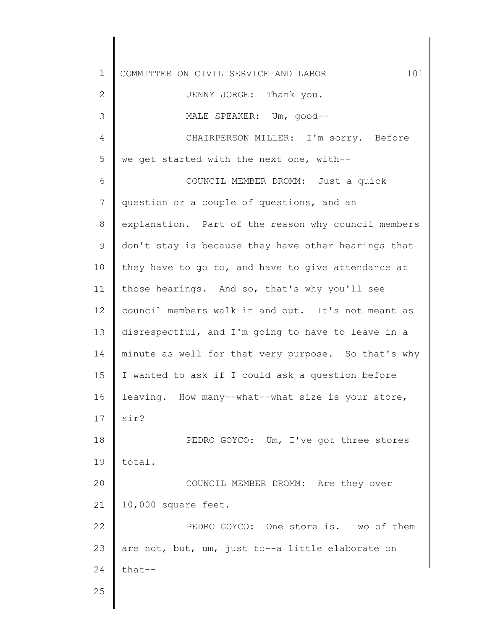| $\mathbf 1$  | 101<br>COMMITTEE ON CIVIL SERVICE AND LABOR         |
|--------------|-----------------------------------------------------|
| $\mathbf{2}$ | JENNY JORGE: Thank you.                             |
| 3            | MALE SPEAKER: Um, good--                            |
| 4            | CHAIRPERSON MILLER: I'm sorry. Before               |
| 5            | we get started with the next one, with--            |
| 6            | COUNCIL MEMBER DROMM: Just a quick                  |
| 7            | question or a couple of questions, and an           |
| 8            | explanation. Part of the reason why council members |
| 9            | don't stay is because they have other hearings that |
| 10           | they have to go to, and have to give attendance at  |
| 11           | those hearings. And so, that's why you'll see       |
| 12           | council members walk in and out. It's not meant as  |
| 13           | disrespectful, and I'm going to have to leave in a  |
| 14           | minute as well for that very purpose. So that's why |
| 15           | I wanted to ask if I could ask a question before    |
| 16           | leaving. How many--what--what size is your store,   |
| 17           | sir?                                                |
| 18           | PEDRO GOYCO: Um, I've got three stores              |
| 19           | total.                                              |
| 20           | COUNCIL MEMBER DROMM: Are they over                 |
| 21           | 10,000 square feet.                                 |
| 22           | PEDRO GOYCO: One store is. Two of them              |
| 23           | are not, but, um, just to--a little elaborate on    |
| 24           | that--                                              |
| 25           |                                                     |
|              |                                                     |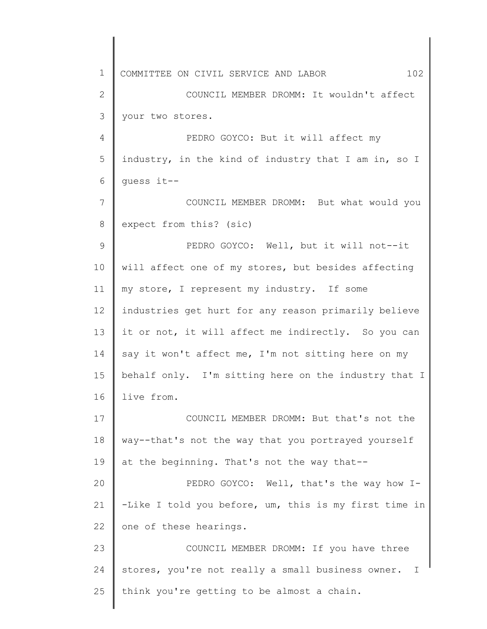1 2 3 4 5 6 7 8 9 10 11 12 13 14 15 16 17 18 19 20 21 22 23 24 25 COMMITTEE ON CIVIL SERVICE AND LABOR 102 COUNCIL MEMBER DROMM: It wouldn't affect your two stores. PEDRO GOYCO: But it will affect my industry, in the kind of industry that I am in, so I guess it-- COUNCIL MEMBER DROMM: But what would you expect from this? (sic) PEDRO GOYCO: Well, but it will not--it will affect one of my stores, but besides affecting my store, I represent my industry. If some industries get hurt for any reason primarily believe it or not, it will affect me indirectly. So you can say it won't affect me, I'm not sitting here on my behalf only. I'm sitting here on the industry that I live from. COUNCIL MEMBER DROMM: But that's not the way--that's not the way that you portrayed yourself at the beginning. That's not the way that-- PEDRO GOYCO: Well, that's the way how I- -Like I told you before, um, this is my first time in one of these hearings. COUNCIL MEMBER DROMM: If you have three stores, you're not really a small business owner. I think you're getting to be almost a chain.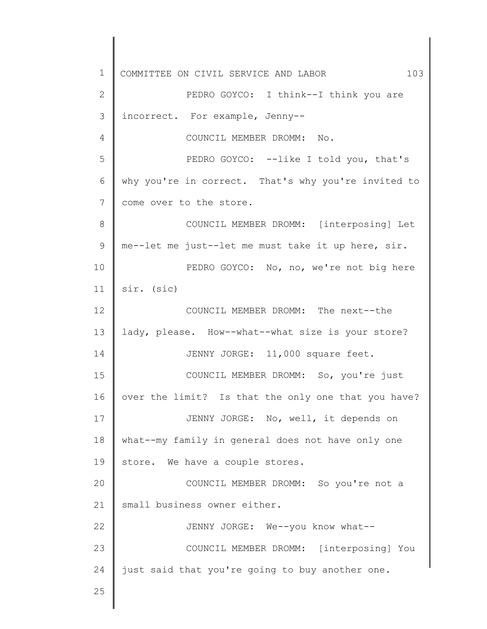1 2 3 4 5 6 7 8 9 10 11 12 13 14 15 16 17 18 19 20 21 22 23 24 25 COMMITTEE ON CIVIL SERVICE AND LABOR 103 PEDRO GOYCO: I think--I think you are incorrect. For example, Jenny-- COUNCIL MEMBER DROMM: No. PEDRO GOYCO: --like I told you, that's why you're in correct. That's why you're invited to come over to the store. COUNCIL MEMBER DROMM: [interposing] Let me--let me just--let me must take it up here, sir. PEDRO GOYCO: No, no, we're not big here sir. (sic) COUNCIL MEMBER DROMM: The next--the lady, please. How--what--what size is your store? JENNY JORGE: 11,000 square feet. COUNCIL MEMBER DROMM: So, you're just over the limit? Is that the only one that you have? JENNY JORGE: No, well, it depends on what--my family in general does not have only one store. We have a couple stores. COUNCIL MEMBER DROMM: So you're not a small business owner either. JENNY JORGE: We--you know what-- COUNCIL MEMBER DROMM: [interposing] You just said that you're going to buy another one.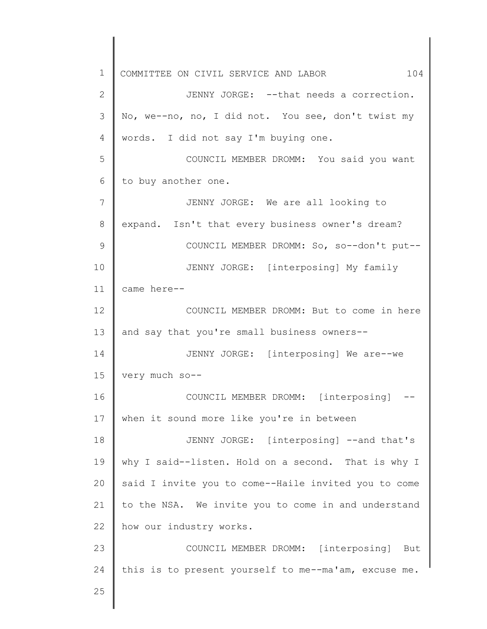1 2 3 4 5 6 7 8 9 10 11 12 13 14 15 16 17 18 19 20 21 22 23 24 25 COMMITTEE ON CIVIL SERVICE AND LABOR 104 JENNY JORGE: --that needs a correction. No, we--no, no, I did not. You see, don't twist my words. I did not say I'm buying one. COUNCIL MEMBER DROMM: You said you want to buy another one. JENNY JORGE: We are all looking to expand. Isn't that every business owner's dream? COUNCIL MEMBER DROMM: So, so--don't put-- JENNY JORGE: [interposing] My family came here-- COUNCIL MEMBER DROMM: But to come in here and say that you're small business owners-- JENNY JORGE: [interposing] We are--we very much so-- COUNCIL MEMBER DROMM: [interposing] - when it sound more like you're in between JENNY JORGE: [interposing] --and that's why I said--listen. Hold on a second. That is why I said I invite you to come--Haile invited you to come to the NSA. We invite you to come in and understand how our industry works. COUNCIL MEMBER DROMM: [interposing] But this is to present yourself to me--ma'am, excuse me.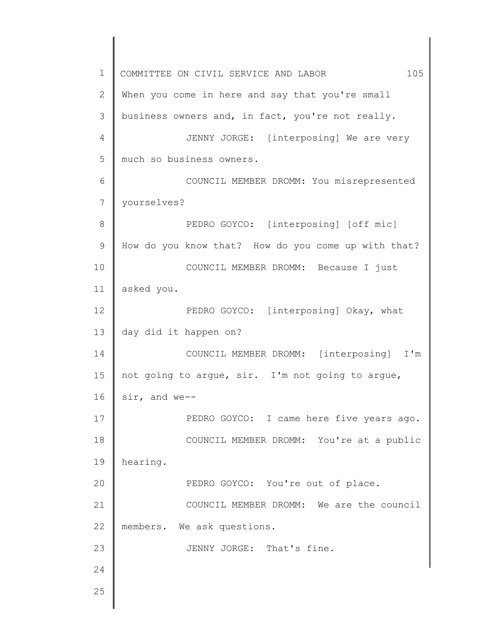1 2 3 4 5 6 7 8 9 10 11 12 13 14 15 16 17 18 19 20 21 22 23 24 25 COMMITTEE ON CIVIL SERVICE AND LABOR 105 When you come in here and say that you're small business owners and, in fact, you're not really. JENNY JORGE: [interposing] We are very much so business owners. COUNCIL MEMBER DROMM: You misrepresented yourselves? PEDRO GOYCO: [interposing] [off mic] How do you know that? How do you come up with that? COUNCIL MEMBER DROMM: Because I just asked you. PEDRO GOYCO: [interposing] Okay, what day did it happen on? COUNCIL MEMBER DROMM: [interposing] I'm not going to argue, sir. I'm not going to argue, sir, and we-- PEDRO GOYCO: I came here five years ago. COUNCIL MEMBER DROMM: You're at a public hearing. PEDRO GOYCO: You're out of place. COUNCIL MEMBER DROMM: We are the council members. We ask questions. JENNY JORGE: That's fine.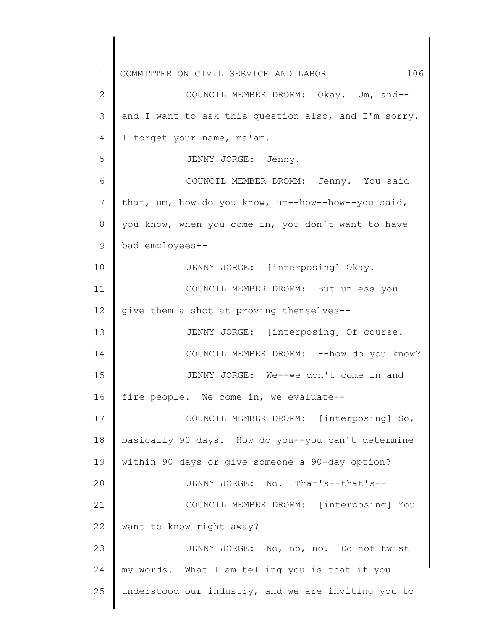1 2 3 4 5 6 7 8 9 10 11 12 13 14 15 16 17 18 19 20 21 22 23 24 25 COMMITTEE ON CIVIL SERVICE AND LABOR 106 COUNCIL MEMBER DROMM: Okay. Um, and- and I want to ask this question also, and I'm sorry. I forget your name, ma'am. JENNY JORGE: Jenny. COUNCIL MEMBER DROMM: Jenny. You said that, um, how do you know, um--how--how--you said, you know, when you come in, you don't want to have bad employees-- JENNY JORGE: [interposing] Okay. COUNCIL MEMBER DROMM: But unless you give them a shot at proving themselves-- JENNY JORGE: [interposing] Of course. COUNCIL MEMBER DROMM: -- how do you know? JENNY JORGE: We--we don't come in and fire people. We come in, we evaluate-- COUNCIL MEMBER DROMM: [interposing] So, basically 90 days. How do you--you can't determine within 90 days or give someone a 90-day option? JENNY JORGE: No. That's--that's-- COUNCIL MEMBER DROMM: [interposing] You want to know right away? JENNY JORGE: No, no, no. Do not twist my words. What I am telling you is that if you understood our industry, and we are inviting you to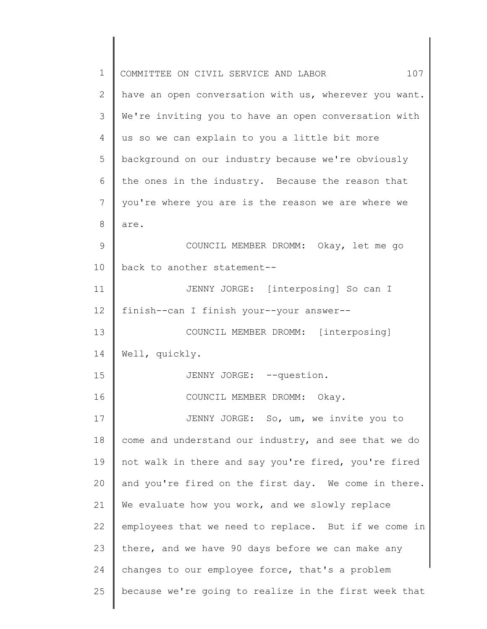| $\mathbf 1$ | COMMITTEE ON CIVIL SERVICE AND LABOR<br>107           |
|-------------|-------------------------------------------------------|
| 2           | have an open conversation with us, wherever you want. |
| 3           | We're inviting you to have an open conversation with  |
| 4           | us so we can explain to you a little bit more         |
| 5           | background on our industry because we're obviously    |
| 6           | the ones in the industry. Because the reason that     |
| 7           | you're where you are is the reason we are where we    |
| 8           | are.                                                  |
| 9           | COUNCIL MEMBER DROMM: Okay, let me go                 |
| 10          | back to another statement--                           |
| 11          | JENNY JORGE: [interposing] So can I                   |
| 12          | finish--can I finish your--your answer--              |
| 13          | COUNCIL MEMBER DROMM: [interposing]                   |
| 14          | Well, quickly.                                        |
| 15          | JENNY JORGE: -- question.                             |
| 16          | COUNCIL MEMBER DROMM: Okay.                           |
| 17          | JENNY JORGE: So, um, we invite you to                 |
| 18          | come and understand our industry, and see that we do  |
| 19          | not walk in there and say you're fired, you're fired  |
| 20          | and you're fired on the first day. We come in there.  |
| 21          | We evaluate how you work, and we slowly replace       |
| 22          | employees that we need to replace. But if we come in  |
| 23          | there, and we have 90 days before we can make any     |
| 24          | changes to our employee force, that's a problem       |
| 25          | because we're going to realize in the first week that |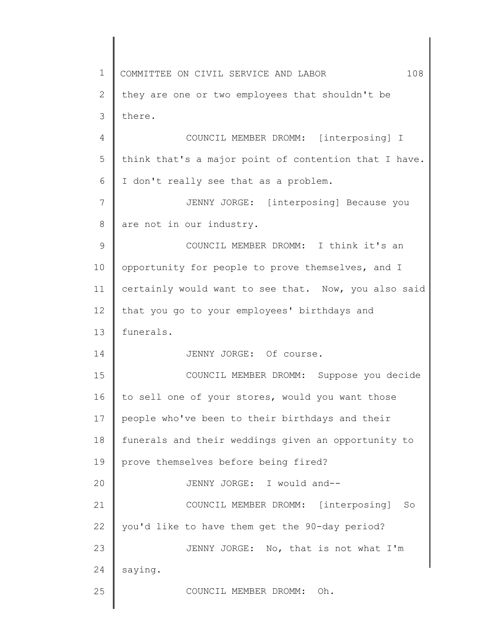1 2 3 4 5 6 7 8 9 10 11 12 13 14 15 16 17 18 19 20 21 22 23 24 25 COMMITTEE ON CIVIL SERVICE AND LABOR 108 they are one or two employees that shouldn't be there. COUNCIL MEMBER DROMM: [interposing] I think that's a major point of contention that I have. I don't really see that as a problem. JENNY JORGE: [interposing] Because you are not in our industry. COUNCIL MEMBER DROMM: I think it's an opportunity for people to prove themselves, and I certainly would want to see that. Now, you also said that you go to your employees' birthdays and funerals. JENNY JORGE: Of course. COUNCIL MEMBER DROMM: Suppose you decide to sell one of your stores, would you want those people who've been to their birthdays and their funerals and their weddings given an opportunity to prove themselves before being fired? JENNY JORGE: I would and-- COUNCIL MEMBER DROMM: [interposing] So you'd like to have them get the 90-day period? JENNY JORGE: No, that is not what I'm saying. COUNCIL MEMBER DROMM: Oh.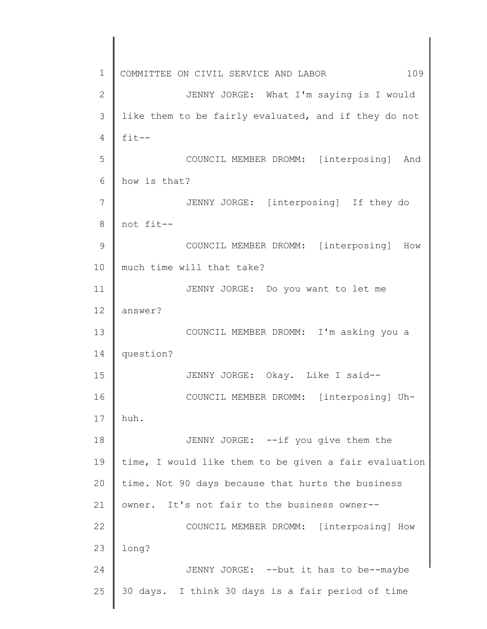1 2 3 4 5 6 7 8 9 10 11 12 13 14 15 16 17 18 19 20 21 22 23 24 25 COMMITTEE ON CIVIL SERVICE AND LABOR 109 JENNY JORGE: What I'm saying is I would like them to be fairly evaluated, and if they do not fit-- COUNCIL MEMBER DROMM: [interposing] And how is that? JENNY JORGE: [interposing] If they do not fit-- COUNCIL MEMBER DROMM: [interposing] How much time will that take? JENNY JORGE: Do you want to let me answer? COUNCIL MEMBER DROMM: I'm asking you a question? JENNY JORGE: Okay. Like I said-- COUNCIL MEMBER DROMM: [interposing] Uhhuh. JENNY JORGE: --if you give them the time, I would like them to be given a fair evaluation time. Not 90 days because that hurts the business owner. It's not fair to the business owner-- COUNCIL MEMBER DROMM: [interposing] How long? JENNY JORGE: --but it has to be--maybe 30 days. I think 30 days is a fair period of time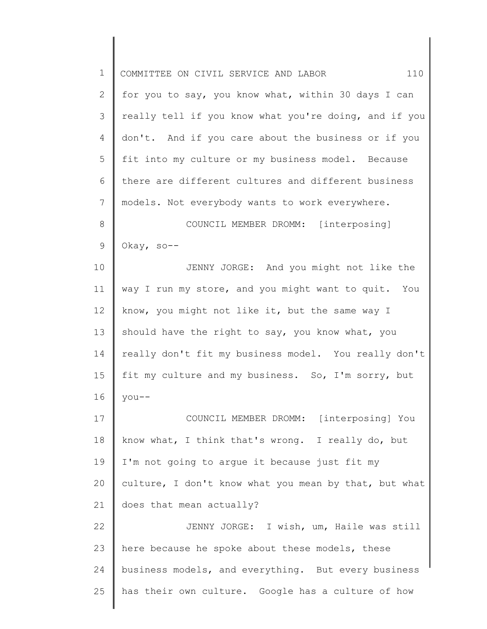| $\mathbf 1$ | 110<br>COMMITTEE ON CIVIL SERVICE AND LABOR           |
|-------------|-------------------------------------------------------|
| 2           | for you to say, you know what, within 30 days I can   |
| 3           | really tell if you know what you're doing, and if you |
| 4           | don't. And if you care about the business or if you   |
| 5           | fit into my culture or my business model. Because     |
| 6           | there are different cultures and different business   |
| 7           | models. Not everybody wants to work everywhere.       |
| $\,8\,$     | COUNCIL MEMBER DROMM: [interposing]                   |
| 9           | Okay, $so--$                                          |
| 10          | JENNY JORGE: And you might not like the               |
| 11          | way I run my store, and you might want to quit. You   |
| 12          | know, you might not like it, but the same way I       |
| 13          | should have the right to say, you know what, you      |
| 14          | really don't fit my business model. You really don't  |
| 15          | fit my culture and my business. So, I'm sorry, but    |
| 16          | $you--$                                               |
| 17          | COUNCIL MEMBER DROMM: [interposing] You               |
| 18          | know what, I think that's wrong. I really do, but     |
| 19          | I'm not going to argue it because just fit my         |
| 20          | culture, I don't know what you mean by that, but what |
| 21          | does that mean actually?                              |
| 22          | JENNY JORGE: I wish, um, Haile was still              |
| 23          | here because he spoke about these models, these       |
| 24          | business models, and everything. But every business   |
| 25          | has their own culture. Google has a culture of how    |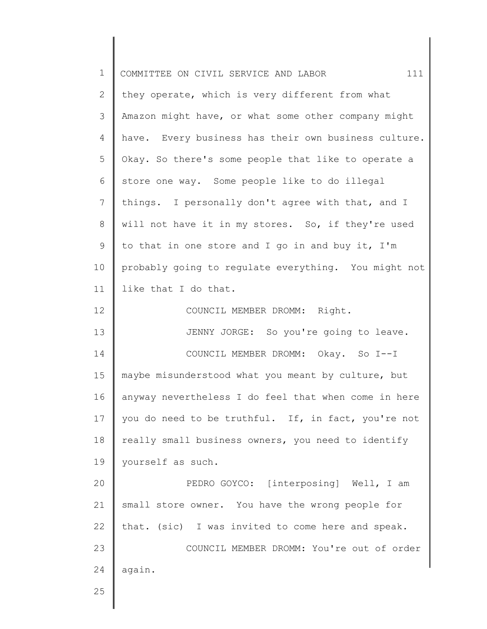| $\mathbf 1$    | COMMITTEE ON CIVIL SERVICE AND LABOR<br>111          |
|----------------|------------------------------------------------------|
| $\mathbf{2}$   | they operate, which is very different from what      |
| 3              | Amazon might have, or what some other company might  |
| 4              | have. Every business has their own business culture. |
| 5              | Okay. So there's some people that like to operate a  |
| 6              | store one way. Some people like to do illegal        |
| $\overline{7}$ | things. I personally don't agree with that, and I    |
| 8              | will not have it in my stores. So, if they're used   |
| 9              | to that in one store and I go in and buy it, I'm     |
| 10             | probably going to regulate everything. You might not |
| 11             | like that I do that.                                 |
| 12             | COUNCIL MEMBER DROMM: Right.                         |
| 13             | JENNY JORGE: So you're going to leave.               |
| 14             | COUNCIL MEMBER DROMM: Okay. So I--I                  |
| 15             | maybe misunderstood what you meant by culture, but   |
| 16             | anyway nevertheless I do feel that when come in here |
| 17             | you do need to be truthful. If, in fact, you're not  |
| 18             | really small business owners, you need to identify   |
| 19             | yourself as such.                                    |
| 20             | PEDRO GOYCO: [interposing] Well, I am                |
| 21             | small store owner. You have the wrong people for     |
| 22             | that. (sic) I was invited to come here and speak.    |
| 23             | COUNCIL MEMBER DROMM: You're out of order            |
| 24             | again.                                               |
| 25             |                                                      |
|                |                                                      |

 $\begin{array}{c} \hline \end{array}$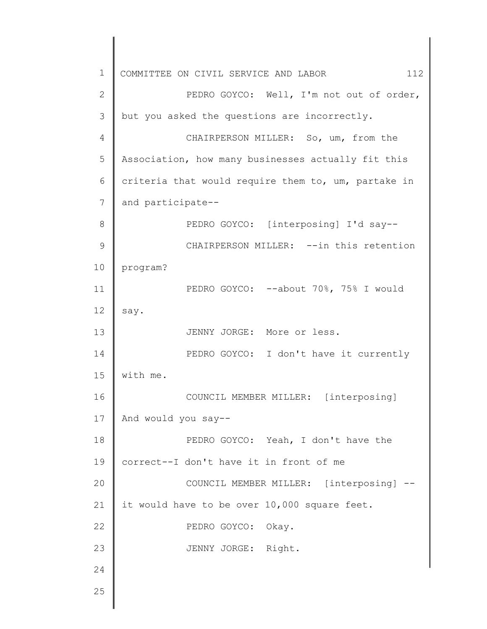1 2 3 4 5 6 7 8 9 10 11 12 13 14 15 16 17 18 19 20 21 22 23 24 25 COMMITTEE ON CIVIL SERVICE AND LABOR 112 PEDRO GOYCO: Well, I'm not out of order, but you asked the questions are incorrectly. CHAIRPERSON MILLER: So, um, from the Association, how many businesses actually fit this criteria that would require them to, um, partake in and participate-- PEDRO GOYCO: [interposing] I'd say-- CHAIRPERSON MILLER: --in this retention program? PEDRO GOYCO: --about 70%, 75% I would say. JENNY JORGE: More or less. PEDRO GOYCO: I don't have it currently with me. COUNCIL MEMBER MILLER: [interposing] And would you say-- PEDRO GOYCO: Yeah, I don't have the correct--I don't have it in front of me COUNCIL MEMBER MILLER: [interposing] - it would have to be over 10,000 square feet. PEDRO GOYCO: Okay. JENNY JORGE: Right.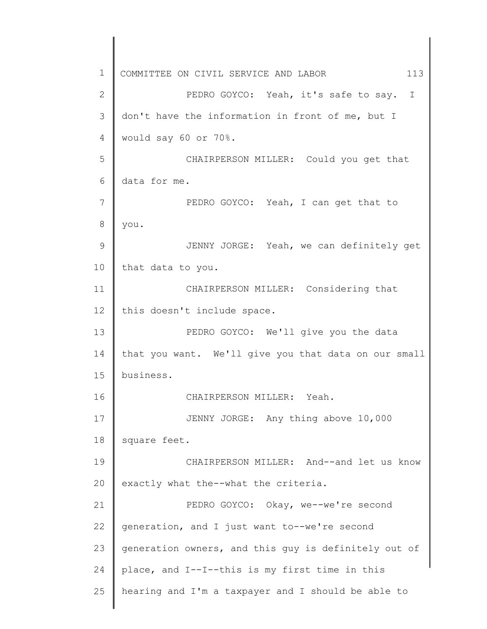1 2 3 4 5 6 7 8 9 10 11 12 13 14 15 16 17 18 19 20 21 22 23 24 25 COMMITTEE ON CIVIL SERVICE AND LABOR 113 PEDRO GOYCO: Yeah, it's safe to say. I don't have the information in front of me, but I would say 60 or 70%. CHAIRPERSON MILLER: Could you get that data for me. PEDRO GOYCO: Yeah, I can get that to you. JENNY JORGE: Yeah, we can definitely get that data to you. CHAIRPERSON MILLER: Considering that this doesn't include space. PEDRO GOYCO: We'll give you the data that you want. We'll give you that data on our small business. CHAIRPERSON MILLER: Yeah. JENNY JORGE: Any thing above 10,000 square feet. CHAIRPERSON MILLER: And--and let us know exactly what the--what the criteria. PEDRO GOYCO: Okay, we--we're second generation, and I just want to--we're second generation owners, and this guy is definitely out of place, and I--I--this is my first time in this hearing and I'm a taxpayer and I should be able to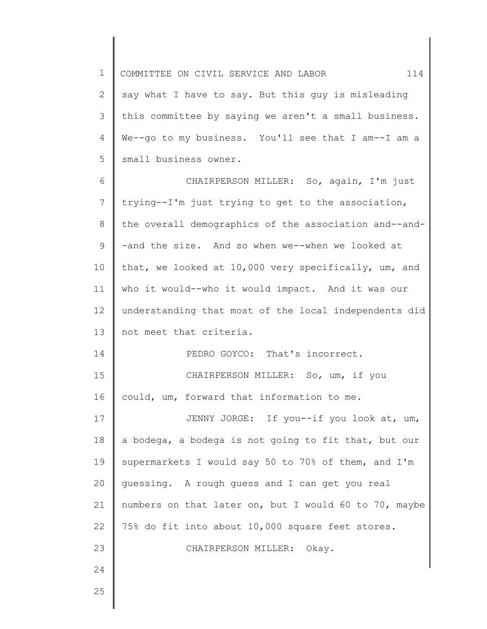1 2 3 4 5 COMMITTEE ON CIVIL SERVICE AND LABOR 114 say what I have to say. But this guy is misleading this committee by saying we aren't a small business. We--go to my business. You'll see that I am--I am a small business owner.

6 7 8 9 10 11 12 13 14 15 16 17 CHAIRPERSON MILLER: So, again, I'm just trying--I'm just trying to get to the association, the overall demographics of the association and--and- -and the size. And so when we--when we looked at that, we looked at 10,000 very specifically, um, and who it would--who it would impact. And it was our understanding that most of the local independents did not meet that criteria. PEDRO GOYCO: That's incorrect. CHAIRPERSON MILLER: So, um, if you could, um, forward that information to me. JENNY JORGE: If you--if you look at, um,

18 19 20 21 22 23 24 a bodega, a bodega is not going to fit that, but our supermarkets I would say 50 to 70% of them, and I'm guessing. A rough guess and I can get you real numbers on that later on, but I would 60 to 70, maybe 75% do fit into about 10,000 square feet stores. CHAIRPERSON MILLER: Okay.

25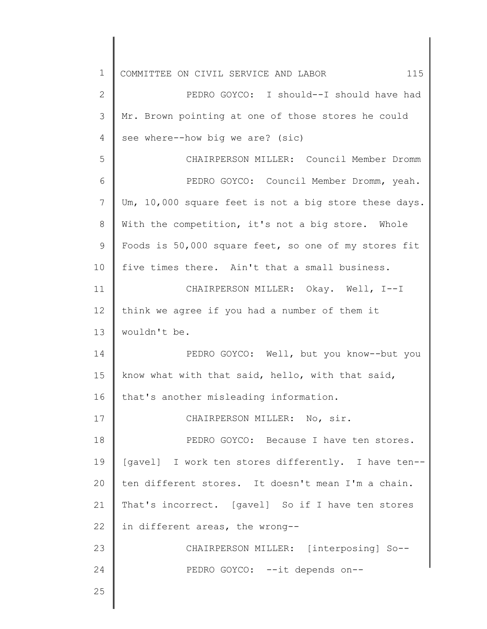1 2 3 4 5 6 7 8 9 10 11 12 13 14 15 16 17 18 19 20 21 22 23 24 25 COMMITTEE ON CIVIL SERVICE AND LABOR 115 PEDRO GOYCO: I should--I should have had Mr. Brown pointing at one of those stores he could see where--how big we are? (sic) CHAIRPERSON MILLER: Council Member Dromm PEDRO GOYCO: Council Member Dromm, yeah. Um, 10,000 square feet is not a big store these days. With the competition, it's not a big store. Whole Foods is 50,000 square feet, so one of my stores fit five times there. Ain't that a small business. CHAIRPERSON MILLER: Okay. Well, I--I think we agree if you had a number of them it wouldn't be. PEDRO GOYCO: Well, but you know--but you know what with that said, hello, with that said, that's another misleading information. CHAIRPERSON MILLER: No, sir. PEDRO GOYCO: Because I have ten stores. [gavel] I work ten stores differently. I have ten- ten different stores. It doesn't mean I'm a chain. That's incorrect. [gavel] So if I have ten stores in different areas, the wrong-- CHAIRPERSON MILLER: [interposing] So-- PEDRO GOYCO: -- it depends on--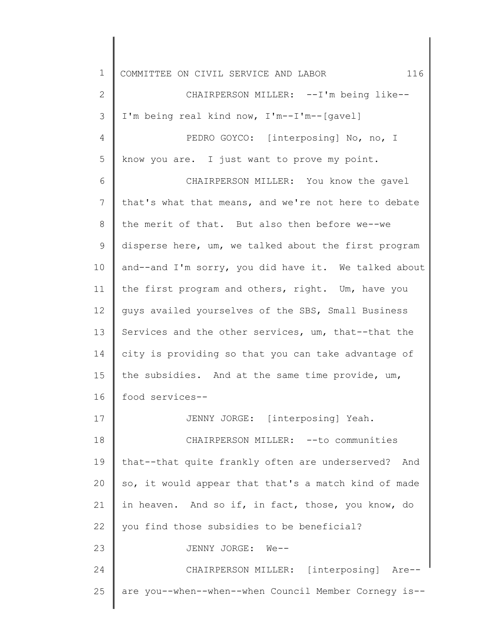| $\mathbf 1$ | 116<br>COMMITTEE ON CIVIL SERVICE AND LABOR           |
|-------------|-------------------------------------------------------|
| 2           | CHAIRPERSON MILLER: --I'm being like--                |
| 3           | I'm being real kind now, I'm--I'm--[gavel]            |
| 4           | PEDRO GOYCO: [interposing] No, no, I                  |
| 5           | know you are. I just want to prove my point.          |
| 6           | CHAIRPERSON MILLER: You know the gavel                |
| 7           | that's what that means, and we're not here to debate  |
| 8           | the merit of that. But also then before we--we        |
| 9           | disperse here, um, we talked about the first program  |
| 10          | and--and I'm sorry, you did have it. We talked about  |
| 11          | the first program and others, right. Um, have you     |
| 12          | guys availed yourselves of the SBS, Small Business    |
| 13          | Services and the other services, um, that--that the   |
| 14          | city is providing so that you can take advantage of   |
| 15          | the subsidies. And at the same time provide, um,      |
| 16          | food services--                                       |
| 17          | JENNY JORGE: [interposing] Yeah.                      |
| 18          | CHAIRPERSON MILLER: -- to communities                 |
| 19          | that--that quite frankly often are underserved? And   |
| 20          | so, it would appear that that's a match kind of made  |
| 21          | in heaven. And so if, in fact, those, you know, do    |
| 22          | you find those subsidies to be beneficial?            |
| 23          | JENNY JORGE: We--                                     |
| 24          | CHAIRPERSON MILLER: [interposing] Are--               |
| 25          | are you--when--when--when Council Member Cornegy is-- |
|             |                                                       |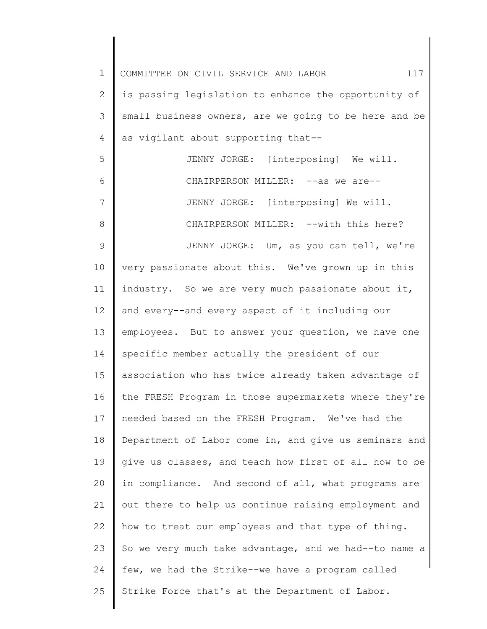1 2 3 4 5 6 7 8 9 10 11 12 13 14 15 16 17 18 19 20 21 22 23 24 25 COMMITTEE ON CIVIL SERVICE AND LABOR 117 is passing legislation to enhance the opportunity of small business owners, are we going to be here and be as vigilant about supporting that-- JENNY JORGE: [interposing] We will. CHAIRPERSON MILLER: --as we are--JENNY JORGE: [interposing] We will. CHAIRPERSON MILLER: --with this here? JENNY JORGE: Um, as you can tell, we're very passionate about this. We've grown up in this industry. So we are very much passionate about it, and every--and every aspect of it including our employees. But to answer your question, we have one specific member actually the president of our association who has twice already taken advantage of the FRESH Program in those supermarkets where they're needed based on the FRESH Program. We've had the Department of Labor come in, and give us seminars and give us classes, and teach how first of all how to be in compliance. And second of all, what programs are out there to help us continue raising employment and how to treat our employees and that type of thing. So we very much take advantage, and we had--to name a few, we had the Strike--we have a program called Strike Force that's at the Department of Labor.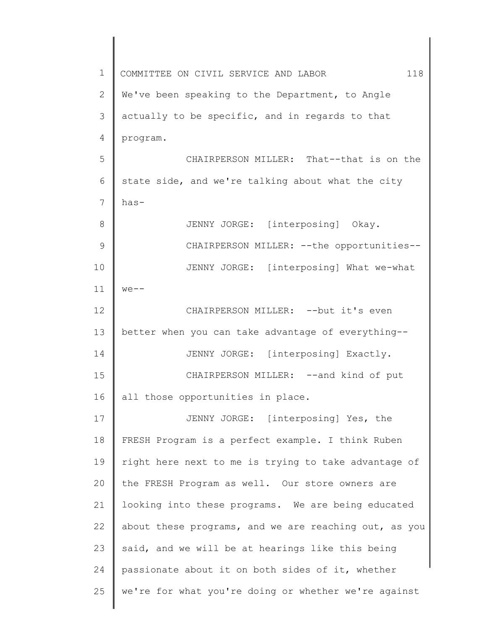| 1  | COMMITTEE ON CIVIL SERVICE AND LABOR<br>118           |
|----|-------------------------------------------------------|
| 2  | We've been speaking to the Department, to Angle       |
| 3  | actually to be specific, and in regards to that       |
| 4  | program.                                              |
| 5  | CHAIRPERSON MILLER: That--that is on the              |
| 6  | state side, and we're talking about what the city     |
| 7  | $has-$                                                |
| 8  | JENNY JORGE: [interposing] Okay.                      |
| 9  | CHAIRPERSON MILLER: -- the opportunities --           |
| 10 | JENNY JORGE: [interposing] What we-what               |
| 11 | $we --$                                               |
| 12 | CHAIRPERSON MILLER: -- but it's even                  |
| 13 | better when you can take advantage of everything--    |
| 14 | JENNY JORGE: [interposing] Exactly.                   |
| 15 | CHAIRPERSON MILLER: --and kind of put                 |
| 16 | all those opportunities in place.                     |
| 17 | JENNY JORGE: [interposing] Yes, the                   |
| 18 | FRESH Program is a perfect example. I think Ruben     |
| 19 | right here next to me is trying to take advantage of  |
| 20 | the FRESH Program as well. Our store owners are       |
| 21 | looking into these programs. We are being educated    |
| 22 | about these programs, and we are reaching out, as you |
| 23 | said, and we will be at hearings like this being      |
| 24 | passionate about it on both sides of it, whether      |
| 25 | we're for what you're doing or whether we're against  |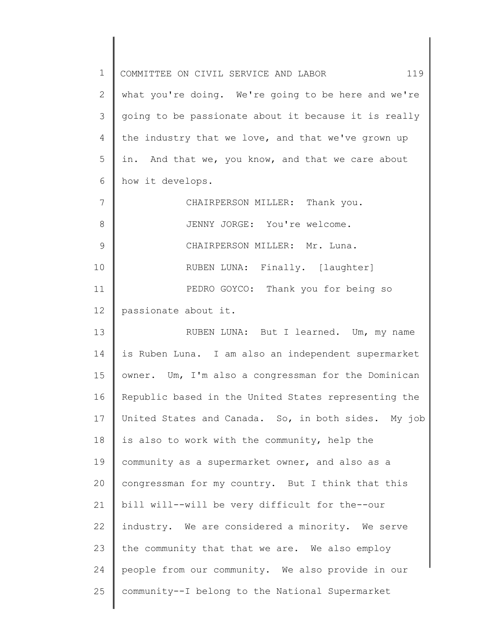| $\mathbf 1$ | COMMITTEE ON CIVIL SERVICE AND LABOR<br>119          |
|-------------|------------------------------------------------------|
| 2           | what you're doing. We're going to be here and we're  |
| 3           | going to be passionate about it because it is really |
| 4           | the industry that we love, and that we've grown up   |
| 5           | in. And that we, you know, and that we care about    |
| 6           | how it develops.                                     |
| 7           | CHAIRPERSON MILLER: Thank you.                       |
| 8           | JENNY JORGE: You're welcome.                         |
| 9           | CHAIRPERSON MILLER: Mr. Luna.                        |
| 10          | RUBEN LUNA: Finally. [laughter]                      |
| 11          | PEDRO GOYCO: Thank you for being so                  |
| 12          | passionate about it.                                 |
| 13          | RUBEN LUNA: But I learned. Um, my name               |
| 14          | is Ruben Luna. I am also an independent supermarket  |
| 15          | owner. Um, I'm also a congressman for the Dominican  |
| 16          | Republic based in the United States representing the |
| 17          | United States and Canada. So, in both sides. My job  |
| 18          | is also to work with the community, help the         |
| 19          | community as a supermarket owner, and also as a      |
| 20          | congressman for my country. But I think that this    |
| 21          | bill will--will be very difficult for the--our       |
| 22          | industry. We are considered a minority. We serve     |
| 23          | the community that that we are. We also employ       |
| 24          | people from our community. We also provide in our    |
| 25          | community--I belong to the National Supermarket      |
|             |                                                      |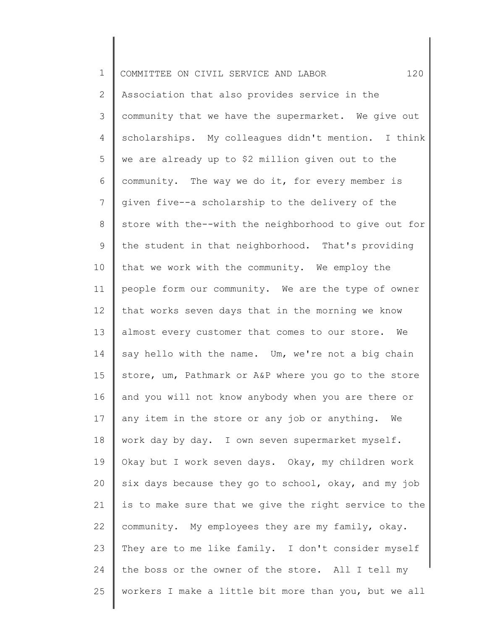1 2 3 4 5 6 7 8 9 10 11 12 13 14 15 16 17 18 19 20 21 22 23 24 25 COMMITTEE ON CIVIL SERVICE AND LABOR 120 Association that also provides service in the community that we have the supermarket. We give out scholarships. My colleagues didn't mention. I think we are already up to \$2 million given out to the community. The way we do it, for every member is given five--a scholarship to the delivery of the store with the--with the neighborhood to give out for the student in that neighborhood. That's providing that we work with the community. We employ the people form our community. We are the type of owner that works seven days that in the morning we know almost every customer that comes to our store. We say hello with the name. Um, we're not a big chain store, um, Pathmark or A&P where you go to the store and you will not know anybody when you are there or any item in the store or any job or anything. We work day by day. I own seven supermarket myself. Okay but I work seven days. Okay, my children work six days because they go to school, okay, and my job is to make sure that we give the right service to the community. My employees they are my family, okay. They are to me like family. I don't consider myself the boss or the owner of the store. All I tell my workers I make a little bit more than you, but we all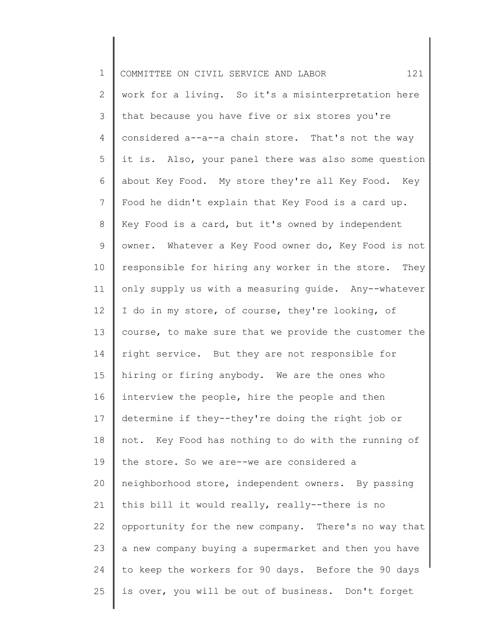| $\mathbf 1$ | 121<br>COMMITTEE ON CIVIL SERVICE AND LABOR           |
|-------------|-------------------------------------------------------|
| 2           | work for a living. So it's a misinterpretation here   |
| 3           | that because you have five or six stores you're       |
| 4           | considered a--a--a chain store. That's not the way    |
| 5           | it is. Also, your panel there was also some question  |
| 6           | about Key Food. My store they're all Key Food. Key    |
| 7           | Food he didn't explain that Key Food is a card up.    |
| 8           | Key Food is a card, but it's owned by independent     |
| 9           | owner. Whatever a Key Food owner do, Key Food is not  |
| 10          | responsible for hiring any worker in the store. They  |
| 11          | only supply us with a measuring guide. Any--whatever  |
| 12          | I do in my store, of course, they're looking, of      |
| 13          | course, to make sure that we provide the customer the |
| 14          | right service. But they are not responsible for       |
| 15          | hiring or firing anybody. We are the ones who         |
| 16          | interview the people, hire the people and then        |
| 17          | determine if they--they're doing the right job or     |
| 18          | not. Key Food has nothing to do with the running of   |
| 19          | the store. So we are--we are considered a             |
| 20          | neighborhood store, independent owners. By passing    |
| 21          | this bill it would really, really--there is no        |
| 22          | opportunity for the new company. There's no way that  |
| 23          | a new company buying a supermarket and then you have  |
| 24          | to keep the workers for 90 days. Before the 90 days   |
| 25          | is over, you will be out of business. Don't forget    |
|             |                                                       |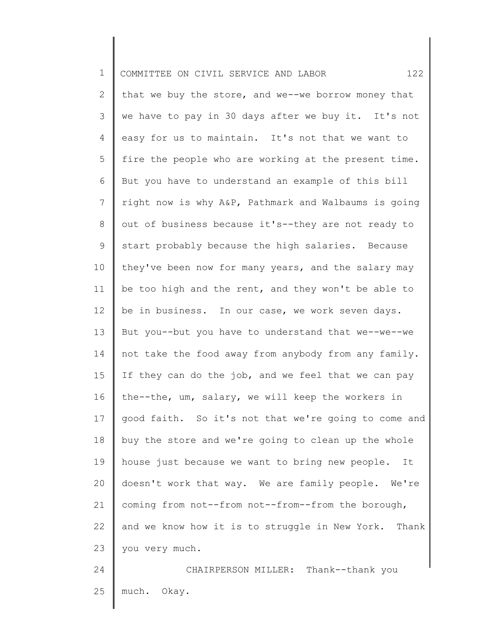1 2 3 4 5 6 7 8 9 10 11 12 13 14 15 16 17 18 19 20 21 22 23 24 COMMITTEE ON CIVIL SERVICE AND LABOR 122 that we buy the store, and we--we borrow money that we have to pay in 30 days after we buy it. It's not easy for us to maintain. It's not that we want to fire the people who are working at the present time. But you have to understand an example of this bill right now is why A&P, Pathmark and Walbaums is going out of business because it's--they are not ready to start probably because the high salaries. Because they've been now for many years, and the salary may be too high and the rent, and they won't be able to be in business. In our case, we work seven days. But you--but you have to understand that we--we--we not take the food away from anybody from any family. If they can do the job, and we feel that we can pay the--the, um, salary, we will keep the workers in good faith. So it's not that we're going to come and buy the store and we're going to clean up the whole house just because we want to bring new people. It doesn't work that way. We are family people. We're coming from not--from not--from--from the borough, and we know how it is to struggle in New York. Thank you very much. CHAIRPERSON MILLER: Thank--thank you

25 much. Okay.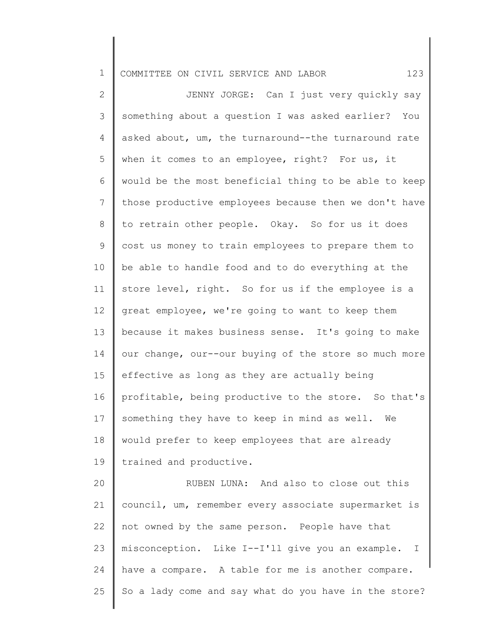1 COMMITTEE ON CIVIL SERVICE AND LABOR 123

2 3 4 5 6 7 8 9 10 11 12 13 14 15 16 17 18 19 20 21 22 23 24 JENNY JORGE: Can I just very quickly say something about a question I was asked earlier? You asked about, um, the turnaround--the turnaround rate when it comes to an employee, right? For us, it would be the most beneficial thing to be able to keep those productive employees because then we don't have to retrain other people. Okay. So for us it does cost us money to train employees to prepare them to be able to handle food and to do everything at the store level, right. So for us if the employee is a great employee, we're going to want to keep them because it makes business sense. It's going to make our change, our--our buying of the store so much more effective as long as they are actually being profitable, being productive to the store. So that's something they have to keep in mind as well. We would prefer to keep employees that are already trained and productive. RUBEN LUNA:And also to close out this council, um, remember every associate supermarket is not owned by the same person. People have that misconception. Like I--I'll give you an example. I have a compare. A table for me is another compare.

25 So a lady come and say what do you have in the store?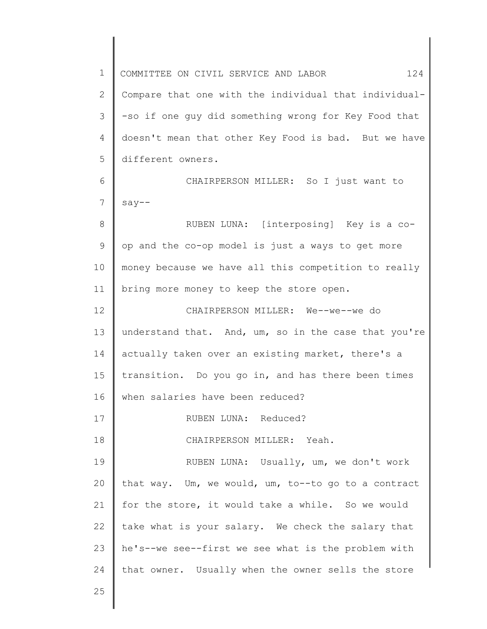1 2 3 4 5 6 7 8 9 10 11 12 13 14 15 16 17 18 19 20 21 22 23 24 25 COMMITTEE ON CIVIL SERVICE AND LABOR 124 Compare that one with the individual that individual- -so if one guy did something wrong for Key Food that doesn't mean that other Key Food is bad. But we have different owners. CHAIRPERSON MILLER: So I just want to say-- RUBEN LUNA: [interposing] Key is a coop and the co-op model is just a ways to get more money because we have all this competition to really bring more money to keep the store open. CHAIRPERSON MILLER: We--we--we do understand that. And, um, so in the case that you're actually taken over an existing market, there's a transition. Do you go in, and has there been times when salaries have been reduced? RUBEN LUNA: Reduced? CHAIRPERSON MILLER: Yeah. RUBEN LUNA: Usually, um, we don't work that way. Um, we would, um, to--to go to a contract for the store, it would take a while. So we would take what is your salary. We check the salary that he's--we see--first we see what is the problem with that owner. Usually when the owner sells the store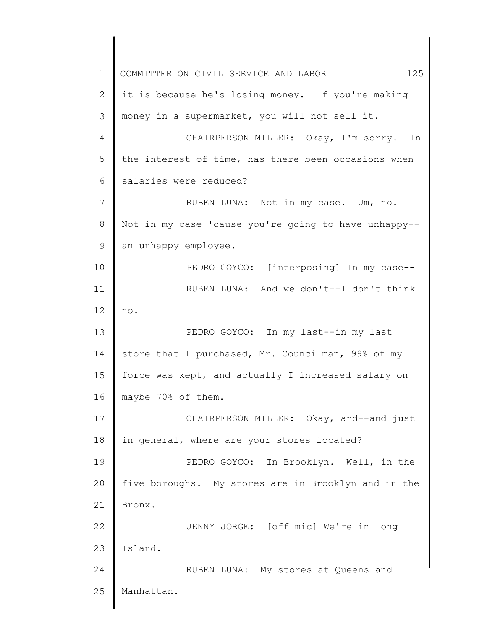1 2 3 4 5 6 7 8 9 10 11 12 13 14 15 16 17 18 19 20 21 22 23 24 25 COMMITTEE ON CIVIL SERVICE AND LABOR 125 it is because he's losing money. If you're making money in a supermarket, you will not sell it. CHAIRPERSON MILLER: Okay, I'm sorry. In the interest of time, has there been occasions when salaries were reduced? RUBEN LUNA: Not in my case. Um, no. Not in my case 'cause you're going to have unhappy- an unhappy employee. PEDRO GOYCO: [interposing] In my case-- RUBEN LUNA: And we don't--I don't think no. PEDRO GOYCO: In my last--in my last store that I purchased, Mr. Councilman, 99% of my force was kept, and actually I increased salary on maybe 70% of them. CHAIRPERSON MILLER: Okay, and--and just in general, where are your stores located? PEDRO GOYCO: In Brooklyn. Well, in the five boroughs. My stores are in Brooklyn and in the Bronx. JENNY JORGE: [off mic] We're in Long Island. RUBEN LUNA: My stores at Queens and Manhattan.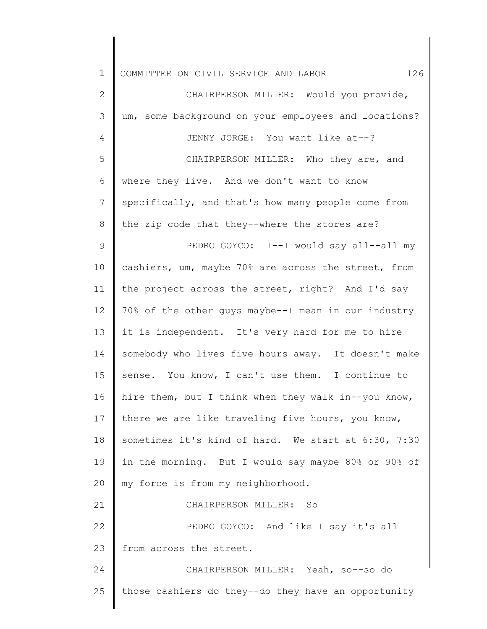| $\mathbf 1$    | 126<br>COMMITTEE ON CIVIL SERVICE AND LABOR          |
|----------------|------------------------------------------------------|
| $\mathbf{2}$   | CHAIRPERSON MILLER: Would you provide,               |
| 3              | um, some background on your employees and locations? |
| 4              | JENNY JORGE: You want like at--?                     |
| 5              | CHAIRPERSON MILLER: Who they are, and                |
| 6              | where they live. And we don't want to know           |
| $\overline{7}$ | specifically, and that's how many people come from   |
| 8              | the zip code that they--where the stores are?        |
| $\mathcal{G}$  | PEDRO GOYCO: I--I would say all--all my              |
| 10             | cashiers, um, maybe 70% are across the street, from  |
| 11             | the project across the street, right? And I'd say    |
| 12             | 70% of the other guys maybe--I mean in our industry  |
| 13             | it is independent. It's very hard for me to hire     |
| 14             | somebody who lives five hours away. It doesn't make  |
| 15             | sense. You know, I can't use them. I continue to     |
| 16             | hire them, but I think when they walk in--you know,  |
| 17             | there we are like traveling five hours, you know,    |
| 18             | sometimes it's kind of hard. We start at 6:30, 7:30  |
| 19             | in the morning. But I would say maybe 80% or 90% of  |
| 20             | my force is from my neighborhood.                    |
| 21             | CHAIRPERSON MILLER: So                               |
| 22             | PEDRO GOYCO: And like I say it's all                 |
| 23             | from across the street.                              |
| 24             | CHAIRPERSON MILLER: Yeah, so--so do                  |
| 25             | those cashiers do they--do they have an opportunity  |
|                |                                                      |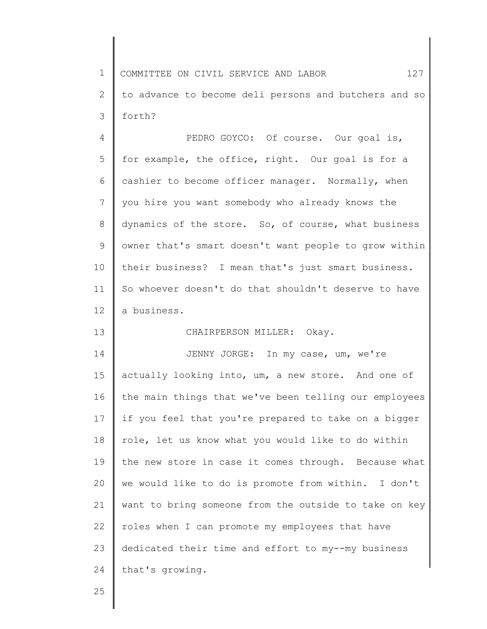1 2 3 COMMITTEE ON CIVIL SERVICE AND LABOR 127 to advance to become deli persons and butchers and so forth?

4 5 6 7 8 9 10 11 12 PEDRO GOYCO: Of course. Our goal is, for example, the office, right. Our goal is for a cashier to become officer manager. Normally, when you hire you want somebody who already knows the dynamics of the store. So, of course, what business owner that's smart doesn't want people to grow within their business? I mean that's just smart business. So whoever doesn't do that shouldn't deserve to have a business.

## CHAIRPERSON MILLER: Okay.

14 15 16 17 18 19 20 21 22 23 24 JENNY JORGE: In my case, um, we're actually looking into, um, a new store. And one of the main things that we've been telling our employees if you feel that you're prepared to take on a bigger role, let us know what you would like to do within the new store in case it comes through. Because what we would like to do is promote from within. I don't want to bring someone from the outside to take on key roles when I can promote my employees that have dedicated their time and effort to my--my business that's growing.

25

13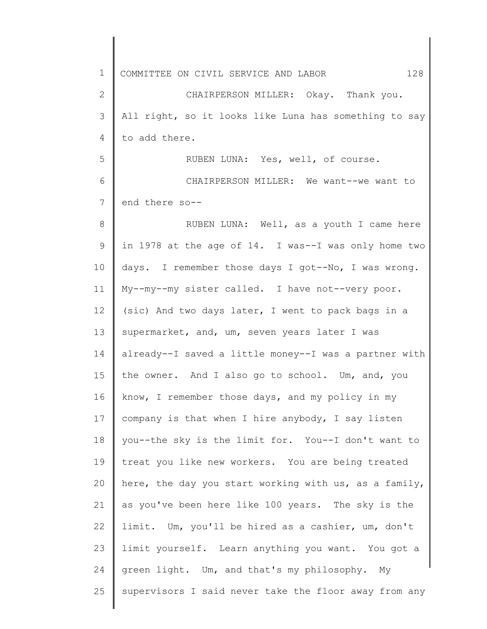1 2 3 4 5 6 7 8 9 10 11 12 13 14 15 16 17 18 19 20 21 22 23 24 25 COMMITTEE ON CIVIL SERVICE AND LABOR 128 CHAIRPERSON MILLER: Okay. Thank you. All right, so it looks like Luna has something to say to add there. RUBEN LUNA: Yes, well, of course. CHAIRPERSON MILLER: We want--we want to end there so-- RUBEN LUNA: Well, as a youth I came here in 1978 at the age of 14. I was--I was only home two days. I remember those days I got--No, I was wrong. My--my--my sister called. I have not--very poor. (sic) And two days later, I went to pack bags in a supermarket, and, um, seven years later I was already--I saved a little money--I was a partner with the owner. And I also go to school. Um, and, you know, I remember those days, and my policy in my company is that when I hire anybody, I say listen you--the sky is the limit for. You--I don't want to treat you like new workers. You are being treated here, the day you start working with us, as a family, as you've been here like 100 years. The sky is the limit. Um, you'll be hired as a cashier, um, don't limit yourself. Learn anything you want. You got a green light. Um, and that's my philosophy. My supervisors I said never take the floor away from any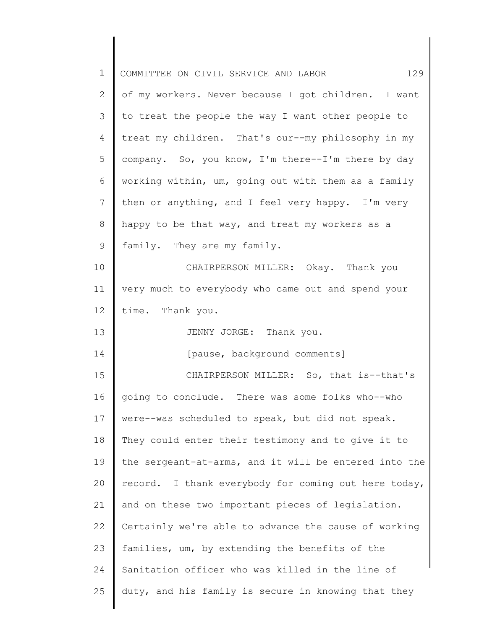| $\mathbf 1$ | 129<br>COMMITTEE ON CIVIL SERVICE AND LABOR           |
|-------------|-------------------------------------------------------|
| 2           | of my workers. Never because I got children. I want   |
| 3           | to treat the people the way I want other people to    |
| 4           | treat my children. That's our--my philosophy in my    |
| 5           | company. So, you know, I'm there--I'm there by day    |
| 6           | working within, um, going out with them as a family   |
| 7           | then or anything, and I feel very happy. I'm very     |
| $8\,$       | happy to be that way, and treat my workers as a       |
| 9           | family. They are my family.                           |
| 10          | CHAIRPERSON MILLER: Okay. Thank you                   |
| 11          | very much to everybody who came out and spend your    |
| 12          | time. Thank you.                                      |
| 13          | JENNY JORGE: Thank you.                               |
| 14          | [pause, background comments]                          |
| 15          | CHAIRPERSON MILLER: So, that is--that's               |
| 16          | going to conclude. There was some folks who--who      |
| 17          | were--was scheduled to speak, but did not speak.      |
| 18          | They could enter their testimony and to give it to    |
| 19          | the sergeant-at-arms, and it will be entered into the |
| 20          | record. I thank everybody for coming out here today,  |
| 21          | and on these two important pieces of legislation.     |
| 22          | Certainly we're able to advance the cause of working  |
| 23          | families, um, by extending the benefits of the        |
| 24          | Sanitation officer who was killed in the line of      |
| 25          | duty, and his family is secure in knowing that they   |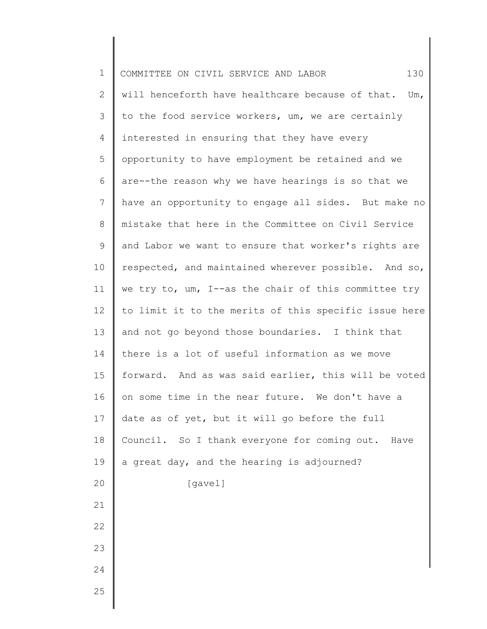| $\mathbf 1$    | COMMITTEE ON CIVIL SERVICE AND LABOR<br>130           |
|----------------|-------------------------------------------------------|
| $\mathbf{2}$   | will henceforth have healthcare because of that. Um,  |
| 3              | to the food service workers, um, we are certainly     |
| 4              | interested in ensuring that they have every           |
| 5              | opportunity to have employment be retained and we     |
| 6              | are--the reason why we have hearings is so that we    |
| $\overline{7}$ | have an opportunity to engage all sides. But make no  |
| 8              | mistake that here in the Committee on Civil Service   |
| 9              | and Labor we want to ensure that worker's rights are  |
| 10             | respected, and maintained wherever possible. And so,  |
| 11             | we try to, um, I--as the chair of this committee try  |
| 12             | to limit it to the merits of this specific issue here |
| 13             | and not go beyond those boundaries. I think that      |
| 14             | there is a lot of useful information as we move       |
| 15             | forward. And as was said earlier, this will be voted  |
| 16             | on some time in the near future. We don't have a      |
| 17             | date as of yet, but it will go before the full        |
| 18             | Council. So I thank everyone for coming out.<br>Have  |
| 19             | a great day, and the hearing is adjourned?            |
| 20             | [gavel]                                               |
| 21             |                                                       |
| 22             |                                                       |
| 23             |                                                       |
| 24             |                                                       |
| 25             |                                                       |
|                |                                                       |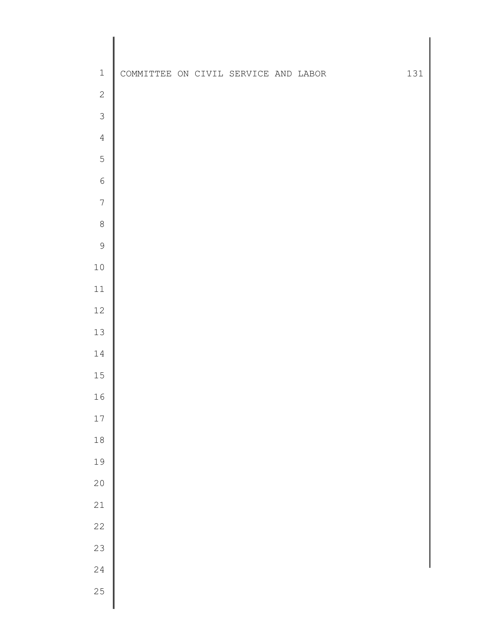| $\ensuremath{\mathbbm{1}}$ | COMMITTEE ON CIVIL SERVICE AND LABOR |  |  |  | 131 |
|----------------------------|--------------------------------------|--|--|--|-----|
| $\sqrt{2}$                 |                                      |  |  |  |     |
| $\mathcal{S}$              |                                      |  |  |  |     |
| $\sqrt{4}$                 |                                      |  |  |  |     |
| $\overline{5}$             |                                      |  |  |  |     |
| $\sqrt{6}$                 |                                      |  |  |  |     |
| $\boldsymbol{7}$           |                                      |  |  |  |     |
| $\,8\,$                    |                                      |  |  |  |     |
| $\mathcal{G}$              |                                      |  |  |  |     |
| $1\,0$                     |                                      |  |  |  |     |
| $11\,$                     |                                      |  |  |  |     |
| $12\,$                     |                                      |  |  |  |     |
| $13\,$                     |                                      |  |  |  |     |
| $1\,4$                     |                                      |  |  |  |     |
| $15\,$                     |                                      |  |  |  |     |
| 16                         |                                      |  |  |  |     |
| 17                         |                                      |  |  |  |     |
| $1\,8$                     |                                      |  |  |  |     |
| 19                         |                                      |  |  |  |     |
| $20$                       |                                      |  |  |  |     |
| 21                         |                                      |  |  |  |     |
| 22                         |                                      |  |  |  |     |
| 23                         |                                      |  |  |  |     |
| 24                         |                                      |  |  |  |     |
| 25                         |                                      |  |  |  |     |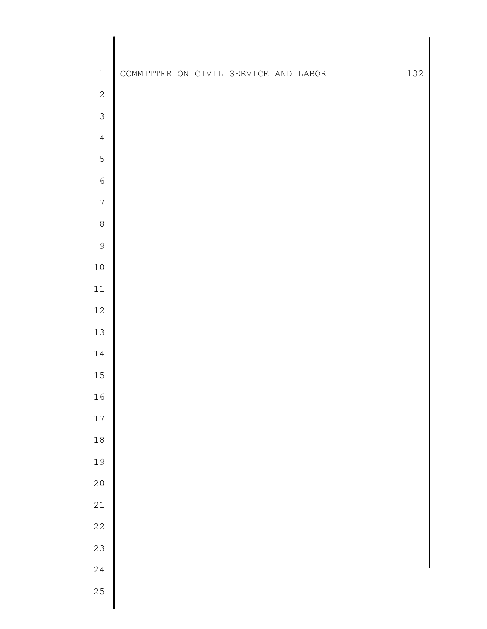| $\ensuremath{\mathbbm{1}}$ | COMMITTEE ON CIVIL SERVICE AND LABOR |  |  | 132 |
|----------------------------|--------------------------------------|--|--|-----|
| $\mathbf{2}$               |                                      |  |  |     |
| $\mathcal{S}$              |                                      |  |  |     |
| $\overline{4}$             |                                      |  |  |     |
| $\overline{5}$             |                                      |  |  |     |
| $\,$ 6 $\,$                |                                      |  |  |     |
| $\overline{7}$             |                                      |  |  |     |
| $\,8\,$                    |                                      |  |  |     |
| $\mathsf{S}$               |                                      |  |  |     |
| $1\,0$                     |                                      |  |  |     |
| $11\,$                     |                                      |  |  |     |
| $12\,$                     |                                      |  |  |     |
| $13\,$                     |                                      |  |  |     |
| $14\,$                     |                                      |  |  |     |
| $15\,$                     |                                      |  |  |     |
| $1\,6$                     |                                      |  |  |     |
| 17                         |                                      |  |  |     |
| $1\,8$                     |                                      |  |  |     |
| 19                         |                                      |  |  |     |
| 20                         |                                      |  |  |     |
| 21                         |                                      |  |  |     |
| 22                         |                                      |  |  |     |
| 23                         |                                      |  |  |     |
| 24                         |                                      |  |  |     |
| 25                         |                                      |  |  |     |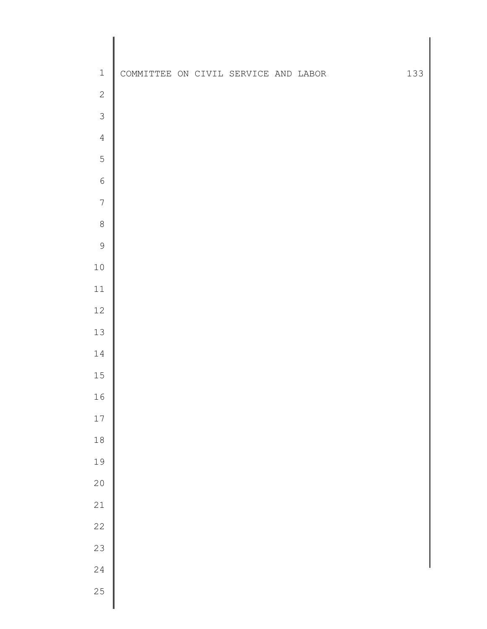| $\mathbf 1$      | COMMITTEE ON CIVIL SERVICE AND LABOR |  |  |  | 133 |
|------------------|--------------------------------------|--|--|--|-----|
| $\mathbf{2}$     |                                      |  |  |  |     |
| $\mathfrak{Z}$   |                                      |  |  |  |     |
| $\overline{4}$   |                                      |  |  |  |     |
| 5                |                                      |  |  |  |     |
| $\sqrt{6}$       |                                      |  |  |  |     |
| $\boldsymbol{7}$ |                                      |  |  |  |     |
| $\,8\,$          |                                      |  |  |  |     |
| $\mathcal{G}$    |                                      |  |  |  |     |
| $1\,0$           |                                      |  |  |  |     |
| $11\,$           |                                      |  |  |  |     |
| $12\,$           |                                      |  |  |  |     |
| $13\,$           |                                      |  |  |  |     |
| $14\,$           |                                      |  |  |  |     |
| 15               |                                      |  |  |  |     |
| 16               |                                      |  |  |  |     |
| 17               |                                      |  |  |  |     |
| $1\,8$           |                                      |  |  |  |     |
| 19               |                                      |  |  |  |     |
| $20$             |                                      |  |  |  |     |
| $21\,$           |                                      |  |  |  |     |
| 22               |                                      |  |  |  |     |
| 23               |                                      |  |  |  |     |
| 24               |                                      |  |  |  |     |
| 25               |                                      |  |  |  |     |